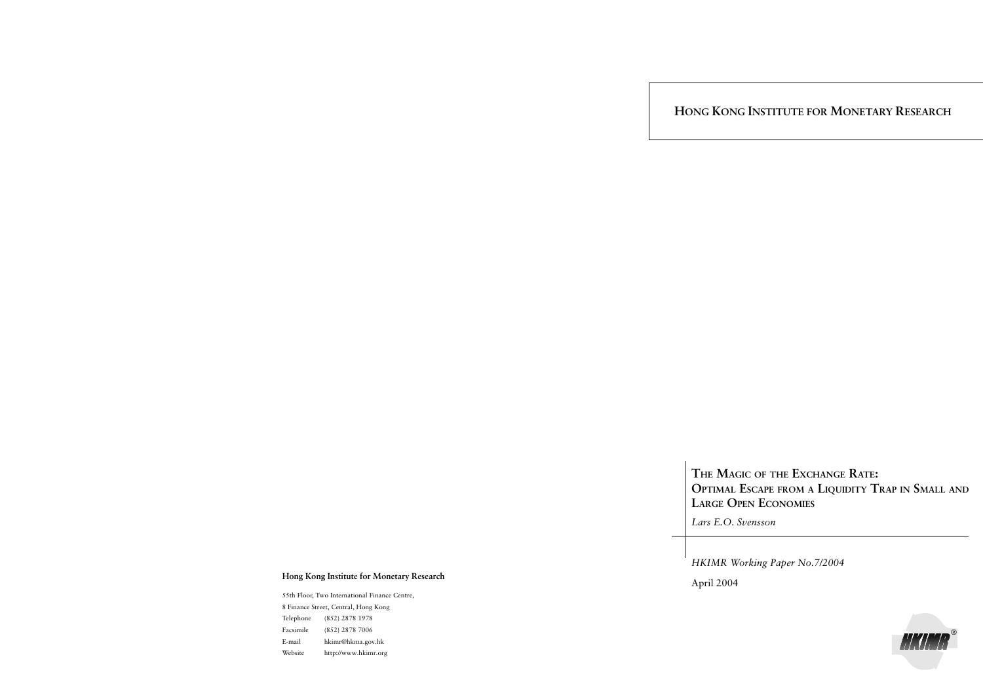**HONG KONG INSTITUTE FOR MONETARY RESEARCH**

**THE MAGIC OF THE EXCHANGE RATE: OPTIMAL ESCAPE FROM A LIQUIDITY TRAP IN SMALL AND LARGE OPEN ECONOMIES**

*Lars E.O. Svensson*

*HKIMR Working Paper No.7/2004*

April 2004

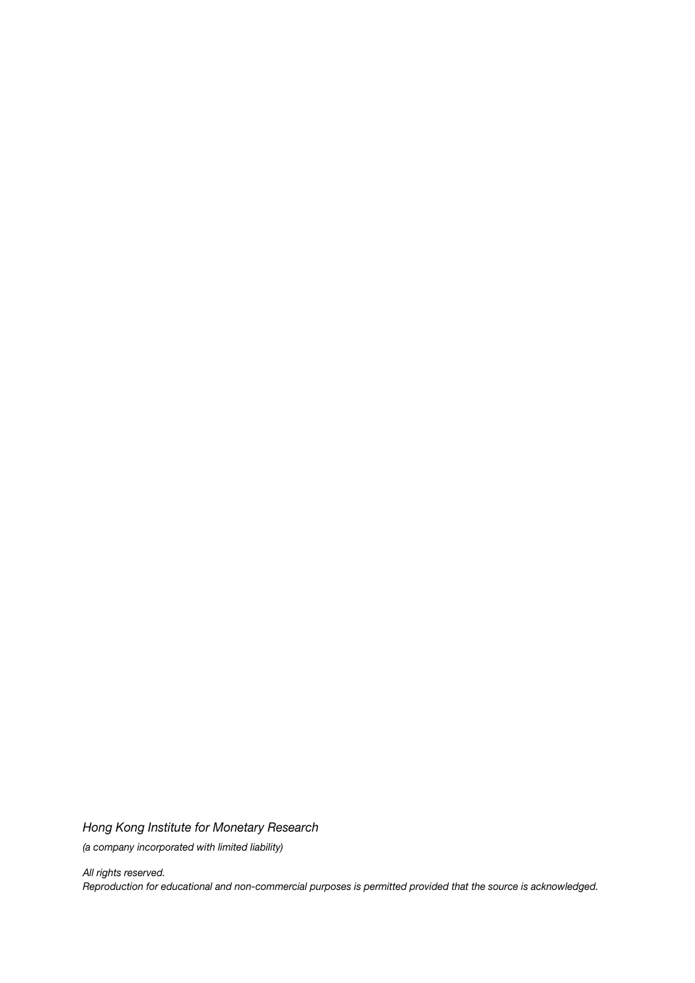*Hong Kong Institute for Monetary Research (a company incorporated with limited liability)*

*All rights reserved. Reproduction for educational and non-commercial purposes is permitted provided that the source is acknowledged.*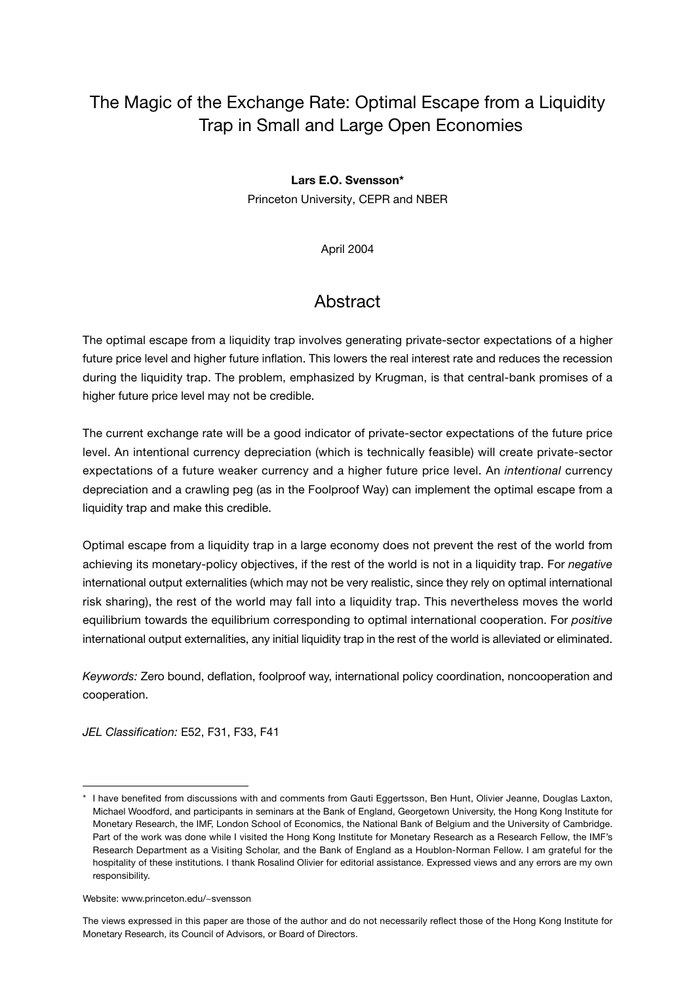# The Magic of the Exchange Rate: Optimal Escape from a Liquidity Trap in Small and Large Open Economies

### **Lars E.O. Svensson\***

Princeton University, CEPR and NBER

April 2004

## **Abstract**

The optimal escape from a liquidity trap involves generating private-sector expectations of a higher future price level and higher future inflation. This lowers the real interest rate and reduces the recession during the liquidity trap. The problem, emphasized by Krugman, is that central-bank promises of a higher future price level may not be credible.

The current exchange rate will be a good indicator of private-sector expectations of the future price level. An intentional currency depreciation (which is technically feasible) will create private-sector expectations of a future weaker currency and a higher future price level. An *intentional* currency depreciation and a crawling peg (as in the Foolproof Way) can implement the optimal escape from a liquidity trap and make this credible.

Optimal escape from a liquidity trap in a large economy does not prevent the rest of the world from achieving its monetary-policy objectives, if the rest of the world is not in a liquidity trap. For *negative* international output externalities (which may not be very realistic, since they rely on optimal international risk sharing), the rest of the world may fall into a liquidity trap. This nevertheless moves the world equilibrium towards the equilibrium corresponding to optimal international cooperation. For *positive* international output externalities, any initial liquidity trap in the rest of the world is alleviated or eliminated.

*Keywords:* Zero bound, deflation, foolproof way, international policy coordination, noncooperation and cooperation.

*JEL Classification:* E52, F31, F33, F41

I have benefited from discussions with and comments from Gauti Eggertsson, Ben Hunt, Olivier Jeanne, Douglas Laxton, Michael Woodford, and participants in seminars at the Bank of England, Georgetown University, the Hong Kong Institute for Monetary Research, the IMF, London School of Economics, the National Bank of Belgium and the University of Cambridge. Part of the work was done while I visited the Hong Kong Institute for Monetary Research as a Research Fellow, the IMF's Research Department as a Visiting Scholar, and the Bank of England as a Houblon-Norman Fellow. I am grateful for the hospitality of these institutions. I thank Rosalind Olivier for editorial assistance. Expressed views and any errors are my own responsibility.

Website: www.princeton.edu/~svensson

The views expressed in this paper are those of the author and do not necessarily reflect those of the Hong Kong Institute for Monetary Research, its Council of Advisors, or Board of Directors.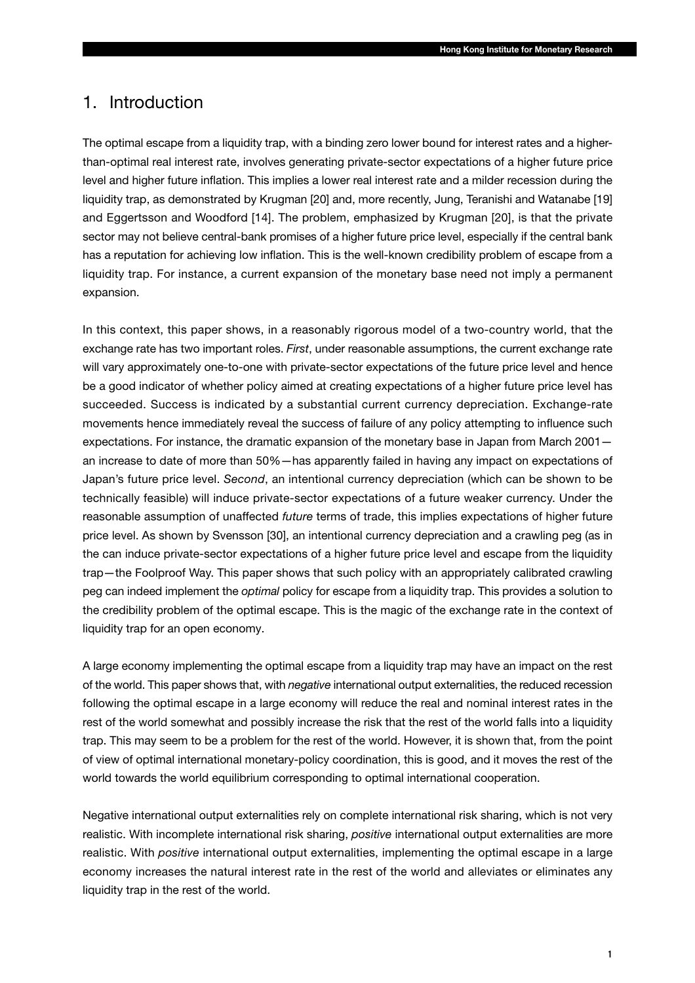## 1. Introduction

The optimal escape from a liquidity trap, with a binding zero lower bound for interest rates and a higherthan-optimal real interest rate, involves generating private-sector expectations of a higher future price level and higher future inflation. This implies a lower real interest rate and a milder recession during the liquidity trap, as demonstrated by Krugman [20] and, more recently, Jung, Teranishi and Watanabe [19] and Eggertsson and Woodford [14]. The problem, emphasized by Krugman [20], is that the private sector may not believe central-bank promises of a higher future price level, especially if the central bank has a reputation for achieving low inflation. This is the well-known credibility problem of escape from a liquidity trap. For instance, a current expansion of the monetary base need not imply a permanent expansion.

In this context, this paper shows, in a reasonably rigorous model of a two-country world, that the exchange rate has two important roles. *First*, under reasonable assumptions, the current exchange rate will vary approximately one-to-one with private-sector expectations of the future price level and hence be a good indicator of whether policy aimed at creating expectations of a higher future price level has succeeded. Success is indicated by a substantial current currency depreciation. Exchange-rate movements hence immediately reveal the success of failure of any policy attempting to influence such expectations. For instance, the dramatic expansion of the monetary base in Japan from March 2001 an increase to date of more than 50%—has apparently failed in having any impact on expectations of Japan's future price level. *Second*, an intentional currency depreciation (which can be shown to be technically feasible) will induce private-sector expectations of a future weaker currency. Under the reasonable assumption of unaffected *future* terms of trade, this implies expectations of higher future price level. As shown by Svensson [30], an intentional currency depreciation and a crawling peg (as in the can induce private-sector expectations of a higher future price level and escape from the liquidity trap—the Foolproof Way. This paper shows that such policy with an appropriately calibrated crawling peg can indeed implement the *optimal* policy for escape from a liquidity trap. This provides a solution to the credibility problem of the optimal escape. This is the magic of the exchange rate in the context of liquidity trap for an open economy.

A large economy implementing the optimal escape from a liquidity trap may have an impact on the rest of the world. This paper shows that, with *negative* international output externalities, the reduced recession following the optimal escape in a large economy will reduce the real and nominal interest rates in the rest of the world somewhat and possibly increase the risk that the rest of the world falls into a liquidity trap. This may seem to be a problem for the rest of the world. However, it is shown that, from the point of view of optimal international monetary-policy coordination, this is good, and it moves the rest of the world towards the world equilibrium corresponding to optimal international cooperation.

Negative international output externalities rely on complete international risk sharing, which is not very realistic. With incomplete international risk sharing, *positive* international output externalities are more realistic. With *positive* international output externalities, implementing the optimal escape in a large economy increases the natural interest rate in the rest of the world and alleviates or eliminates any liquidity trap in the rest of the world.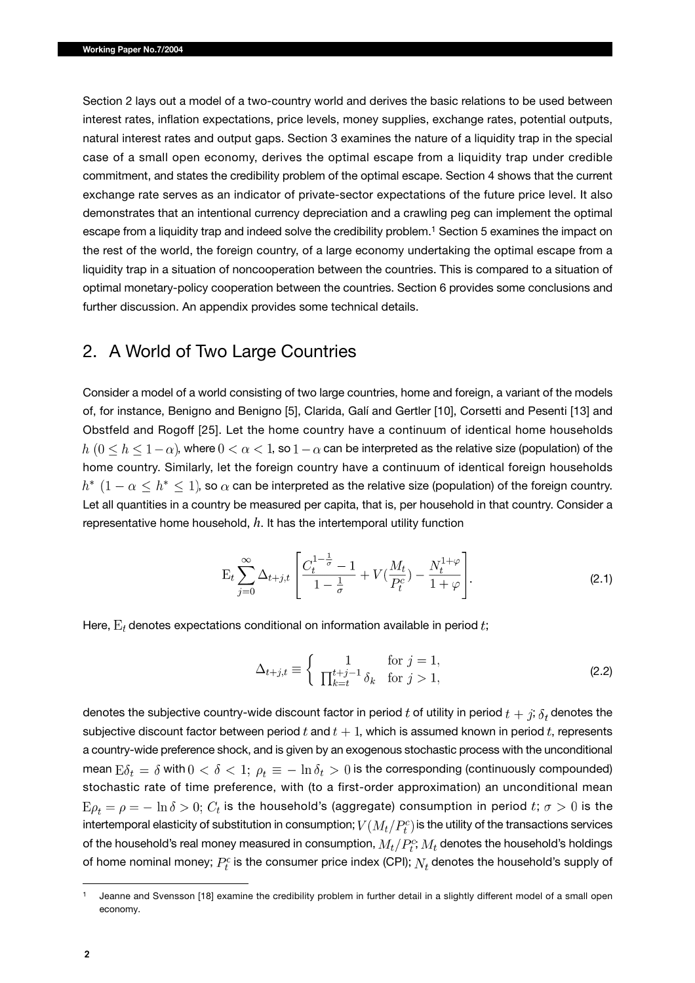Section 2 lays out a model of a two-country world and derives the basic relations to be used between interest rates, inflation expectations, price levels, money supplies, exchange rates, potential outputs, natural interest rates and output gaps. Section 3 examines the nature of a liquidity trap in the special case of a small open economy, derives the optimal escape from a liquidity trap under credible commitment, and states the credibility problem of the optimal escape. Section 4 shows that the current exchange rate serves as an indicator of private-sector expectations of the future price level. It also demonstrates that an intentional currency depreciation and a crawling peg can implement the optimal escape from a liquidity trap and indeed solve the credibility problem.<sup>1</sup> Section 5 examines the impact on the rest of the world, the foreign country, of a large economy undertaking the optimal escape from a liquidity trap in a situation of noncooperation between the countries. This is compared to a situation of optimal monetary-policy cooperation between the countries. Section 6 provides some conclusions and further discussion. An appendix provides some technical details.

### 2. A World of Two Large Countries

Consider a model of a world consisting of two large countries, home and foreign, a variant of the models of, for instance, Benigno and Benigno [5], Clarida, Galí and Gertler [10], Corsetti and Pesenti [13] and Obstfeld and Rogoff [25]. Let the home country have a continuum of identical home households  $h (0 \le h \le 1-\alpha)$ , where  $0 < \alpha < 1$ , so  $1-\alpha$  can be interpreted as the relative size (population) of the home country. Similarly, let the foreign country have a continuum of identical foreign households  $h^*$   $(1 - \alpha \leq h^* \leq 1)$ , so  $\alpha$  can be interpreted as the relative size (population) of the foreign country. Let all quantities in a country be measured per capita, that is, per household in that country. Consider a representative home household, *h*. It has the intertemporal utility function

$$
\mathcal{E}_t \sum_{j=0}^{\infty} \Delta_{t+j,t} \left[ \frac{C_t^{1-\frac{1}{\sigma}} - 1}{1 - \frac{1}{\sigma}} + V(\frac{M_t}{P_t^c}) - \frac{N_t^{1+\varphi}}{1+\varphi} \right].
$$
 (2.1)

Here,  $E_t$  denotes expectations conditional on information available in period  $t$ ;

$$
\Delta_{t+j,t} \equiv \begin{cases}\n1 & \text{for } j = 1, \\
\prod_{k=t}^{t+j-1} \delta_k & \text{for } j > 1,\n\end{cases}
$$
\n(2.2)

denotes the subjective country-wide discount factor in period t of utility in period  $t + j$ ;  $\delta_t$  denotes the subjective discount factor between period  $t$  and  $t + 1$ , which is assumed known in period  $t$ , represents a country-wide preference shock, and is given by an exogenous stochastic process with the unconditional mean  $E\delta_t = \delta$  with  $0 < \delta < 1$ ;  $\rho_t \equiv -\ln \delta_t > 0$  is the corresponding (continuously compounded) stochastic rate of time preference, with (to a first-order approximation) an unconditional mean  $E\rho_t = \rho = -\ln \delta > 0$ ;  $C_t$  is the household's (aggregate) consumption in period t;  $\sigma > 0$  is the intertemporal elasticity of substitution in consumption;  $V(M_t/P_t^c)$  is the utility of the transactions services of the household's real money measured in consumption,  $M_t/P_t^c$ ;  $M_t$  denotes the household's holdings of home nominal money;  $P_t^c$  is the consumer price index (CPI);  $N_t$  denotes the household's supply of

<sup>1</sup> Jeanne and Svensson [18] examine the credibility problem in further detail in a slightly different model of a small open economy.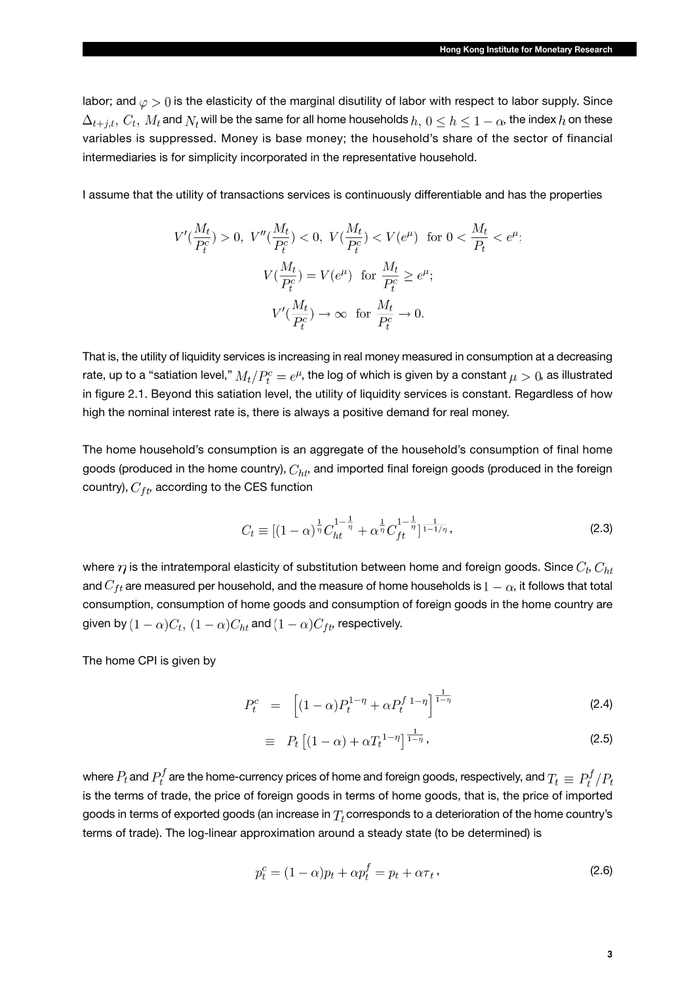labor; and  $\varphi > 0$  is the elasticity of the marginal disutility of labor with respect to labor supply. Since  $\Delta_{t+j,t}, C_t, M_t$  and  $N_t$  will be the same for all home households  $h, 0 \leq h \leq 1-\alpha$ , the index  $h$  on these variables is suppressed. Money is base money; the household's share of the sector of financial intermediaries is for simplicity incorporated in the representative household.

I assume that the utility of transactions services is continuously differentiable and has the properties

$$
V'(\frac{M_t}{P_t^c}) > 0, \ V''(\frac{M_t}{P_t^c}) < 0, \ V(\frac{M_t}{P_t^c}) < V(e^{\mu}) \text{ for } 0 < \frac{M_t}{P_t} < e^{\mu};
$$
  

$$
V(\frac{M_t}{P_t^c}) = V(e^{\mu}) \text{ for } \frac{M_t}{P_t^c} \ge e^{\mu};
$$
  

$$
V'(\frac{M_t}{P_t^c}) \to \infty \text{ for } \frac{M_t}{P_t^c} \to 0.
$$

That is, the utility of liquidity services is increasing in real money measured in consumption at a decreasing rate, up to a "satiation level,"  $M_t/P_t^c = e^{\mu}$ , the log of which is given by a constant  $\mu > 0$ , as illustrated in figure 2.1. Beyond this satiation level, the utility of liquidity services is constant. Regardless of how high the nominal interest rate is, there is always a positive demand for real money.

The home household's consumption is an aggregate of the household's consumption of final home goods (produced in the home country),  $C_{ht}$ , and imported final foreign goods (produced in the foreign country),  $C_{ft}$ , according to the CES function

$$
C_t \equiv \left[ (1 - \alpha)^{\frac{1}{\eta}} C_{ht}^{1 - \frac{1}{\eta}} + \alpha^{\frac{1}{\eta}} C_{ft}^{1 - \frac{1}{\eta}} \right]^{\frac{1}{1 - 1/\eta}},\tag{2.3}
$$

where  $\eta$  is the intratemporal elasticity of substitution between home and foreign goods. Since  $C_t, C_{ht}$ and  $C_{ft}$  are measured per household, and the measure of home households is  $1-\alpha$ , it follows that total consumption, consumption of home goods and consumption of foreign goods in the home country are given by  $(1 - \alpha)C_t$ ,  $(1 - \alpha)C_{ht}$  and  $(1 - \alpha)C_{ft}$  respectively.

The home CPI is given by

$$
P_t^c = \left[ (1 - \alpha) P_t^{1 - \eta} + \alpha P_t^{f} {}^{1 - \eta} \right]^{\frac{1}{1 - \eta}}
$$
 (2.4)

$$
\equiv P_t \left[ (1 - \alpha) + \alpha T_t^{1 - \eta} \right]^{\frac{1}{1 - \eta}}, \tag{2.5}
$$

where  $P_t$  and  $P_t^f$  are the home-currency prices of home and foreign goods, respectively, and  $T_t\equiv P_t^f/P_t$ is the terms of trade, the price of foreign goods in terms of home goods, that is, the price of imported goods in terms of exported goods (an increase in  $T_t$  corresponds to a deterioration of the home country's terms of trade). The log-linear approximation around a steady state (to be determined) is

$$
p_t^c = (1 - \alpha)p_t + \alpha p_t^f = p_t + \alpha \tau_t,
$$
\n(2.6)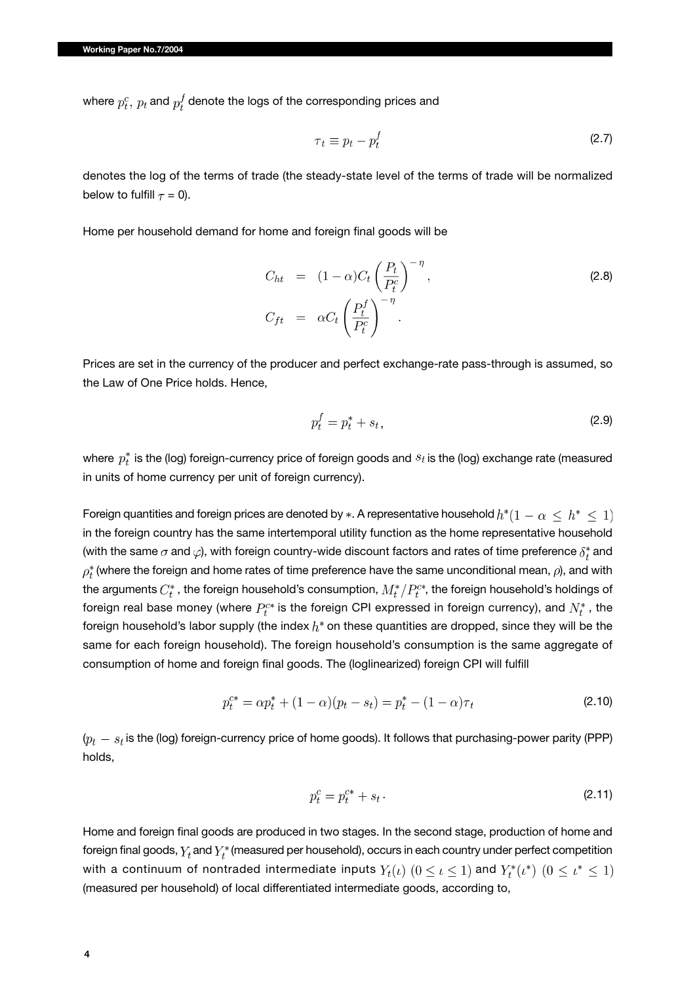where  $p_t^c$ ,  $p_t$  and  $p_t^f$  denote the logs of the corresponding prices and

$$
\tau_t \equiv p_t - p_t^f \tag{2.7}
$$

denotes the log of the terms of trade (the steady-state level of the terms of trade will be normalized below to fulfill  $\tau = 0$ ).

Home per household demand for home and foreign final goods will be

$$
C_{ht} = (1 - \alpha)C_t \left(\frac{P_t}{P_t^c}\right)^{-\eta},
$$
  
\n
$$
C_{ft} = \alpha C_t \left(\frac{P_t^f}{P_t^c}\right)^{-\eta}.
$$
\n(2.8)

Prices are set in the currency of the producer and perfect exchange-rate pass-through is assumed, so the Law of One Price holds. Hence,

$$
p_t^f = p_t^* + s_t,\tag{2.9}
$$

where  $p_t^*$  is the (log) foreign-currency price of foreign goods and  $s_t$  is the (log) exchange rate (measured in units of home currency per unit of foreign currency).

Foreign quantities and foreign prices are denoted by  $*$ . A representative household  $h^*(1 - \alpha \leq h^* \leq 1)$ in the foreign country has the same intertemporal utility function as the home representative household (with the same  $\sigma$  and  $\varphi$ ), with foreign country-wide discount factors and rates of time preference  $\delta_t^*$  and  $\rho_t^*$  (where the foreign and home rates of time preference have the same unconditional mean,  $\rho$ ), and with the arguments  $C_t^*$ , the foreign household's consumption,  $M_t^*/P_t^{c*}$ , the foreign household's holdings of foreign real base money (where  $P_t^{c*}$  is the foreign CPI expressed in foreign currency), and  $N_t^*$ , the foreign household's labor supply (the index  $h^*$  on these quantities are dropped, since they will be the same for each foreign household). The foreign household's consumption is the same aggregate of consumption of home and foreign final goods. The (loglinearized) foreign CPI will fulfill

$$
p_t^{c*} = \alpha p_t^* + (1 - \alpha)(p_t - s_t) = p_t^* - (1 - \alpha)\tau_t
$$
\n(2.10)

 $(p_t - s_t)$  is the (log) foreign-currency price of home goods). It follows that purchasing-power parity (PPP) holds,

$$
p_t^c = p_t^{c*} + s_t \,. \tag{2.11}
$$

Home and foreign final goods are produced in two stages. In the second stage, production of home and foreign final goods,  $Y_t$  and  $Y_t^*$  (measured per household), occurs in each country under perfect competition with a continuum of nontraded intermediate inputs  $Y_t(\iota)$   $(0 \leq \iota \leq 1)$  and  $Y_t^*(\iota^*)$   $(0 \leq \iota^* \leq 1)$ (measured per household) of local differentiated intermediate goods, according to,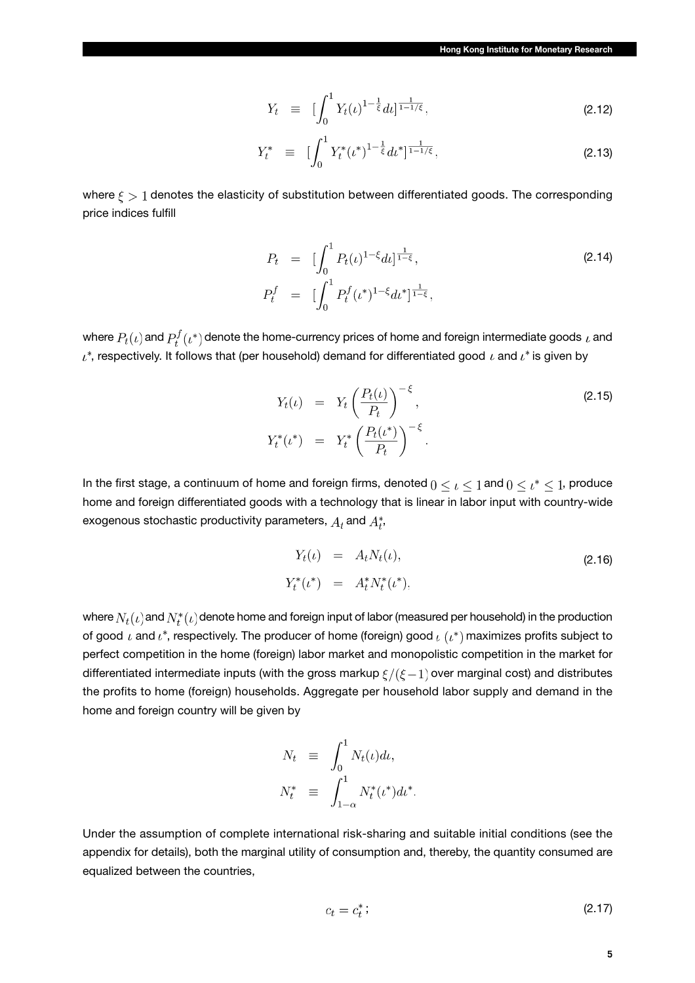$$
Y_t \equiv \left[ \int_0^1 Y_t(\iota)^{1-\frac{1}{\xi}} d\iota \right]^{\frac{1}{1-1/\xi}}, \tag{2.12}
$$

$$
Y_t^* \equiv \left[ \int_0^1 Y_t^* (\iota^*)^{1 - \frac{1}{\xi}} d\iota^* \right]^{1 \over 1 - 1/\xi}, \tag{2.13}
$$

where  $\zeta > 1$  denotes the elasticity of substitution between differentiated goods. The corresponding price indices fulfill

$$
P_t = \left[\int_0^1 P_t(\iota)^{1-\xi} d\iota\right]^{\frac{1}{1-\xi}},
$$
  
\n
$$
P_t^f = \left[\int_0^1 P_t^f(\iota^*)^{1-\xi} d\iota^*\right]^{\frac{1}{1-\xi}},
$$
\n(2.14)

where  $P_t(\iota)$  and  $P_t^f(\iota^*)$  denote the home-currency prices of home and foreign intermediate goods  $\iota$  and  $\iota^*$ , respectively. It follows that (per household) demand for differentiated good  $\iota$  and  $\iota^*$  is given by

$$
Y_t(\iota) = Y_t \left(\frac{P_t(\iota)}{P_t}\right)^{-\xi},
$$
  
\n
$$
Y_t^*(\iota^*) = Y_t^* \left(\frac{P_t(\iota^*)}{P_t}\right)^{-\xi}.
$$
\n(2.15)

In the first stage, a continuum of home and foreign firms, denoted  $0 \leq \iota \leq 1$  and  $0 \leq \iota^* \leq 1$ , produce home and foreign differentiated goods with a technology that is linear in labor input with country-wide exogenous stochastic productivity parameters,  $A_t$  and  $A_t^*$ ,

$$
Y_t(\iota) = A_t N_t(\iota),
$$
  
\n
$$
Y_t^*(\iota^*) = A_t^* N_t^*(\iota^*),
$$
\n(2.16)

where  $N_t(\iota)$  and  $N_t^*(\iota)$  denote home and foreign input of labor (measured per household) in the production of good  $\iota$  and  $\iota^*$ , respectively. The producer of home (foreign) good  $\iota$  ( $\iota^*$ ) maximizes profits subject to perfect competition in the home (foreign) labor market and monopolistic competition in the market for differentiated intermediate inputs (with the gross markup  $\xi/(\xi-1)$  over marginal cost) and distributes the profits to home (foreign) households. Aggregate per household labor supply and demand in the home and foreign country will be given by

$$
N_t \equiv \int_0^1 N_t(\iota) d\iota,
$$
  

$$
N_t^* \equiv \int_{1-\alpha}^1 N_t^*(\iota^*) d\iota^*.
$$

Under the assumption of complete international risk-sharing and suitable initial conditions (see the appendix for details), both the marginal utility of consumption and, thereby, the quantity consumed are equalized between the countries,

$$
c_t = c_t^* \tag{2.17}
$$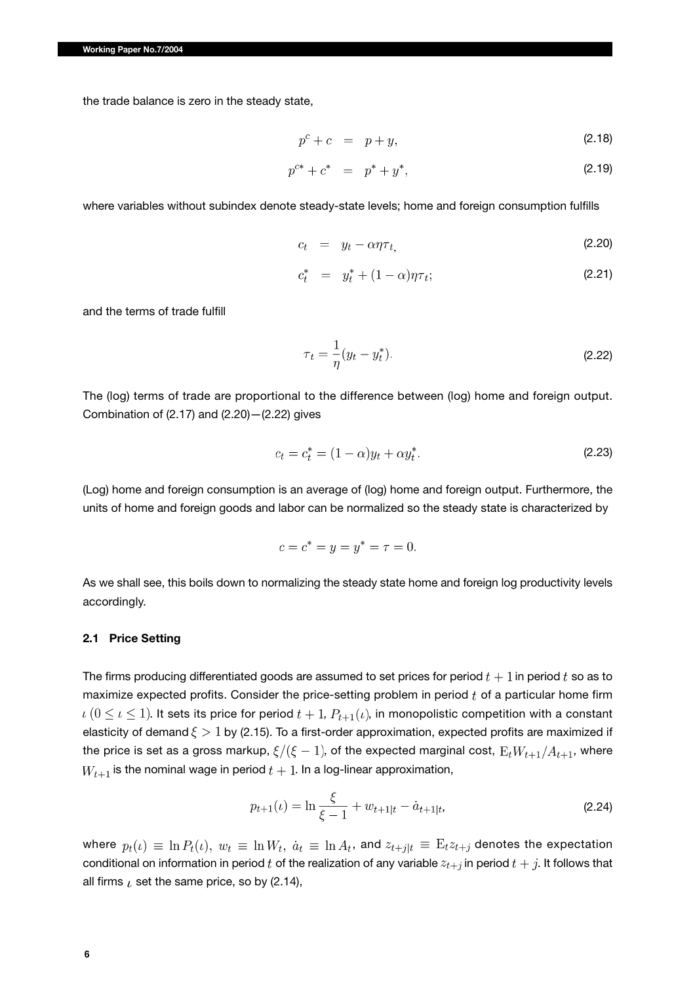the trade balance is zero in the steady state,

$$
p^c + c = p + y,\tag{2.18}
$$

$$
p^{c*} + c^* = p^* + y^*, \tag{2.19}
$$

where variables without subindex denote steady-state levels; home and foreign consumption fulfills

$$
c_t = y_t - \alpha \eta \tau_t, \tag{2.20}
$$

$$
c_t^* = y_t^* + (1 - \alpha)\eta \tau_t; \tag{2.21}
$$

and the terms of trade fulfill

$$
\tau_t = \frac{1}{\eta} (y_t - y_t^*). \tag{2.22}
$$

The (log) terms of trade are proportional to the difference between (log) home and foreign output. Combination of (2.17) and (2.20)—(2.22) gives

$$
c_t = c_t^* = (1 - \alpha)y_t + \alpha y_t^*.
$$
\n(2.23)

(Log) home and foreign consumption is an average of (log) home and foreign output. Furthermore, the units of home and foreign goods and labor can be normalized so the steady state is characterized by

$$
c = c^* = y = y^* = \tau = 0.
$$

As we shall see, this boils down to normalizing the steady state home and foreign log productivity levels accordingly.

#### **2.1 Price Setting**

The firms producing differentiated goods are assumed to set prices for period  $t + 1$  in period t so as to maximize expected profits. Consider the price-setting problem in period  $t$  of a particular home firm  $\iota$   $(0 \leq \iota \leq 1)$ . It sets its price for period  $t + 1$ ,  $P_{t+1}(\iota)$ , in monopolistic competition with a constant elasticity of demand  $\xi > 1$  by (2.15). To a first-order approximation, expected profits are maximized if the price is set as a gross markup,  $\xi/(\xi-1)$ , of the expected marginal cost,  $E_t W_{t+1}/A_{t+1}$ , where  $W_{t+1}$  is the nominal wage in period  $t+1$ . In a log-linear approximation,

$$
p_{t+1}(\iota) = \ln \frac{\xi}{\xi - 1} + w_{t+1|t} - \dot{a}_{t+1|t},
$$
\n(2.24)

where  $p_t(\iota) \equiv \ln P_t(\iota)$ ,  $w_t \equiv \ln W_t$ ,  $\dot{a}_t \equiv \ln A_t$ , and  $z_{t+j|t} \equiv E_t z_{t+j}$  denotes the expectation conditional on information in period  $t$  of the realization of any variable  $z_{t+j}$  in period  $t+j$ . It follows that all firms  $\iota$  set the same price, so by (2.14),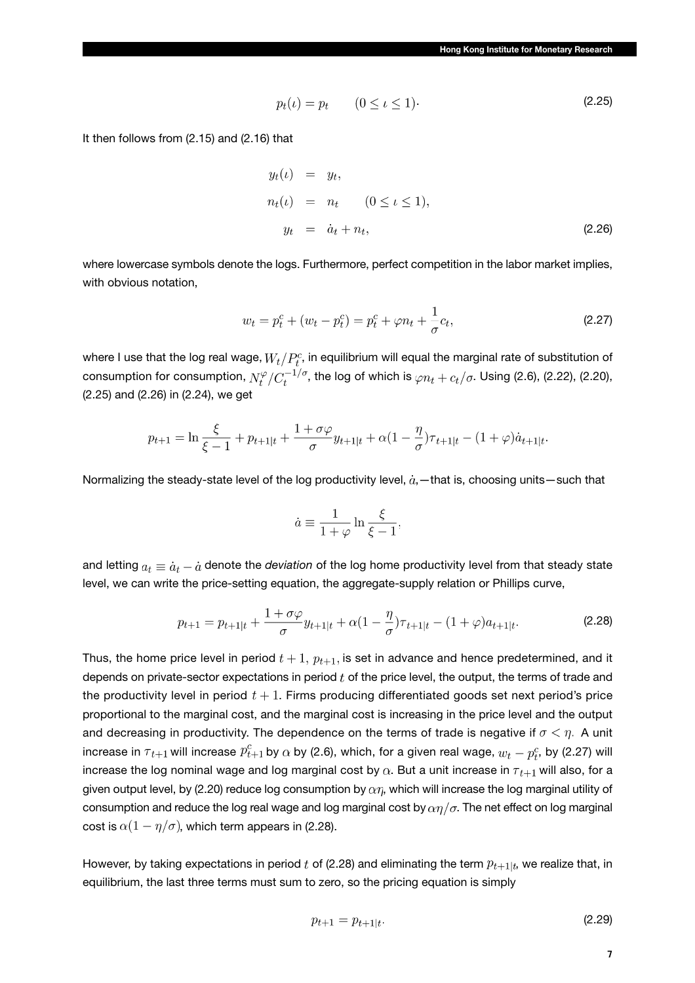$$
p_t(\iota) = p_t \qquad (0 \le \iota \le 1). \tag{2.25}
$$

It then follows from (2.15) and (2.16) that

$$
y_t(\iota) = y_t,
$$
  
\n
$$
n_t(\iota) = n_t \qquad (0 \le \iota \le 1),
$$
  
\n
$$
y_t = \dot{a}_t + n_t,
$$
\n(2.26)

where lowercase symbols denote the logs. Furthermore, perfect competition in the labor market implies, with obvious notation,

$$
w_t = p_t^c + (w_t - p_t^c) = p_t^c + \varphi n_t + \frac{1}{\sigma} c_t,
$$
\n(2.27)

where I use that the log real wage,  $W_t/P_t^c$ , in equilibrium will equal the marginal rate of substitution of consumption for consumption,  $N_t^{\varphi}/C_t^{-1/\sigma}$ , the log of which is  $\varphi n_t + c_t/\sigma$ . Using (2.6), (2.22), (2.20), (2.25) and (2.26) in (2.24), we get

$$
p_{t+1} = \ln \frac{\xi}{\xi - 1} + p_{t+1|t} + \frac{1 + \sigma\varphi}{\sigma} y_{t+1|t} + \alpha(1 - \frac{\eta}{\sigma})\tau_{t+1|t} - (1 + \varphi)\dot{a}_{t+1|t}
$$

Normalizing the steady-state level of the log productivity level,  $\dot{a}$ , -that is, choosing units-such that

$$
\dot{a} \equiv \frac{1}{1+\varphi} \ln \frac{\xi}{\xi - 1},
$$

and letting  $a_t \equiv \dot{a}_t - \dot{a}$  denote the *deviation* of the log home productivity level from that steady state level, we can write the price-setting equation, the aggregate-supply relation or Phillips curve,

$$
p_{t+1} = p_{t+1|t} + \frac{1 + \sigma\varphi}{\sigma} y_{t+1|t} + \alpha(1 - \frac{\eta}{\sigma})\tau_{t+1|t} - (1 + \varphi)a_{t+1|t}.
$$
 (2.28)

Thus, the home price level in period  $t+1$ ,  $p_{t+1}$ , is set in advance and hence predetermined, and it depends on private-sector expectations in period  $t$  of the price level, the output, the terms of trade and the productivity level in period  $t + 1$ . Firms producing differentiated goods set next period's price proportional to the marginal cost, and the marginal cost is increasing in the price level and the output and decreasing in productivity. The dependence on the terms of trade is negative if  $\sigma < \eta$ . A unit increase in  $\tau_{t+1}$  will increase  $p_{t+1}^c$  by  $\alpha$  by (2.6), which, for a given real wage,  $w_t - p_t^c$ , by (2.27) will increase the log nominal wage and log marginal cost by  $\alpha$ . But a unit increase in  $\tau_{t+1}$  will also, for a given output level, by (2.20) reduce log consumption by  $\alpha n$ , which will increase the log marginal utility of consumption and reduce the log real wage and log marginal cost by  $\alpha\eta/\sigma$ . The net effect on log marginal cost is  $\alpha(1-\eta/\sigma)$ , which term appears in (2.28).

However, by taking expectations in period t of (2.28) and eliminating the term  $p_{t+1|t}$ , we realize that, in equilibrium, the last three terms must sum to zero, so the pricing equation is simply

$$
p_{t+1} = p_{t+1|t}.\tag{2.29}
$$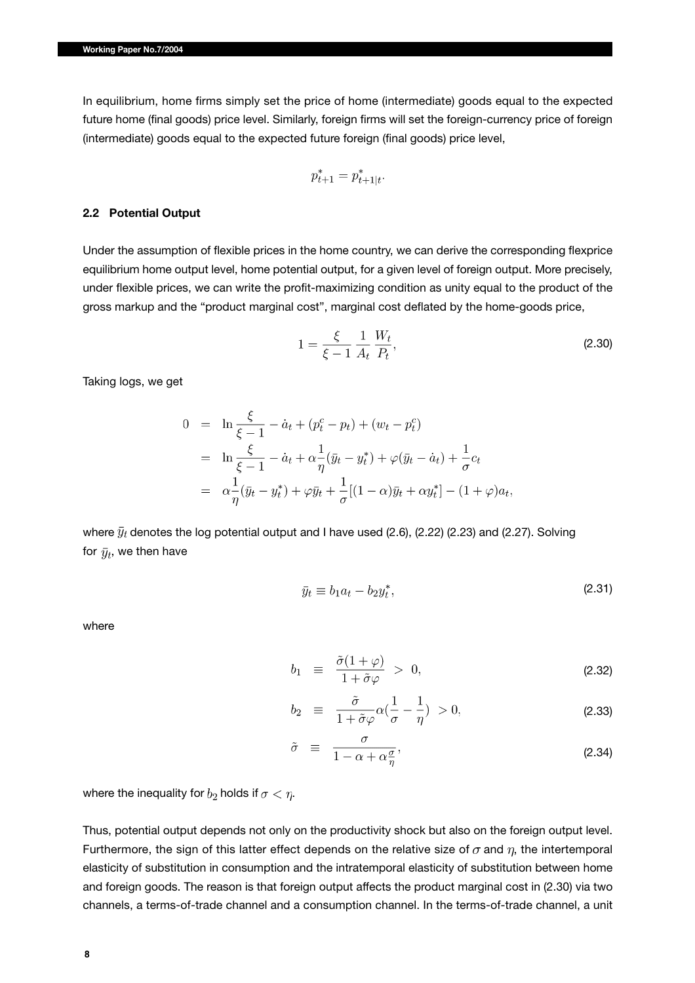In equilibrium, home firms simply set the price of home (intermediate) goods equal to the expected future home (final goods) price level. Similarly, foreign firms will set the foreign-currency price of foreign (intermediate) goods equal to the expected future foreign (final goods) price level,

$$
p_{t+1}^* = p_{t+1|t}^*.
$$

#### **2.2 Potential Output**

Under the assumption of flexible prices in the home country, we can derive the corresponding flexprice equilibrium home output level, home potential output, for a given level of foreign output. More precisely, under flexible prices, we can write the profit-maximizing condition as unity equal to the product of the gross markup and the "product marginal cost", marginal cost deflated by the home-goods price,

$$
1 = \frac{\xi}{\xi - 1} \frac{1}{A_t} \frac{W_t}{P_t},
$$
\n(2.30)

Taking logs, we get

$$
0 = \ln \frac{\xi}{\xi - 1} - \dot{a}_t + (p_t^c - p_t) + (w_t - p_t^c)
$$
  
=  $\ln \frac{\xi}{\xi - 1} - \dot{a}_t + \alpha \frac{1}{\eta} (\bar{y}_t - y_t^*) + \varphi (\bar{y}_t - \dot{a}_t) + \frac{1}{\sigma} c_t$   
=  $\alpha \frac{1}{\eta} (\bar{y}_t - y_t^*) + \varphi \bar{y}_t + \frac{1}{\sigma} [(1 - \alpha)\bar{y}_t + \alpha y_t^*] - (1 + \varphi) a_t,$ 

where  $\bar{y}_t$  denotes the log potential output and I have used (2.6), (2.22) (2.23) and (2.27). Solving for  $\bar{y}_t$ , we then have

$$
\bar{y}_t \equiv b_1 a_t - b_2 y_t^*,\tag{2.31}
$$

where

$$
b_1 \equiv \frac{\tilde{\sigma}(1+\varphi)}{1+\tilde{\sigma}\varphi} > 0, \tag{2.32}
$$

$$
b_2 \equiv \frac{\tilde{\sigma}}{1 + \tilde{\sigma}\varphi} \alpha (\frac{1}{\sigma} - \frac{1}{\eta}) > 0, \tag{2.33}
$$

$$
\tilde{\sigma} \equiv \frac{\sigma}{1 - \alpha + \alpha \frac{\sigma}{\eta}}, \tag{2.34}
$$

where the inequality for  $b_2$  holds if  $\sigma < \eta$ .

Thus, potential output depends not only on the productivity shock but also on the foreign output level. Furthermore, the sign of this latter effect depends on the relative size of  $\sigma$  and  $\eta$ , the intertemporal elasticity of substitution in consumption and the intratemporal elasticity of substitution between home and foreign goods. The reason is that foreign output affects the product marginal cost in (2.30) via two channels, a terms-of-trade channel and a consumption channel. In the terms-of-trade channel, a unit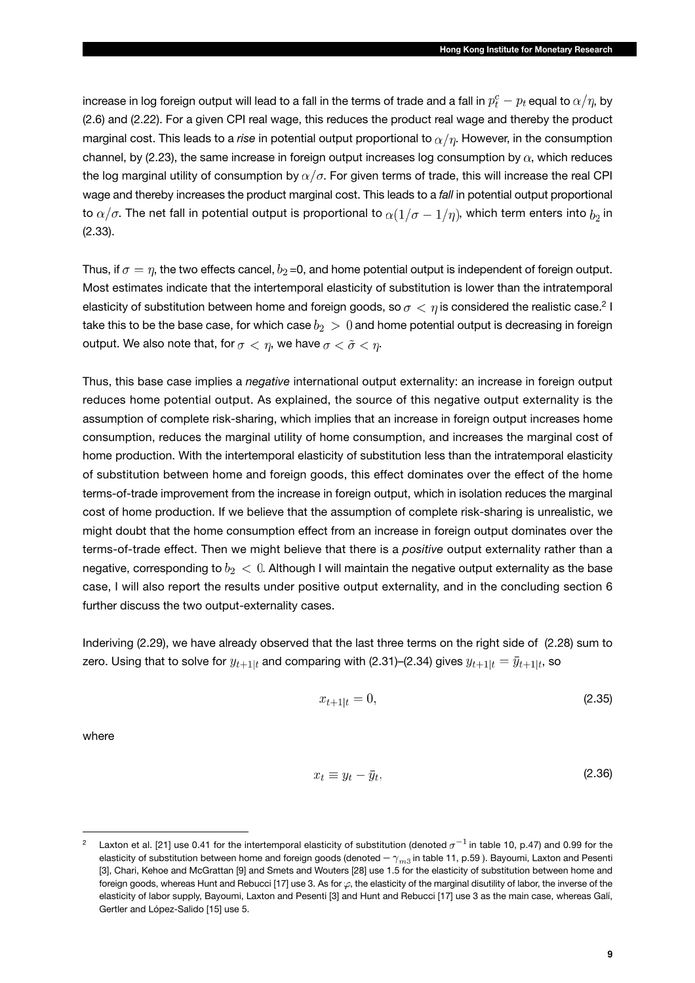increase in log foreign output will lead to a fall in the terms of trade and a fall in  $p_t^c - p_t$  equal to  $\alpha/\eta$ , by (2.6) and (2.22). For a given CPI real wage, this reduces the product real wage and thereby the product marginal cost. This leads to a *rise* in potential output proportional to  $\alpha/\eta$ . However, in the consumption channel, by (2.23), the same increase in foreign output increases log consumption by  $\alpha$ , which reduces the log marginal utility of consumption by  $\alpha/\sigma$ . For given terms of trade, this will increase the real CPI wage and thereby increases the product marginal cost. This leads to a *fall* in potential output proportional to  $\alpha/\sigma$ . The net fall in potential output is proportional to  $\alpha(1/\sigma-1/\eta)$ , which term enters into  $b_2$  in (2.33).

Thus, if  $\sigma = \eta$ , the two effects cancel,  $b_2$ =0, and home potential output is independent of foreign output. Most estimates indicate that the intertemporal elasticity of substitution is lower than the intratemporal elasticity of substitution between home and foreign goods, so  $\sigma < \eta$  is considered the realistic case.<sup>2</sup> I take this to be the base case, for which case  $b_2 > 0$  and home potential output is decreasing in foreign output. We also note that, for  $\sigma < \eta$ , we have  $\sigma < \tilde{\sigma} < \eta$ .

Thus, this base case implies a *negative* international output externality: an increase in foreign output reduces home potential output. As explained, the source of this negative output externality is the assumption of complete risk-sharing, which implies that an increase in foreign output increases home consumption, reduces the marginal utility of home consumption, and increases the marginal cost of home production. With the intertemporal elasticity of substitution less than the intratemporal elasticity of substitution between home and foreign goods, this effect dominates over the effect of the home terms-of-trade improvement from the increase in foreign output, which in isolation reduces the marginal cost of home production. If we believe that the assumption of complete risk-sharing is unrealistic, we might doubt that the home consumption effect from an increase in foreign output dominates over the terms-of-trade effect. Then we might believe that there is a *positive* output externality rather than a negative, corresponding to  $b_2 < 0$ . Although I will maintain the negative output externality as the base case, I will also report the results under positive output externality, and in the concluding section 6 further discuss the two output-externality cases.

Inderiving (2.29), we have already observed that the last three terms on the right side of (2.28) sum to zero. Using that to solve for  $y_{t+1|t}$  and comparing with (2.31)–(2.34) gives  $y_{t+1|t} = \bar{y}_{t+1|t}$ , so

$$
x_{t+1|t} = 0,\t\t(2.35)
$$

where

$$
x_t \equiv y_t - \bar{y}_t,\tag{2.36}
$$

Laxton et al. [21] use 0.41 for the intertemporal elasticity of substitution (denoted  $\sigma^{-1}$  in table 10, p.47) and 0.99 for the elasticity of substitution between home and foreign goods (denoted  $-\gamma_{m3}$  in table 11, p.59 ). Bayoumi, Laxton and Pesenti [3], Chari, Kehoe and McGrattan [9] and Smets and Wouters [28] use 1.5 for the elasticity of substitution between home and foreign goods, whereas Hunt and Rebucci [17] use 3. As for  $\varphi$ , the elasticity of the marginal disutility of labor, the inverse of the elasticity of labor supply, Bayoumi, Laxton and Pesenti [3] and Hunt and Rebucci [17] use 3 as the main case, whereas Galí, Gertler and López-Salido [15] use 5.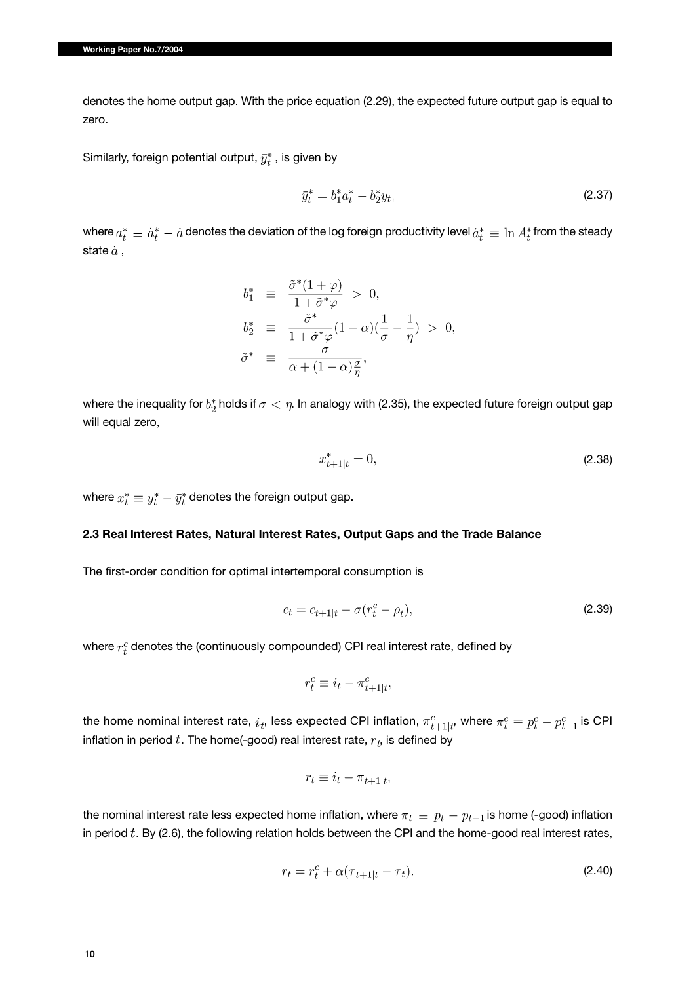denotes the home output gap. With the price equation (2.29), the expected future output gap is equal to zero.

Similarly, foreign potential output,  $\bar{y}_t^*$ , is given by

$$
\bar{y}_t^* = b_1^* a_t^* - b_2^* y_t,\tag{2.37}
$$

where  $a_t^* \equiv \dot{a}_t^* - \dot{a}$  denotes the deviation of the log foreign productivity level  $\dot{a}_t^* \equiv \ln A_t^*$  from the steady state  $\dot{a}$ ,

$$
b_1^* \equiv \frac{\tilde{\sigma}^*(1+\varphi)}{1+\tilde{\sigma}^*\varphi} > 0,
$$
  
\n
$$
b_2^* \equiv \frac{\tilde{\sigma}^*}{1+\tilde{\sigma}^*\varphi}(1-\alpha)(\frac{1}{\sigma}-\frac{1}{\eta}) > 0,
$$
  
\n
$$
\tilde{\sigma}^* \equiv \frac{\sigma}{\alpha+(1-\alpha)\frac{\sigma}{n}},
$$

where the inequality for  $b^*_2$  holds if  $\sigma < \eta$ . In analogy with (2.35), the expected future foreign output gap will equal zero,

$$
x_{t+1|t}^* = 0,\t\t(2.38)
$$

where  $x_t^* \equiv y_t^* - \bar{y}_t^*$  denotes the foreign output gap.

### **2.3 Real Interest Rates, Natural Interest Rates, Output Gaps and the Trade Balance**

The first-order condition for optimal intertemporal consumption is

$$
c_t = c_{t+1|t} - \sigma(r_t^c - \rho_t),
$$
\n(2.39)

where  $r_t^c$  denotes the (continuously compounded) CPI real interest rate, defined by

$$
r_t^c \equiv i_t - \pi_{t+1|t}^c,
$$

the home nominal interest rate,  $i_t$ , less expected CPI inflation,  $\pi_{t+1|t}^c$ , where  $\pi_t^c \equiv p_t^c - p_{t-1}^c$  is CPI inflation in period  $t$ . The home(-good) real interest rate,  $r_t$ , is defined by

$$
r_t \equiv i_t - \pi_{t+1|t},
$$

the nominal interest rate less expected home inflation, where  $\pi_t \equiv p_t - p_{t-1}$  is home (-good) inflation in period  $t$ . By (2.6), the following relation holds between the CPI and the home-good real interest rates,

$$
r_t = r_t^c + \alpha(\tau_{t+1|t} - \tau_t). \tag{2.40}
$$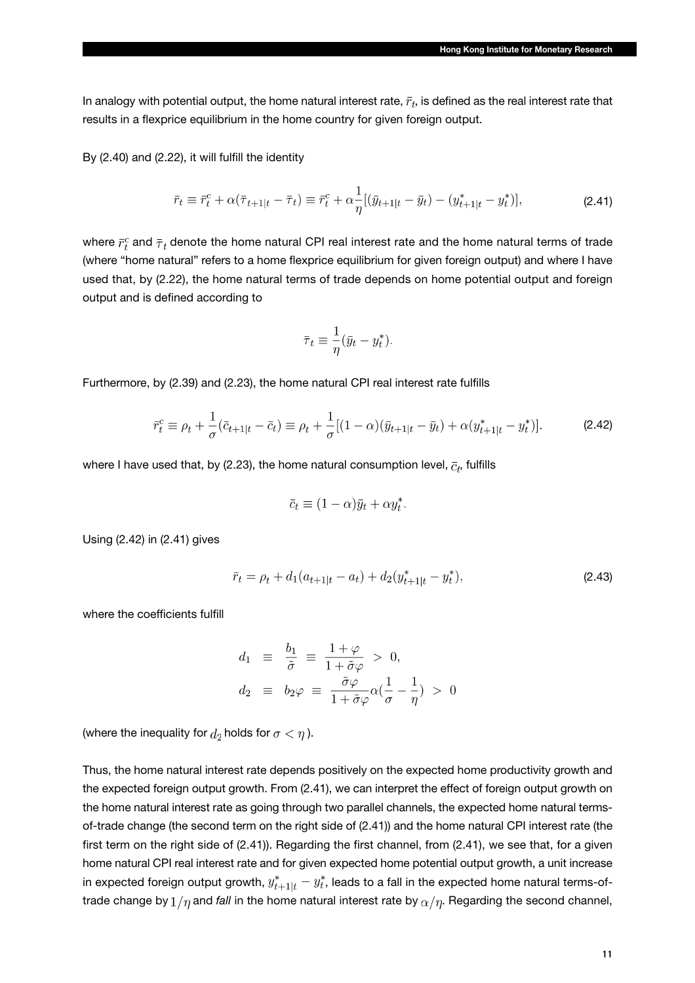In analogy with potential output, the home natural interest rate,  $\bar{r}_t$ , is defined as the real interest rate that results in a flexprice equilibrium in the home country for given foreign output.

By (2.40) and (2.22), it will fulfill the identity

$$
\bar{r}_t \equiv \bar{r}_t^c + \alpha(\bar{\tau}_{t+1|t} - \bar{\tau}_t) \equiv \bar{r}_t^c + \alpha \frac{1}{\eta} [(\bar{y}_{t+1|t} - \bar{y}_t) - (y_{t+1|t}^* - y_t^*)],
$$
\n(2.41)

where  $\bar{r}_t^c$  and  $\bar{\tau}_t$  denote the home natural CPI real interest rate and the home natural terms of trade (where "home natural" refers to a home flexprice equilibrium for given foreign output) and where I have used that, by (2.22), the home natural terms of trade depends on home potential output and foreign output and is defined according to

$$
\bar{\tau}_t \equiv \frac{1}{\eta} (\bar{y}_t - y_t^*)
$$

Furthermore, by (2.39) and (2.23), the home natural CPI real interest rate fulfills

$$
\bar{r}_t^c \equiv \rho_t + \frac{1}{\sigma} (\bar{c}_{t+1|t} - \bar{c}_t) \equiv \rho_t + \frac{1}{\sigma} [(1-\alpha)(\bar{y}_{t+1|t} - \bar{y}_t) + \alpha (y_{t+1|t}^* - y_t^*)]. \tag{2.42}
$$

where I have used that, by (2.23), the home natural consumption level,  $\bar{c}_t$ , fulfills

$$
\bar{c}_t \equiv (1 - \alpha)\bar{y}_t + \alpha y_t^*.
$$

Using (2.42) in (2.41) gives

$$
\bar{r}_t = \rho_t + d_1(a_{t+1|t} - a_t) + d_2(y_{t+1|t}^* - y_t^*),\tag{2.43}
$$

where the coefficients fulfill

$$
d_1 \equiv \frac{b_1}{\tilde{\sigma}} \equiv \frac{1+\varphi}{1+\tilde{\sigma}\varphi} > 0,
$$
  

$$
d_2 \equiv b_2 \varphi \equiv \frac{\tilde{\sigma}\varphi}{1+\tilde{\sigma}\varphi} \alpha \left(\frac{1}{\sigma} - \frac{1}{\eta}\right) > 0
$$

(where the inequality for  $d_2$  holds for  $\sigma < \eta$ ).

Thus, the home natural interest rate depends positively on the expected home productivity growth and the expected foreign output growth. From (2.41), we can interpret the effect of foreign output growth on the home natural interest rate as going through two parallel channels, the expected home natural termsof-trade change (the second term on the right side of (2.41)) and the home natural CPI interest rate (the first term on the right side of (2.41)). Regarding the first channel, from (2.41), we see that, for a given home natural CPI real interest rate and for given expected home potential output growth, a unit increase in expected foreign output growth,  $y_{t+1|t}^* - y_t^*$ , leads to a fall in the expected home natural terms-oftrade change by  $1/\eta$  and *fall* in the home natural interest rate by  $\alpha/\eta$ . Regarding the second channel,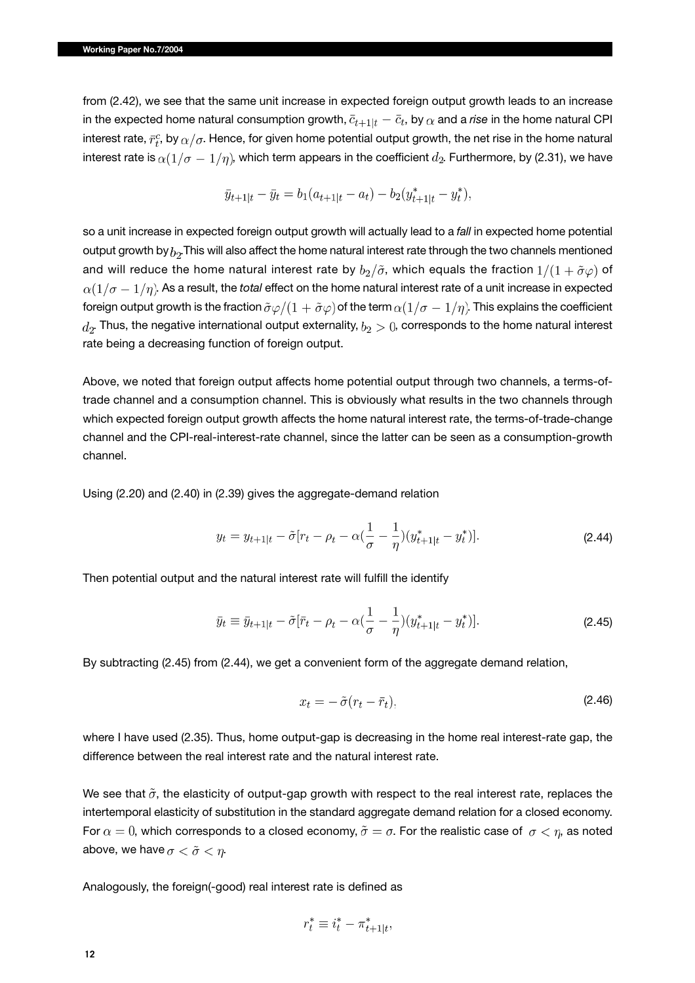from (2.42), we see that the same unit increase in expected foreign output growth leads to an increase in the expected home natural consumption growth,  $\bar{c}_{t+1|t} - \bar{c}_t$ , by  $\alpha$  and a *rise* in the home natural CPI interest rate,  $\bar{r}_t^c$ , by  $\alpha/\sigma$ . Hence, for given home potential output growth, the net rise in the home natural interest rate is  $\alpha(1/\sigma-1/\eta)$ , which term appears in the coefficient  $d_2$ . Furthermore, by (2.31), we have

$$
\bar{y}_{t+1|t} - \bar{y}_t = b_1(a_{t+1|t} - a_t) - b_2(y_{t+1|t}^* - y_t^*),
$$

so a unit increase in expected foreign output growth will actually lead to a *fall* in expected home potential output growth by  $b<sub>2</sub>$ . This will also affect the home natural interest rate through the two channels mentioned and will reduce the home natural interest rate by  $b_2/\tilde{\sigma}$ , which equals the fraction  $1/(1+\tilde{\sigma}\varphi)$  of  $\alpha(1/\sigma-1/\eta)$ . As a result, the *total* effect on the home natural interest rate of a unit increase in expected foreign output growth is the fraction  $\tilde{\sigma}\varphi/(1+\tilde{\sigma}\varphi)$  of the term  $\alpha(1/\sigma-1/\eta)$ . This explains the coefficient  $d_2$ . Thus, the negative international output externality,  $b_2 > 0$ , corresponds to the home natural interest rate being a decreasing function of foreign output.

Above, we noted that foreign output affects home potential output through two channels, a terms-oftrade channel and a consumption channel. This is obviously what results in the two channels through which expected foreign output growth affects the home natural interest rate, the terms-of-trade-change channel and the CPI-real-interest-rate channel, since the latter can be seen as a consumption-growth channel.

Using (2.20) and (2.40) in (2.39) gives the aggregate-demand relation

$$
y_t = y_{t+1|t} - \tilde{\sigma}[r_t - \rho_t - \alpha(\frac{1}{\sigma} - \frac{1}{\eta})(y_{t+1|t}^* - y_t^*)].
$$
\n(2.44)

Then potential output and the natural interest rate will fulfill the identify

$$
\bar{y}_t \equiv \bar{y}_{t+1|t} - \tilde{\sigma}[\bar{r}_t - \rho_t - \alpha(\frac{1}{\sigma} - \frac{1}{\eta})(y_{t+1|t}^* - y_t^*)].
$$
\n(2.45)

By subtracting (2.45) from (2.44), we get a convenient form of the aggregate demand relation,

$$
x_t = -\tilde{\sigma}(r_t - \bar{r}_t),\tag{2.46}
$$

where I have used (2.35). Thus, home output-gap is decreasing in the home real interest-rate gap, the difference between the real interest rate and the natural interest rate.

We see that  $\tilde{\sigma}$ , the elasticity of output-gap growth with respect to the real interest rate, replaces the intertemporal elasticity of substitution in the standard aggregate demand relation for a closed economy. For  $\alpha = 0$ , which corresponds to a closed economy,  $\tilde{\sigma} = \sigma$ . For the realistic case of  $\sigma < \eta$ , as noted above, we have  $\sigma < \tilde{\sigma} < n$ .

Analogously, the foreign(-good) real interest rate is defined as

$$
r_t^* \equiv i_t^* - \pi_{t+1|t}^*,
$$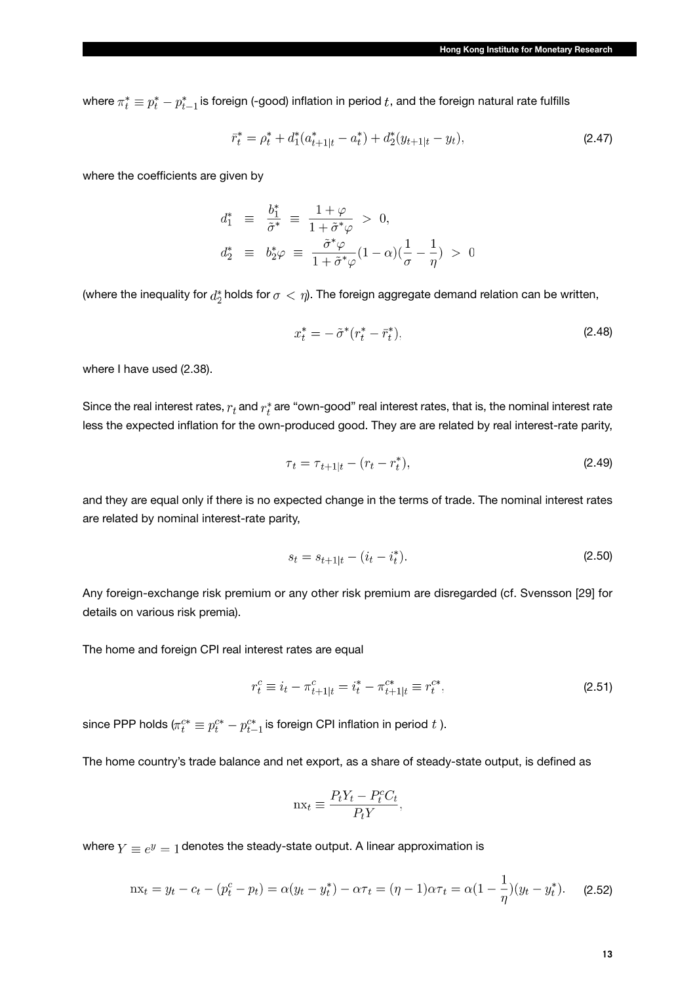where  $\pi^*_t \equiv p^*_t - p^*_{t-1}$  is foreign (-good) inflation in period  $t$ , and the foreign natural rate fulfills

$$
\bar{r}_t^* = \rho_t^* + d_1^*(a_{t+1|t}^* - a_t^*) + d_2^*(y_{t+1|t} - y_t),\tag{2.47}
$$

where the coefficients are given by

$$
d_1^* \equiv \frac{b_1^*}{\tilde{\sigma}^*} \equiv \frac{1+\varphi}{1+\tilde{\sigma}^*\varphi} > 0,
$$
  

$$
d_2^* \equiv b_2^*\varphi \equiv \frac{\tilde{\sigma}^*\varphi}{1+\tilde{\sigma}^*\varphi}(1-\alpha)(\frac{1}{\sigma}-\frac{1}{\eta}) > 0
$$

(where the inequality for  $d_2^*$  holds for  $\sigma < \eta$ ). The foreign aggregate demand relation can be written,

$$
x_t^* = -\tilde{\sigma}^*(r_t^* - \bar{r}_t^*),\tag{2.48}
$$

where I have used (2.38).

Since the real interest rates,  $r_t$  and  $r_t^*$  are "own-good" real interest rates, that is, the nominal interest rate less the expected inflation for the own-produced good. They are are related by real interest-rate parity,

$$
\tau_t = \tau_{t+1|t} - (r_t - r_t^*),\tag{2.49}
$$

and they are equal only if there is no expected change in the terms of trade. The nominal interest rates are related by nominal interest-rate parity,

$$
s_t = s_{t+1|t} - (i_t - i_t^*). \tag{2.50}
$$

Any foreign-exchange risk premium or any other risk premium are disregarded (cf. Svensson [29] for details on various risk premia).

The home and foreign CPI real interest rates are equal

$$
r_t^c \equiv i_t - \pi_{t+1|t}^c = i_t^* - \pi_{t+1|t}^{c*} \equiv r_t^{c*},\tag{2.51}
$$

since PPP holds  $(\pi_t^{c*} \equiv p_t^{c*} - p_{t-1}^{c*})$  is foreign CPI inflation in period t ).

The home country's trade balance and net export, as a share of steady-state output, is defined as

$$
nx_t \equiv \frac{P_t Y_t - P_t^c C_t}{P_t Y},
$$

where  $Y \equiv e^y = 1$  denotes the steady-state output. A linear approximation is

$$
nx_t = y_t - c_t - (p_t^c - p_t) = \alpha(y_t - y_t^*) - \alpha \tau_t = (\eta - 1)\alpha \tau_t = \alpha(1 - \frac{1}{\eta})(y_t - y_t^*).
$$
 (2.52)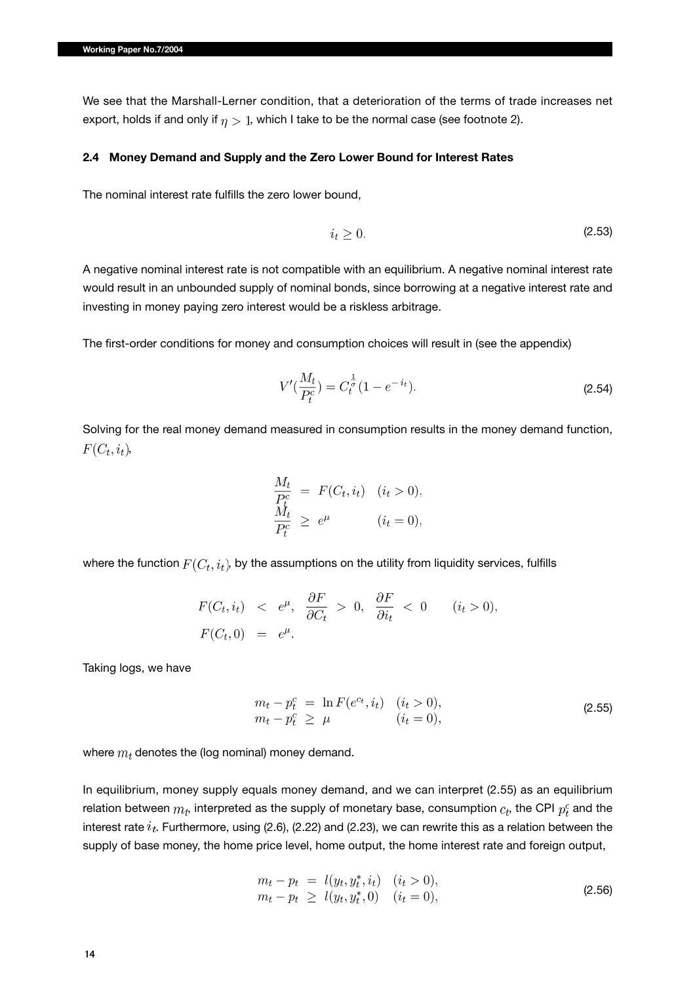We see that the Marshall-Lerner condition, that a deterioration of the terms of trade increases net export, holds if and only if  $\eta > 1$ , which I take to be the normal case (see footnote 2).

#### **2.4 Money Demand and Supply and the Zero Lower Bound for Interest Rates**

The nominal interest rate fulfills the zero lower bound,

$$
i_t \geq 0. \tag{2.53}
$$

A negative nominal interest rate is not compatible with an equilibrium. A negative nominal interest rate would result in an unbounded supply of nominal bonds, since borrowing at a negative interest rate and investing in money paying zero interest would be a riskless arbitrage.

The first-order conditions for money and consumption choices will result in (see the appendix)

$$
V'(\frac{M_t}{P_t^c}) = C_t^{\frac{1}{\sigma}} (1 - e^{-i_t}).
$$
\n(2.54)

Solving for the real money demand measured in consumption results in the money demand function,  $F(C_t, i_t)$ ,

$$
\frac{M_t}{P_t^c} = F(C_t, i_t) \quad (i_t > 0),
$$
  
\n
$$
\frac{M_t}{P_t^c} \ge e^{\mu} \qquad (i_t = 0),
$$

where the function  $F(C_t, i_t)$ , by the assumptions on the utility from liquidity services, fulfills

$$
F(C_t, i_t) < e^{\mu}, \frac{\partial F}{\partial C_t} > 0, \frac{\partial F}{\partial i_t} < 0 \quad (i_t > 0),
$$
  

$$
F(C_t, 0) = e^{\mu}.
$$

Taking logs, we have

$$
m_t - p_t^c = \ln F(e^{ct}, i_t) \quad (i_t > 0), m_t - p_t^c \ge \mu \qquad (i_t = 0),
$$
\n(2.55)

where  $m_t$  denotes the (log nominal) money demand.

In equilibrium, money supply equals money demand, and we can interpret (2.55) as an equilibrium relation between  $m_t$ , interpreted as the supply of monetary base, consumption  $c_t$ , the CPI  $p_t^c$  and the interest rate  $i_t$ . Furthermore, using (2.6), (2.22) and (2.23), we can rewrite this as a relation between the supply of base money, the home price level, home output, the home interest rate and foreign output,

$$
m_t - p_t = l(y_t, y_t^*, i_t) \quad (i_t > 0),
$$
  
\n
$$
m_t - p_t \ge l(y_t, y_t^*, 0) \quad (i_t = 0),
$$
\n(2.56)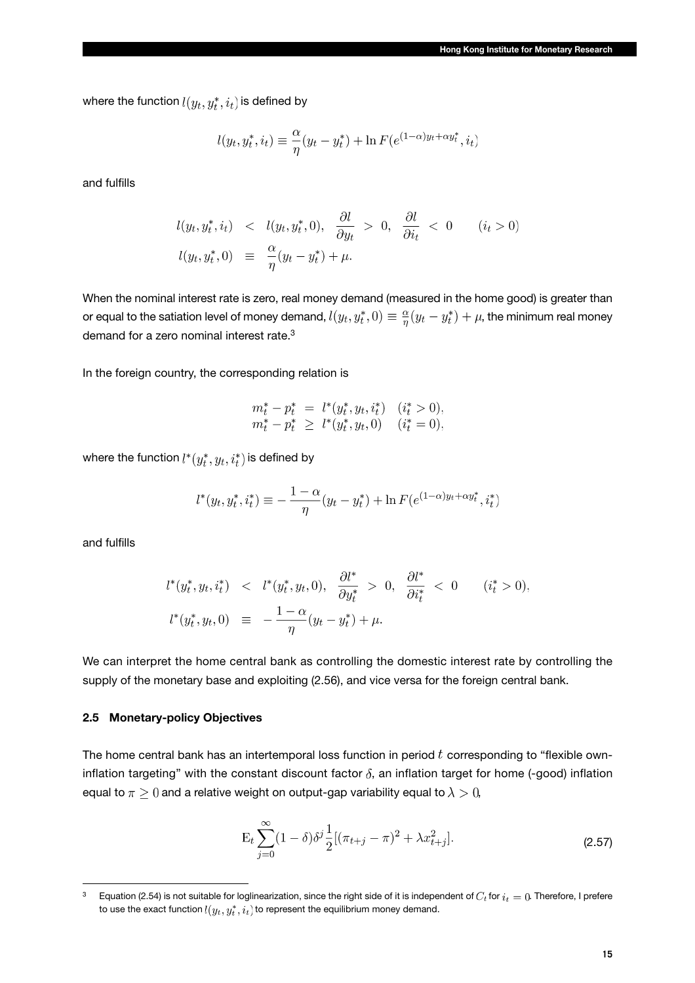where the function  $l(y_t, y_t^*, i_t)$  is defined by

$$
l(y_t, y_t^*, i_t) \equiv \frac{\alpha}{\eta}(y_t - y_t^*) + \ln F(e^{(1-\alpha)y_t + \alpha y_t^*}, i_t)
$$

and fulfills

$$
l(y_t, y_t^*, i_t) < l(y_t, y_t^*, 0), \quad \frac{\partial l}{\partial y_t} > 0, \quad \frac{\partial l}{\partial i_t} < 0 \qquad (i_t > 0)
$$
\n
$$
l(y_t, y_t^*, 0) \equiv \frac{\alpha}{\eta}(y_t - y_t^*) + \mu.
$$

When the nominal interest rate is zero, real money demand (measured in the home good) is greater than or equal to the satiation level of money demand,  $l(y_t, y_t^*, 0) \equiv \frac{\alpha}{\eta}(y_t - y_t^*) + \mu$ , the minimum real money demand for a zero nominal interest rate.<sup>3</sup>

In the foreign country, the corresponding relation is

$$
m_t^* - p_t^* = l^*(y_t^*, y_t, i_t^*) \quad (i_t^* > 0),
$$
  

$$
m_t^* - p_t^* \ge l^*(y_t^*, y_t, 0) \quad (i_t^* = 0),
$$

where the function  $l^*(y_t^*, y_t, i_t^*)$  is defined by

$$
l^*(y_t, y_t^*, i_t^*) \equiv -\frac{1-\alpha}{\eta}(y_t - y_t^*) + \ln F(e^{(1-\alpha)y_t + \alpha y_t^*}, i_t^*)
$$

and fulfills

$$
l^*(y_t^*, y_t, i_t^*) \leq l^*(y_t^*, y_t, 0), \quad \frac{\partial l^*}{\partial y_t^*} > 0, \quad \frac{\partial l^*}{\partial i_t^*} < 0 \quad (i_t^* > 0).
$$
  

$$
l^*(y_t^*, y_t, 0) \equiv -\frac{1-\alpha}{n}(y_t - y_t^*) + \mu.
$$

We can interpret the home central bank as controlling the domestic interest rate by controlling the supply of the monetary base and exploiting (2.56), and vice versa for the foreign central bank.

#### **2.5 Monetary-policy Objectives**

The home central bank has an intertemporal loss function in period  $t$  corresponding to "flexible owninflation targeting" with the constant discount factor  $\delta$ , an inflation target for home (-good) inflation equal to  $\pi \geq 0$  and a relative weight on output-gap variability equal to  $\lambda > 0$ ,

$$
\mathcal{E}_t \sum_{j=0}^{\infty} (1-\delta) \delta^j \frac{1}{2} [(\pi_{t+j} - \pi)^2 + \lambda x_{t+j}^2].
$$
 (2.57)

<sup>&</sup>lt;sup>3</sup> Equation (2.54) is not suitable for loglinearization, since the right side of it is independent of  $C_t$  for  $i_t = 0$ . Therefore, I prefere to use the exact function  $l(y_t, y_t^*, i_t)$  to represent the equilibrium money demand.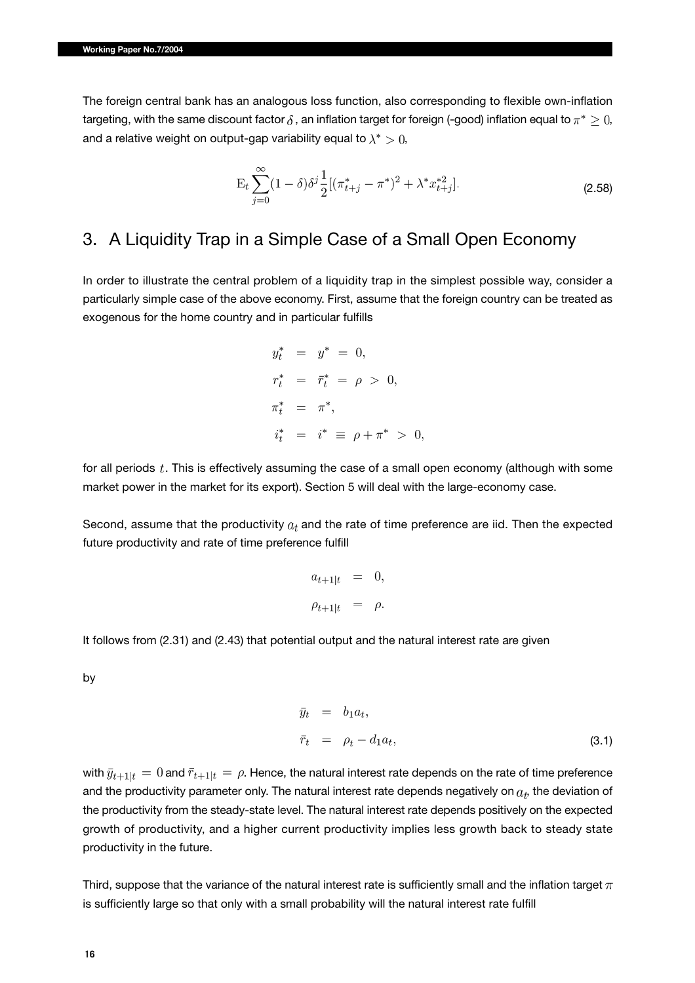The foreign central bank has an analogous loss function, also corresponding to flexible own-inflation targeting, with the same discount factor  $\delta$ , an inflation target for foreign (-good) inflation equal to  $\pi^* \geq 0$ , and a relative weight on output-gap variability equal to  $\lambda^* > 0$ ,

$$
E_t \sum_{j=0}^{\infty} (1 - \delta) \delta^j \frac{1}{2} [(\pi_{t+j}^* - \pi^*)^2 + \lambda^* x_{t+j}^{*2}].
$$
 (2.58)

## 3. A Liquidity Trap in a Simple Case of a Small Open Economy

In order to illustrate the central problem of a liquidity trap in the simplest possible way, consider a particularly simple case of the above economy. First, assume that the foreign country can be treated as exogenous for the home country and in particular fulfills

$$
y_t^* = y^* = 0,
$$
  
\n
$$
r_t^* = \bar{r}_t^* = \rho > 0,
$$
  
\n
$$
\pi_t^* = \pi^*,
$$
  
\n
$$
i_t^* = i^* \equiv \rho + \pi^* > 0,
$$

for all periods  $t$ . This is effectively assuming the case of a small open economy (although with some market power in the market for its export). Section 5 will deal with the large-economy case.

Second, assume that the productivity  $a_t$  and the rate of time preference are iid. Then the expected future productivity and rate of time preference fulfill

$$
a_{t+1|t} = 0,
$$
  

$$
\rho_{t+1|t} = \rho.
$$

It follows from (2.31) and (2.43) that potential output and the natural interest rate are given

by

$$
\bar{y}_t = b_1 a_t,
$$
\n
$$
\bar{r}_t = \rho_t - d_1 a_t,
$$
\n(3.1)

with  $\bar{y}_{t+1|t} = 0$  and  $\bar{r}_{t+1|t} = \rho$ . Hence, the natural interest rate depends on the rate of time preference and the productivity parameter only. The natural interest rate depends negatively on  $a_t$ , the deviation of the productivity from the steady-state level. The natural interest rate depends positively on the expected growth of productivity, and a higher current productivity implies less growth back to steady state productivity in the future.

Third, suppose that the variance of the natural interest rate is sufficiently small and the inflation target  $\pi$ is sufficiently large so that only with a small probability will the natural interest rate fulfill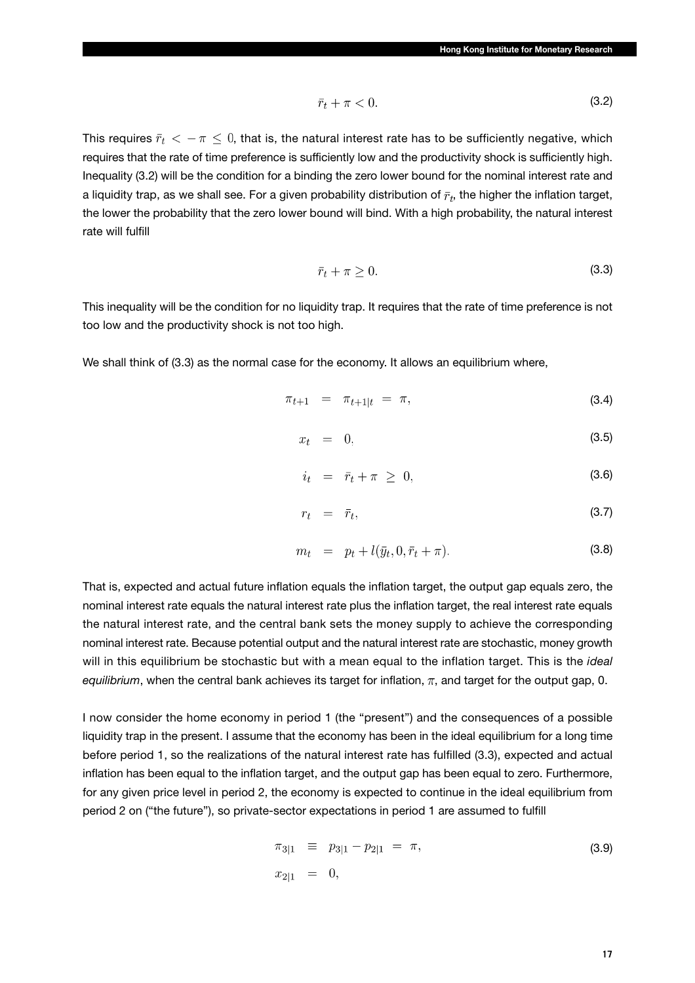$$
\bar{r}_t + \pi < 0. \tag{3.2}
$$

This requires  $\bar{r}_t < -\pi \leq 0$ , that is, the natural interest rate has to be sufficiently negative, which requires that the rate of time preference is sufficiently low and the productivity shock is sufficiently high. Inequality (3.2) will be the condition for a binding the zero lower bound for the nominal interest rate and a liquidity trap, as we shall see. For a given probability distribution of  $\bar{r}_t$ , the higher the inflation target, the lower the probability that the zero lower bound will bind. With a high probability, the natural interest rate will fulfill

$$
\bar{r}_t + \pi \ge 0. \tag{3.3}
$$

This inequality will be the condition for no liquidity trap. It requires that the rate of time preference is not too low and the productivity shock is not too high.

We shall think of (3.3) as the normal case for the economy. It allows an equilibrium where,

$$
\pi_{t+1} = \pi_{t+1|t} = \pi, \tag{3.4}
$$

$$
x_t = 0, \t\t(3.5)
$$

$$
i_t = \bar{r}_t + \pi \geq 0,\tag{3.6}
$$

$$
r_t = \bar{r}_t, \tag{3.7}
$$

$$
m_t = p_t + l(\bar{y}_t, 0, \bar{r}_t + \pi).
$$
 (3.8)

That is, expected and actual future inflation equals the inflation target, the output gap equals zero, the nominal interest rate equals the natural interest rate plus the inflation target, the real interest rate equals the natural interest rate, and the central bank sets the money supply to achieve the corresponding nominal interest rate. Because potential output and the natural interest rate are stochastic, money growth will in this equilibrium be stochastic but with a mean equal to the inflation target. This is the *ideal equilibrium*, when the central bank achieves its target for inflation,  $\pi$ , and target for the output gap, 0.

I now consider the home economy in period 1 (the "present") and the consequences of a possible liquidity trap in the present. I assume that the economy has been in the ideal equilibrium for a long time before period 1, so the realizations of the natural interest rate has fulfilled (3.3), expected and actual inflation has been equal to the inflation target, and the output gap has been equal to zero. Furthermore, for any given price level in period 2, the economy is expected to continue in the ideal equilibrium from period 2 on ("the future"), so private-sector expectations in period 1 are assumed to fulfill

$$
\pi_{3|1} \equiv p_{3|1} - p_{2|1} = \pi,
$$
\n(3.9)\n
$$
x_{2|1} = 0,
$$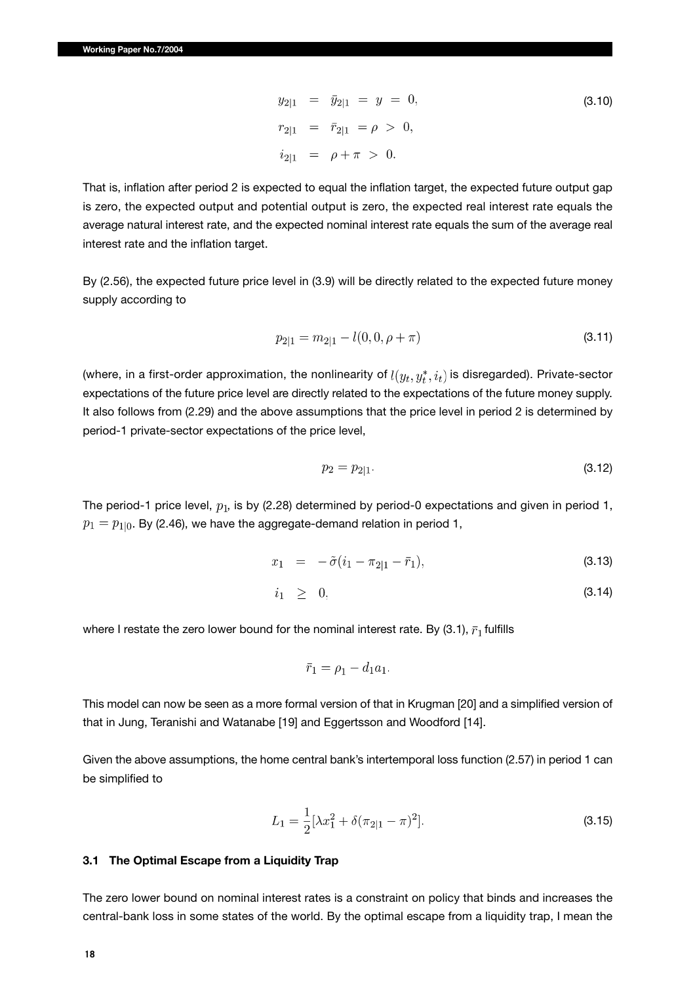$$
y_{2|1} = \bar{y}_{2|1} = y = 0,
$$
  
\n
$$
r_{2|1} = \bar{r}_{2|1} = \rho > 0,
$$
  
\n
$$
i_{2|1} = \rho + \pi > 0.
$$
  
\n(3.10)

That is, inflation after period 2 is expected to equal the inflation target, the expected future output gap is zero, the expected output and potential output is zero, the expected real interest rate equals the average natural interest rate, and the expected nominal interest rate equals the sum of the average real interest rate and the inflation target.

By (2.56), the expected future price level in (3.9) will be directly related to the expected future money supply according to

$$
p_{2|1} = m_{2|1} - l(0, 0, \rho + \pi) \tag{3.11}
$$

(where, in a first-order approximation, the nonlinearity of  $l(y_t, y_t^*, i_t)$  is disregarded). Private-sector expectations of the future price level are directly related to the expectations of the future money supply. It also follows from (2.29) and the above assumptions that the price level in period 2 is determined by period-1 private-sector expectations of the price level,

$$
p_2 = p_{2|1}.\tag{3.12}
$$

The period-1 price level,  $p_1$ , is by (2.28) determined by period-0 expectations and given in period 1,  $p_1 = p_{1|0}$ . By (2.46), we have the aggregate-demand relation in period 1,

$$
x_1 = -\tilde{\sigma}(i_1 - \pi_{2|1} - \bar{r}_1), \tag{3.13}
$$

$$
i_1 \geq 0,\tag{3.14}
$$

where I restate the zero lower bound for the nominal interest rate. By (3.1),  $\bar{r}_1$  fulfills

$$
\bar{r}_1 = \rho_1 - d_1 a_1.
$$

This model can now be seen as a more formal version of that in Krugman [20] and a simplified version of that in Jung, Teranishi and Watanabe [19] and Eggertsson and Woodford [14].

Given the above assumptions, the home central bank's intertemporal loss function (2.57) in period 1 can be simplified to

$$
L_1 = \frac{1}{2} [\lambda x_1^2 + \delta (\pi_{2|1} - \pi)^2].
$$
 (3.15)

#### **3.1 The Optimal Escape from a Liquidity Trap**

The zero lower bound on nominal interest rates is a constraint on policy that binds and increases the central-bank loss in some states of the world. By the optimal escape from a liquidity trap, I mean the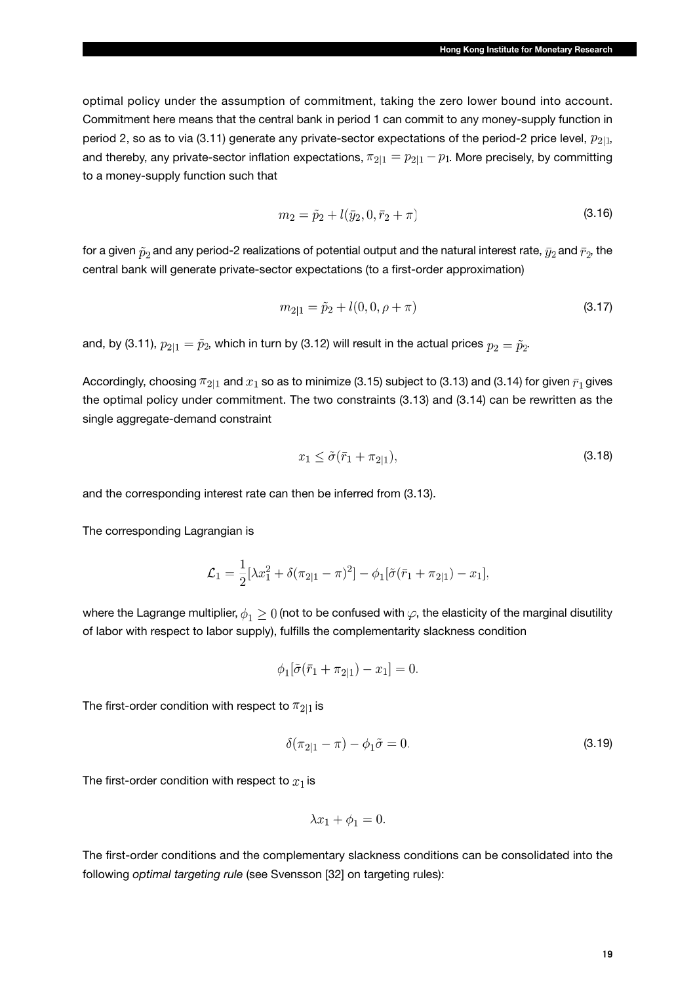optimal policy under the assumption of commitment, taking the zero lower bound into account. Commitment here means that the central bank in period 1 can commit to any money-supply function in period 2, so as to via (3.11) generate any private-sector expectations of the period-2 price level,  $p_{2|1}$ , and thereby, any private-sector inflation expectations,  $\pi_{2|1} = p_{2|1} - p_1$ . More precisely, by committing to a money-supply function such that

$$
m_2 = \tilde{p}_2 + l(\bar{y}_2, 0, \bar{r}_2 + \pi) \tag{3.16}
$$

for a given  $\tilde{p}_2$  and any period-2 realizations of potential output and the natural interest rate,  $\bar{y}_2$  and  $\bar{r}_2$ , the central bank will generate private-sector expectations (to a first-order approximation)

$$
m_{2|1} = \tilde{p}_2 + l(0, 0, \rho + \pi) \tag{3.17}
$$

and, by (3.11),  $p_{2|1} = \tilde{p}_2$ , which in turn by (3.12) will result in the actual prices  $p_2 = \tilde{p}_2$ .

Accordingly, choosing  $\pi_{2|1}$  and  $x_1$  so as to minimize (3.15) subject to (3.13) and (3.14) for given  $\bar{r}_1$  gives the optimal policy under commitment. The two constraints (3.13) and (3.14) can be rewritten as the single aggregate-demand constraint

$$
x_1 \le \tilde{\sigma}(\bar{r}_1 + \pi_{2|1}),\tag{3.18}
$$

and the corresponding interest rate can then be inferred from (3.13).

The corresponding Lagrangian is

$$
\mathcal{L}_1 = \frac{1}{2} [\lambda x_1^2 + \delta (\pi_{2|1} - \pi)^2] - \phi_1 [\tilde{\sigma} (\bar{r}_1 + \pi_{2|1}) - x_1],
$$

where the Lagrange multiplier,  $\phi_1 \geq 0$  (not to be confused with  $\varphi$ , the elasticity of the marginal disutility of labor with respect to labor supply), fulfills the complementarity slackness condition

$$
\phi_1[\tilde{\sigma}(\bar{r}_1 + \pi_{2|1}) - x_1] = 0
$$

The first-order condition with respect to  $\pi_{2|1}$  is

$$
\delta(\pi_{2|1} - \pi) - \phi_1 \tilde{\sigma} = 0. \tag{3.19}
$$

The first-order condition with respect to  $x_1$  is

$$
\lambda x_1 + \phi_1 = 0.
$$

The first-order conditions and the complementary slackness conditions can be consolidated into the following *optimal targeting rule* (see Svensson [32] on targeting rules):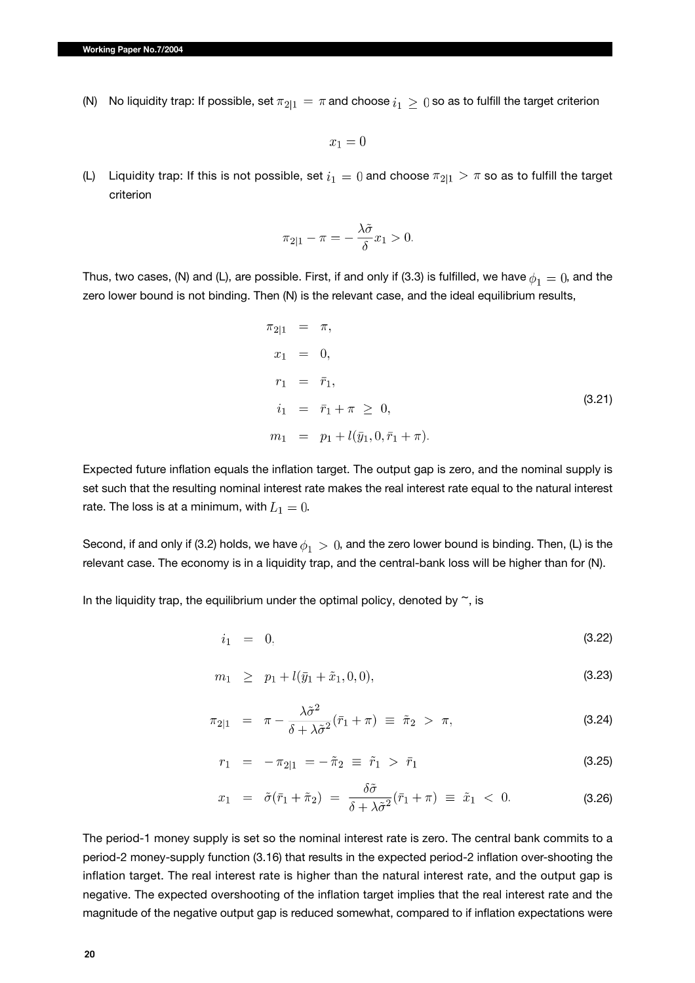(N) No liquidity trap: If possible, set  $\pi_{2|1} = \pi$  and choose  $i_1 \geq 0$  so as to fulfill the target criterion

 $x_1=0$ 

(L) Liquidity trap: If this is not possible, set  $i_1 = 0$  and choose  $\pi_{2|1} > \pi$  so as to fulfill the target criterion

$$
\pi_{2|1} - \pi = -\frac{\lambda \tilde{\sigma}}{\delta} x_1 > 0.
$$

Thus, two cases, (N) and (L), are possible. First, if and only if (3.3) is fulfilled, we have  $\phi_1 = 0$ , and the zero lower bound is not binding. Then (N) is the relevant case, and the ideal equilibrium results,

$$
\pi_{2|1} = \pi,
$$
  
\n
$$
x_1 = 0,
$$
  
\n
$$
r_1 = \bar{r}_1,
$$
  
\n
$$
i_1 = \bar{r}_1 + \pi \ge 0,
$$
  
\n
$$
m_1 = p_1 + l(\bar{y}_1, 0, \bar{r}_1 + \pi).
$$
\n(3.21)

Expected future inflation equals the inflation target. The output gap is zero, and the nominal supply is set such that the resulting nominal interest rate makes the real interest rate equal to the natural interest rate. The loss is at a minimum, with  $L_1 = 0$ .

Second, if and only if (3.2) holds, we have  $\phi_1 > 0$ , and the zero lower bound is binding. Then, (L) is the relevant case. The economy is in a liquidity trap, and the central-bank loss will be higher than for (N).

In the liquidity trap, the equilibrium under the optimal policy, denoted by  $\tilde{\phantom{a}}$ , is

$$
i_1 = 0, \tag{3.22}
$$

$$
m_1 \geq p_1 + l(\bar{y}_1 + \tilde{x}_1, 0, 0), \tag{3.23}
$$

$$
\pi_{2|1} = \pi - \frac{\lambda \tilde{\sigma}^2}{\delta + \lambda \tilde{\sigma}^2} (\bar{r}_1 + \pi) \equiv \tilde{\pi}_2 > \pi,
$$
\n(3.24)

$$
r_1 = -\pi_{2|1} = -\tilde{\pi}_2 \equiv \tilde{r}_1 > \bar{r}_1 \tag{3.25}
$$

$$
x_1 = \tilde{\sigma}(\bar{r}_1 + \tilde{\pi}_2) = \frac{\delta \tilde{\sigma}}{\delta + \lambda \tilde{\sigma}^2}(\bar{r}_1 + \pi) \equiv \tilde{x}_1 < 0. \tag{3.26}
$$

The period-1 money supply is set so the nominal interest rate is zero. The central bank commits to a period-2 money-supply function (3.16) that results in the expected period-2 inflation over-shooting the inflation target. The real interest rate is higher than the natural interest rate, and the output gap is negative. The expected overshooting of the inflation target implies that the real interest rate and the magnitude of the negative output gap is reduced somewhat, compared to if inflation expectations were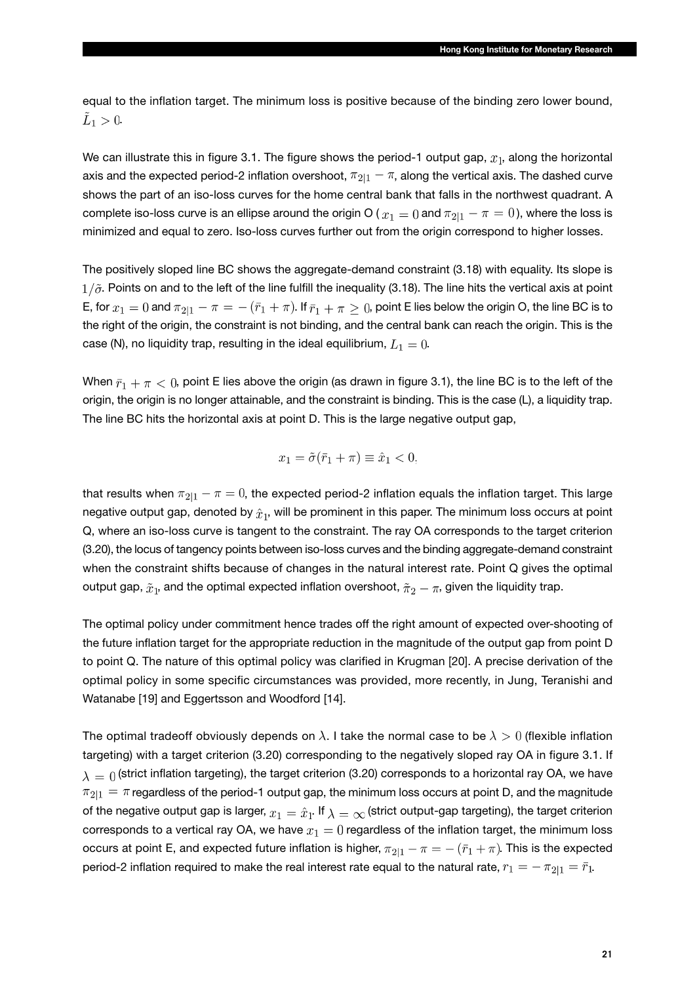equal to the inflation target. The minimum loss is positive because of the binding zero lower bound,  $\tilde{L}_1>0.$ 

We can illustrate this in figure 3.1. The figure shows the period-1 output gap,  $x_1$ , along the horizontal axis and the expected period-2 inflation overshoot,  $\pi_{2|1} - \pi$ , along the vertical axis. The dashed curve shows the part of an iso-loss curves for the home central bank that falls in the northwest quadrant. A complete iso-loss curve is an ellipse around the origin O ( $x_1 = 0$  and  $\pi_{2|1} - \pi = 0$ ), where the loss is minimized and equal to zero. Iso-loss curves further out from the origin correspond to higher losses.

The positively sloped line BC shows the aggregate-demand constraint (3.18) with equality. Its slope is  $1/\tilde{\sigma}$ . Points on and to the left of the line fulfill the inequality (3.18). The line hits the vertical axis at point E, for  $x_1 = 0$  and  $\pi_{2|1} - \pi = -(\bar{r}_1 + \pi)$ . If  $\bar{r}_1 + \pi \ge 0$ , point E lies below the origin O, the line BC is to the right of the origin, the constraint is not binding, and the central bank can reach the origin. This is the case (N), no liquidity trap, resulting in the ideal equilibrium,  $L_1 = 0$ .

When  $\bar{r}_1 + \pi < 0$ , point E lies above the origin (as drawn in figure 3.1), the line BC is to the left of the origin, the origin is no longer attainable, and the constraint is binding. This is the case (L), a liquidity trap. The line BC hits the horizontal axis at point D. This is the large negative output gap,

$$
x_1 = \tilde{\sigma}(\bar{r}_1 + \pi) \equiv \hat{x}_1 < 0,
$$

that results when  $\pi_{2|1} - \pi = 0$ , the expected period-2 inflation equals the inflation target. This large negative output gap, denoted by  $\hat{x}_1$ , will be prominent in this paper. The minimum loss occurs at point Q, where an iso-loss curve is tangent to the constraint. The ray OA corresponds to the target criterion (3.20), the locus of tangency points between iso-loss curves and the binding aggregate-demand constraint when the constraint shifts because of changes in the natural interest rate. Point Q gives the optimal output gap,  $\tilde{x}_1$ , and the optimal expected inflation overshoot,  $\tilde{\pi}_2 - \pi$ , given the liquidity trap.

The optimal policy under commitment hence trades off the right amount of expected over-shooting of the future inflation target for the appropriate reduction in the magnitude of the output gap from point D to point Q. The nature of this optimal policy was clarified in Krugman [20]. A precise derivation of the optimal policy in some specific circumstances was provided, more recently, in Jung, Teranishi and Watanabe [19] and Eggertsson and Woodford [14].

The optimal tradeoff obviously depends on  $\lambda$ . I take the normal case to be  $\lambda > 0$  (flexible inflation targeting) with a target criterion (3.20) corresponding to the negatively sloped ray OA in figure 3.1. If  $\lambda = 0$  (strict inflation targeting), the target criterion (3.20) corresponds to a horizontal ray OA, we have  $\pi_{2|1} = \pi$  regardless of the period-1 output gap, the minimum loss occurs at point D, and the magnitude of the negative output gap is larger,  $x_1 = \hat{x}_1$ . If  $\lambda = \infty$  (strict output-gap targeting), the target criterion corresponds to a vertical ray OA, we have  $x_1 = 0$  regardless of the inflation target, the minimum loss occurs at point E, and expected future inflation is higher,  $\pi_{2|1} - \pi = -(\bar{r}_1 + \pi)$ . This is the expected period-2 inflation required to make the real interest rate equal to the natural rate,  $r_1 = -\pi_{2|1} = \bar{r}_1$ .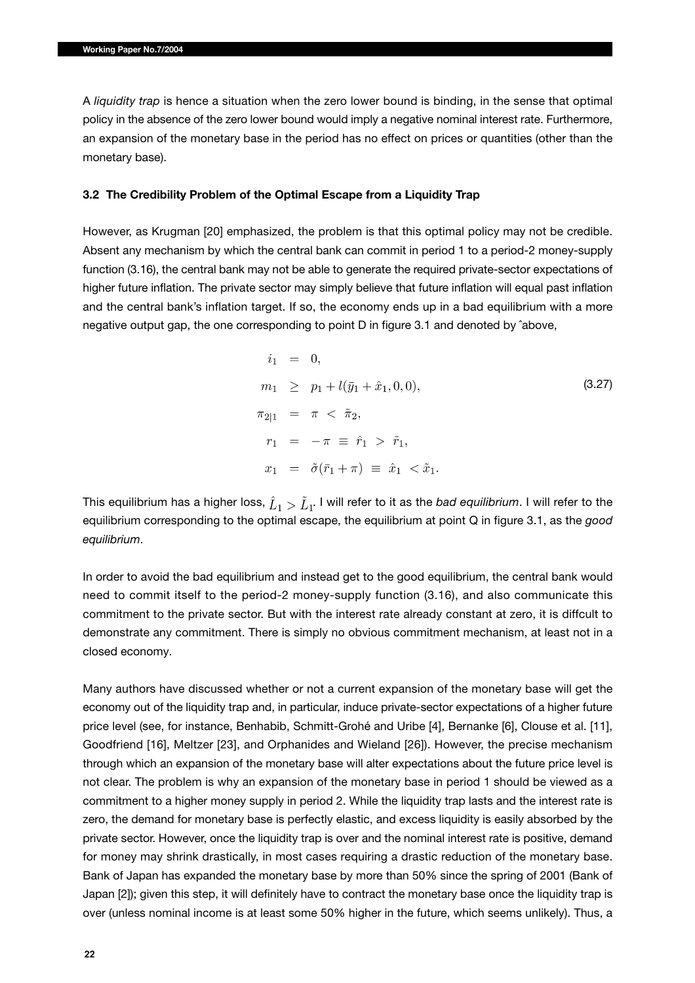A *liquidity trap* is hence a situation when the zero lower bound is binding, in the sense that optimal policy in the absence of the zero lower bound would imply a negative nominal interest rate. Furthermore, an expansion of the monetary base in the period has no effect on prices or quantities (other than the monetary base).

#### **3.2 The Credibility Problem of the Optimal Escape from a Liquidity Trap**

However, as Krugman [20] emphasized, the problem is that this optimal policy may not be credible. Absent any mechanism by which the central bank can commit in period 1 to a period-2 money-supply function (3.16), the central bank may not be able to generate the required private-sector expectations of higher future inflation. The private sector may simply believe that future inflation will equal past inflation and the central bank's inflation target. If so, the economy ends up in a bad equilibrium with a more negative output gap, the one corresponding to point D in figure 3.1 and denoted by ˆabove,

$$
i_1 = 0,
$$
  
\n
$$
m_1 \ge p_1 + l(\bar{y}_1 + \hat{x}_1, 0, 0),
$$
  
\n
$$
\pi_{2|1} = \pi < \tilde{\pi}_2,
$$
  
\n
$$
r_1 = -\pi \equiv \hat{r}_1 > \tilde{r}_1,
$$
  
\n
$$
x_1 = \tilde{\sigma}(\bar{r}_1 + \pi) \equiv \hat{x}_1 < \tilde{x}_1.
$$
\n(3.27)

This equilibrium has a higher loss,  $\hat{L}_1 > \tilde{L}_1$ . I will refer to it as the *bad equilibrium*. I will refer to the equilibrium corresponding to the optimal escape, the equilibrium at point Q in figure 3.1, as the *good equilibrium*.

In order to avoid the bad equilibrium and instead get to the good equilibrium, the central bank would need to commit itself to the period-2 money-supply function (3.16), and also communicate this commitment to the private sector. But with the interest rate already constant at zero, it is diffcult to demonstrate any commitment. There is simply no obvious commitment mechanism, at least not in a closed economy.

Many authors have discussed whether or not a current expansion of the monetary base will get the economy out of the liquidity trap and, in particular, induce private-sector expectations of a higher future price level (see, for instance, Benhabib, Schmitt-Grohé and Uribe [4], Bernanke [6], Clouse et al. [11], Goodfriend [16], Meltzer [23], and Orphanides and Wieland [26]). However, the precise mechanism through which an expansion of the monetary base will alter expectations about the future price level is not clear. The problem is why an expansion of the monetary base in period 1 should be viewed as a commitment to a higher money supply in period 2. While the liquidity trap lasts and the interest rate is zero, the demand for monetary base is perfectly elastic, and excess liquidity is easily absorbed by the private sector. However, once the liquidity trap is over and the nominal interest rate is positive, demand for money may shrink drastically, in most cases requiring a drastic reduction of the monetary base. Bank of Japan has expanded the monetary base by more than 50% since the spring of 2001 (Bank of Japan [2]); given this step, it will definitely have to contract the monetary base once the liquidity trap is over (unless nominal income is at least some 50% higher in the future, which seems unlikely). Thus, a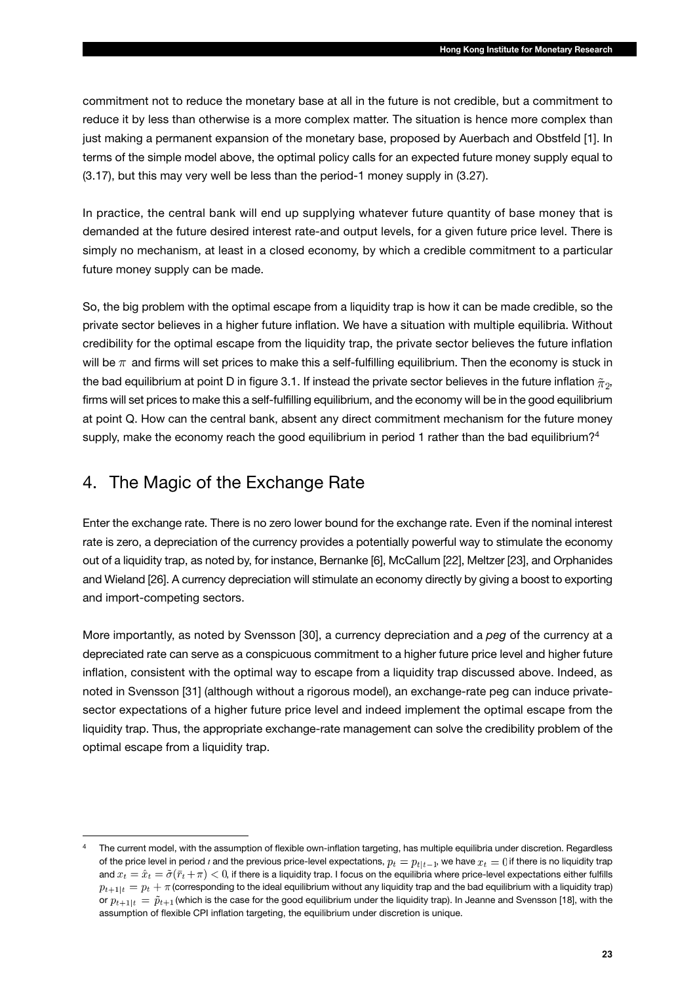commitment not to reduce the monetary base at all in the future is not credible, but a commitment to reduce it by less than otherwise is a more complex matter. The situation is hence more complex than just making a permanent expansion of the monetary base, proposed by Auerbach and Obstfeld [1]. In terms of the simple model above, the optimal policy calls for an expected future money supply equal to (3.17), but this may very well be less than the period-1 money supply in (3.27).

In practice, the central bank will end up supplying whatever future quantity of base money that is demanded at the future desired interest rate-and output levels, for a given future price level. There is simply no mechanism, at least in a closed economy, by which a credible commitment to a particular future money supply can be made.

So, the big problem with the optimal escape from a liquidity trap is how it can be made credible, so the private sector believes in a higher future inflation. We have a situation with multiple equilibria. Without credibility for the optimal escape from the liquidity trap, the private sector believes the future inflation will be  $\pi$  and firms will set prices to make this a self-fulfilling equilibrium. Then the economy is stuck in the bad equilibrium at point D in figure 3.1. If instead the private sector believes in the future inflation  $\tilde{\pi}_2$ , firms will set prices to make this a self-fulfilling equilibrium, and the economy will be in the good equilibrium at point Q. How can the central bank, absent any direct commitment mechanism for the future money supply, make the economy reach the good equilibrium in period 1 rather than the bad equilibrium?<sup>4</sup>

## 4. The Magic of the Exchange Rate

Enter the exchange rate. There is no zero lower bound for the exchange rate. Even if the nominal interest rate is zero, a depreciation of the currency provides a potentially powerful way to stimulate the economy out of a liquidity trap, as noted by, for instance, Bernanke [6], McCallum [22], Meltzer [23], and Orphanides and Wieland [26]. A currency depreciation will stimulate an economy directly by giving a boost to exporting and import-competing sectors.

More importantly, as noted by Svensson [30], a currency depreciation and a *peg* of the currency at a depreciated rate can serve as a conspicuous commitment to a higher future price level and higher future inflation, consistent with the optimal way to escape from a liquidity trap discussed above. Indeed, as noted in Svensson [31] (although without a rigorous model), an exchange-rate peg can induce privatesector expectations of a higher future price level and indeed implement the optimal escape from the liquidity trap. Thus, the appropriate exchange-rate management can solve the credibility problem of the optimal escape from a liquidity trap.

The current model, with the assumption of flexible own-inflation targeting, has multiple equilibria under discretion. Regardless of the price level in period *t* and the previous price-level expectations,  $p_t = p_{t|t-1}$ , we have  $x_t = 0$  if there is no liquidity trap and  $x_t = \hat{x}_t = \tilde{\sigma}(\bar{r}_t + \pi) < 0$ , if there is a liquidity trap. I focus on the equilibria where price-level expectations either fulfills  $p_{t+1|t} = p_t + \pi$  (corresponding to the ideal equilibrium without any liquidity trap and the bad equilibrium with a liquidity trap) or  $p_{t+1|t} = \tilde{p}_{t+1}$  (which is the case for the good equilibrium under the liquidity trap). In Jeanne and Svensson [18], with the assumption of flexible CPI inflation targeting, the equilibrium under discretion is unique.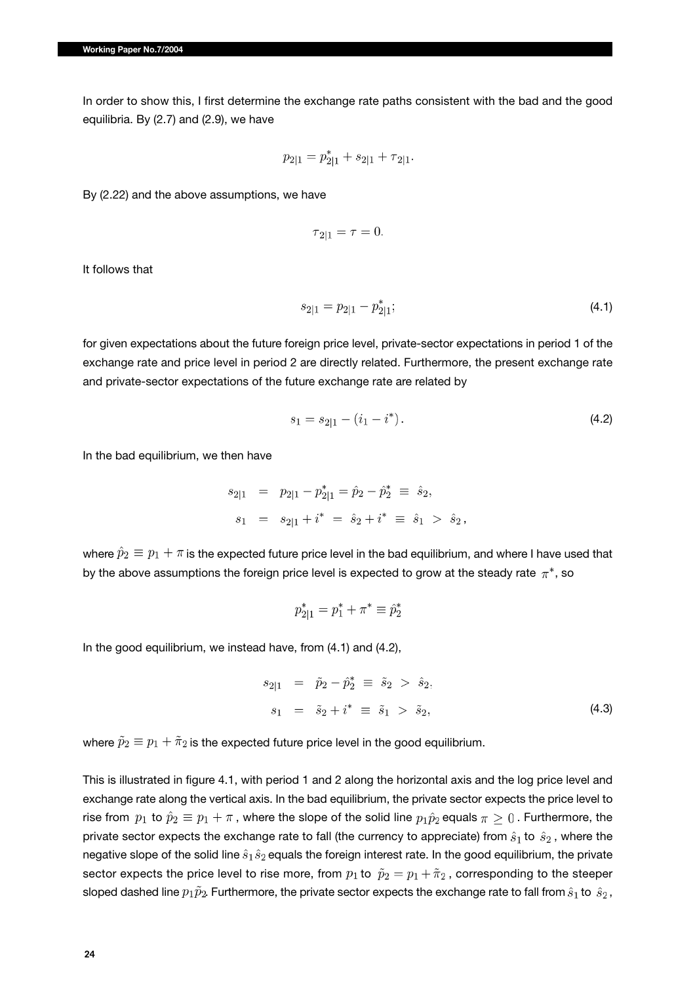In order to show this, I first determine the exchange rate paths consistent with the bad and the good equilibria. By (2.7) and (2.9), we have

$$
p_{2|1} = p_{2|1}^* + s_{2|1} + \tau_{2|1}.
$$

By (2.22) and the above assumptions, we have

$$
\tau_{2|1} = \tau = 0.
$$

It follows that

$$
s_{2|1} = p_{2|1} - p_{2|1}^*;
$$
\n<sup>(4.1)</sup>

for given expectations about the future foreign price level, private-sector expectations in period 1 of the exchange rate and price level in period 2 are directly related. Furthermore, the present exchange rate and private-sector expectations of the future exchange rate are related by

$$
s_1 = s_{2|1} - (i_1 - i^*). \tag{4.2}
$$

In the bad equilibrium, we then have

$$
s_{2|1} = p_{2|1} - p_{2|1}^* = \hat{p}_2 - \hat{p}_2^* \equiv \hat{s}_2,
$$
  

$$
s_1 = s_{2|1} + i^* = \hat{s}_2 + i^* \equiv \hat{s}_1 > \hat{s}_2,
$$

where  $\hat{p}_2 \equiv p_1 + \pi$  is the expected future price level in the bad equilibrium, and where I have used that by the above assumptions the foreign price level is expected to grow at the steady rate  $\pi^*$ , so

$$
p_{2|1}^* = p_1^* + \pi^* \equiv \hat{p}_2^*
$$

In the good equilibrium, we instead have, from (4.1) and (4.2),

$$
s_{2|1} = \tilde{p}_2 - \tilde{p}_2^* \equiv \tilde{s}_2 > \hat{s}_2, s_1 = \tilde{s}_2 + i^* \equiv \tilde{s}_1 > \tilde{s}_2,
$$
\n(4.3)

where  $\tilde{p}_2 \equiv p_1 + \tilde{\pi}_2$  is the expected future price level in the good equilibrium.

This is illustrated in figure 4.1, with period 1 and 2 along the horizontal axis and the log price level and exchange rate along the vertical axis. In the bad equilibrium, the private sector expects the price level to rise from  $p_1$  to  $\hat{p}_2 \equiv p_1 + \pi$ , where the slope of the solid line  $p_1\hat{p}_2$  equals  $\pi \geq 0$ . Furthermore, the private sector expects the exchange rate to fall (the currency to appreciate) from  $\hat{s}_1$  to  $\hat{s}_2$ , where the negative slope of the solid line  $\hat{s}_1 \hat{s}_2$  equals the foreign interest rate. In the good equilibrium, the private sector expects the price level to rise more, from  $p_1$  to  $\tilde{p}_2 = p_1 + \tilde{\pi}_2$ , corresponding to the steeper sloped dashed line  $p_1\tilde{p}_2$ . Furthermore, the private sector expects the exchange rate to fall from  $\hat{s}_1$  to  $\hat{s}_2$ ,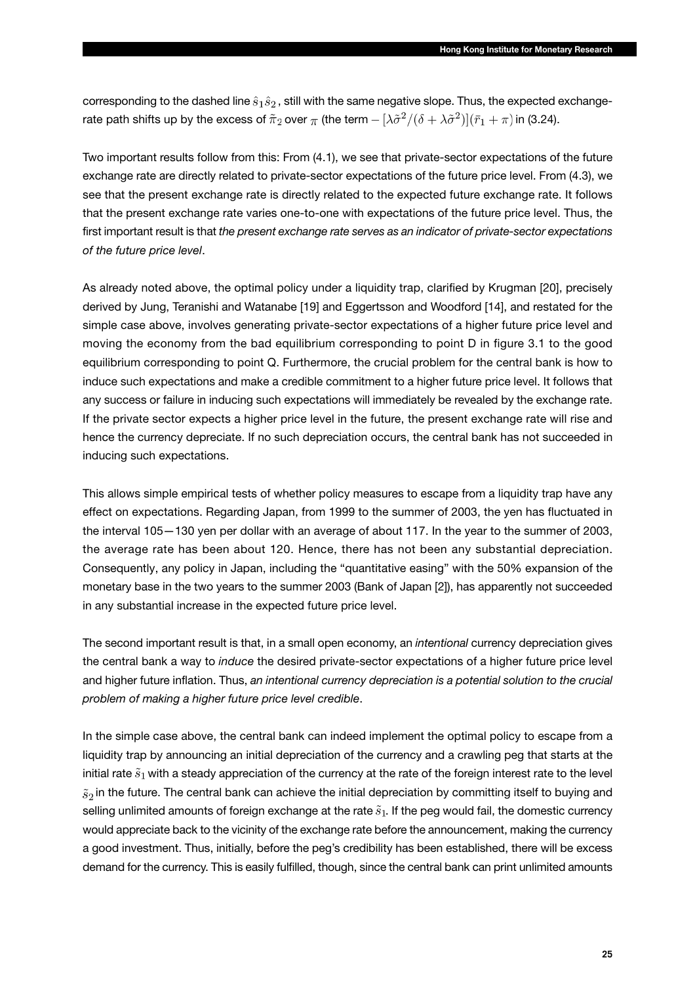corresponding to the dashed line  $\hat{s}_1 \hat{s}_2$ , still with the same negative slope. Thus, the expected exchangerate path shifts up by the excess of  $\tilde{\pi}_2$  over  $\pi$  (the term  $- [\lambda \tilde{\sigma}^2/(\delta + \lambda \tilde{\sigma}^2)](\bar{r}_1 + \pi)$  in (3.24).

Two important results follow from this: From (4.1), we see that private-sector expectations of the future exchange rate are directly related to private-sector expectations of the future price level. From (4.3), we see that the present exchange rate is directly related to the expected future exchange rate. It follows that the present exchange rate varies one-to-one with expectations of the future price level. Thus, the first important result is that *the present exchange rate serves as an indicator of private-sector expectations of the future price level*.

As already noted above, the optimal policy under a liquidity trap, clarified by Krugman [20], precisely derived by Jung, Teranishi and Watanabe [19] and Eggertsson and Woodford [14], and restated for the simple case above, involves generating private-sector expectations of a higher future price level and moving the economy from the bad equilibrium corresponding to point D in figure 3.1 to the good equilibrium corresponding to point Q. Furthermore, the crucial problem for the central bank is how to induce such expectations and make a credible commitment to a higher future price level. It follows that any success or failure in inducing such expectations will immediately be revealed by the exchange rate. If the private sector expects a higher price level in the future, the present exchange rate will rise and hence the currency depreciate. If no such depreciation occurs, the central bank has not succeeded in inducing such expectations.

This allows simple empirical tests of whether policy measures to escape from a liquidity trap have any effect on expectations. Regarding Japan, from 1999 to the summer of 2003, the yen has fluctuated in the interval 105—130 yen per dollar with an average of about 117. In the year to the summer of 2003, the average rate has been about 120. Hence, there has not been any substantial depreciation. Consequently, any policy in Japan, including the "quantitative easing" with the 50% expansion of the monetary base in the two years to the summer 2003 (Bank of Japan [2]), has apparently not succeeded in any substantial increase in the expected future price level.

The second important result is that, in a small open economy, an *intentional* currency depreciation gives the central bank a way to *induce* the desired private-sector expectations of a higher future price level and higher future inflation. Thus, *an intentional currency depreciation is a potential solution to the crucial problem of making a higher future price level credible*.

In the simple case above, the central bank can indeed implement the optimal policy to escape from a liquidity trap by announcing an initial depreciation of the currency and a crawling peg that starts at the initial rate  $\tilde{s}_1$  with a steady appreciation of the currency at the rate of the foreign interest rate to the level  $\tilde{s}_2$  in the future. The central bank can achieve the initial depreciation by committing itself to buying and selling unlimited amounts of foreign exchange at the rate  $\tilde{s}_1$ . If the peg would fail, the domestic currency would appreciate back to the vicinity of the exchange rate before the announcement, making the currency a good investment. Thus, initially, before the peg's credibility has been established, there will be excess demand for the currency. This is easily fulfilled, though, since the central bank can print unlimited amounts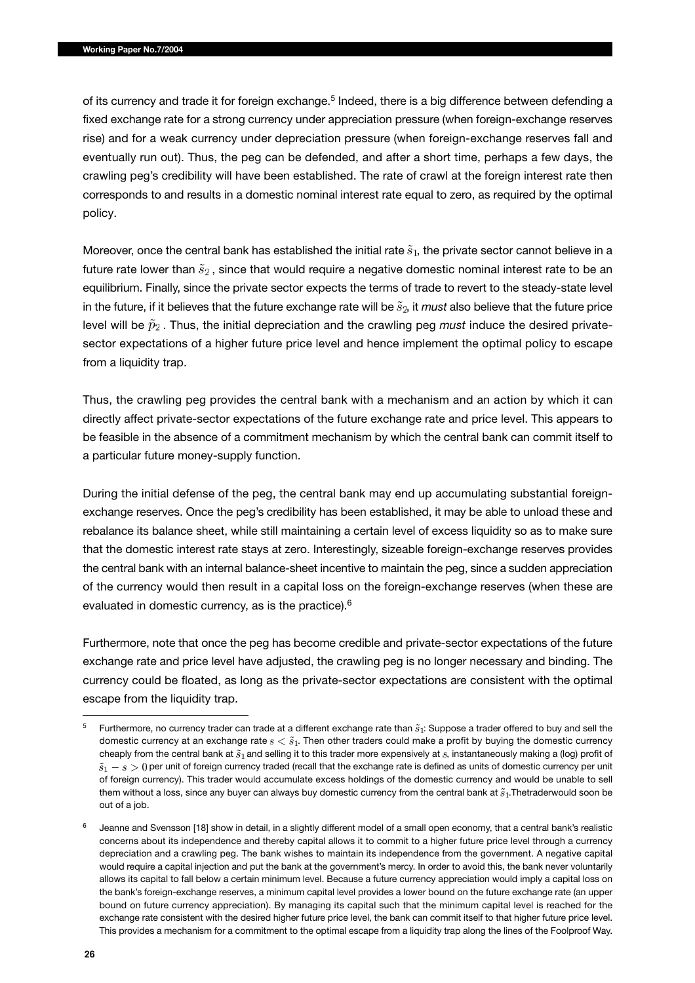of its currency and trade it for foreign exchange.<sup>5</sup> Indeed, there is a big difference between defending a fixed exchange rate for a strong currency under appreciation pressure (when foreign-exchange reserves rise) and for a weak currency under depreciation pressure (when foreign-exchange reserves fall and eventually run out). Thus, the peg can be defended, and after a short time, perhaps a few days, the crawling peg's credibility will have been established. The rate of crawl at the foreign interest rate then corresponds to and results in a domestic nominal interest rate equal to zero, as required by the optimal policy.

Moreover, once the central bank has established the initial rate  $\tilde{s}_1$ , the private sector cannot believe in a future rate lower than  $\tilde{s}_2$ , since that would require a negative domestic nominal interest rate to be an equilibrium. Finally, since the private sector expects the terms of trade to revert to the steady-state level in the future, if it believes that the future exchange rate will be  $\tilde{s}_2$ , it *must* also believe that the future price level will be  $\tilde{p}_2$ . Thus, the initial depreciation and the crawling peg *must* induce the desired privatesector expectations of a higher future price level and hence implement the optimal policy to escape from a liquidity trap.

Thus, the crawling peg provides the central bank with a mechanism and an action by which it can directly affect private-sector expectations of the future exchange rate and price level. This appears to be feasible in the absence of a commitment mechanism by which the central bank can commit itself to a particular future money-supply function.

During the initial defense of the peg, the central bank may end up accumulating substantial foreignexchange reserves. Once the peg's credibility has been established, it may be able to unload these and rebalance its balance sheet, while still maintaining a certain level of excess liquidity so as to make sure that the domestic interest rate stays at zero. Interestingly, sizeable foreign-exchange reserves provides the central bank with an internal balance-sheet incentive to maintain the peg, since a sudden appreciation of the currency would then result in a capital loss on the foreign-exchange reserves (when these are evaluated in domestic currency, as is the practice).<sup>6</sup>

Furthermore, note that once the peg has become credible and private-sector expectations of the future exchange rate and price level have adjusted, the crawling peg is no longer necessary and binding. The currency could be floated, as long as the private-sector expectations are consistent with the optimal escape from the liquidity trap.

Furthermore, no currency trader can trade at a different exchange rate than  $\tilde{s}_1$ : Suppose a trader offered to buy and sell the domestic currency at an exchange rate  $s < \tilde{s}_1$ . Then other traders could make a profit by buying the domestic currency cheaply from the central bank at  $\tilde{s}_1$  and selling it to this trader more expensively at s, instantaneously making a (log) profit of  $\tilde{s}_1 - s > 0$  per unit of foreign currency traded (recall that the exchange rate is defined as units of domestic currency per unit of foreign currency). This trader would accumulate excess holdings of the domestic currency and would be unable to sell them without a loss, since any buyer can always buy domestic currency from the central bank at  $\tilde{s}_1$ . Thetraderwould soon be out of a job.

Jeanne and Svensson [18] show in detail, in a slightly different model of a small open economy, that a central bank's realistic concerns about its independence and thereby capital allows it to commit to a higher future price level through a currency depreciation and a crawling peg. The bank wishes to maintain its independence from the government. A negative capital would require a capital injection and put the bank at the government's mercy. In order to avoid this, the bank never voluntarily allows its capital to fall below a certain minimum level. Because a future currency appreciation would imply a capital loss on the bank's foreign-exchange reserves, a minimum capital level provides a lower bound on the future exchange rate (an upper bound on future currency appreciation). By managing its capital such that the minimum capital level is reached for the exchange rate consistent with the desired higher future price level, the bank can commit itself to that higher future price level. This provides a mechanism for a commitment to the optimal escape from a liquidity trap along the lines of the Foolproof Way.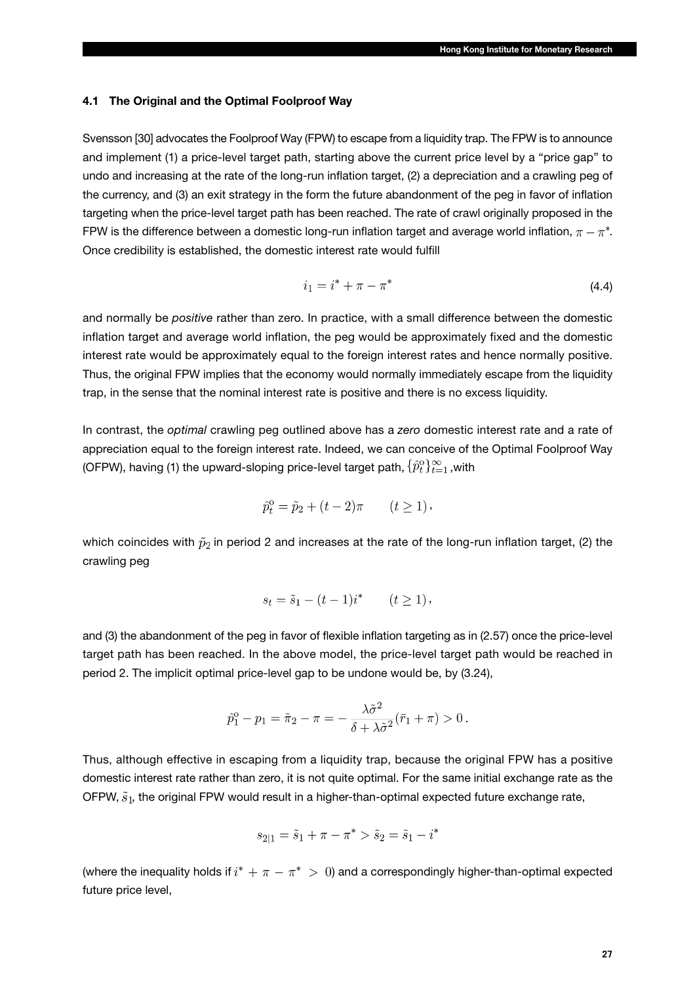### **4.1 The Original and the Optimal Foolproof Way**

Svensson [30] advocates the Foolproof Way (FPW) to escape from a liquidity trap. The FPW is to announce and implement (1) a price-level target path, starting above the current price level by a "price gap" to undo and increasing at the rate of the long-run inflation target, (2) a depreciation and a crawling peg of the currency, and (3) an exit strategy in the form the future abandonment of the peg in favor of inflation targeting when the price-level target path has been reached. The rate of crawl originally proposed in the FPW is the difference between a domestic long-run inflation target and average world inflation,  $\pi - \pi^*$ . Once credibility is established, the domestic interest rate would fulfill

$$
i_1 = i^* + \pi - \pi^* \tag{4.4}
$$

and normally be *positive* rather than zero. In practice, with a small difference between the domestic inflation target and average world inflation, the peg would be approximately fixed and the domestic interest rate would be approximately equal to the foreign interest rates and hence normally positive. Thus, the original FPW implies that the economy would normally immediately escape from the liquidity trap, in the sense that the nominal interest rate is positive and there is no excess liquidity.

In contrast, the *optimal* crawling peg outlined above has a *zero* domestic interest rate and a rate of appreciation equal to the foreign interest rate. Indeed, we can conceive of the Optimal Foolproof Way (OFPW), having (1) the upward-sloping price-level target path,  $\{\hat{p}_t^0\}_{t=1}^\infty$  with

$$
\hat{p}_t^{\text{o}} = \tilde{p}_2 + (t - 2)\pi \qquad (t \ge 1),
$$

which coincides with  $\tilde{p}_2$  in period 2 and increases at the rate of the long-run inflation target, (2) the crawling peg

$$
s_t = \tilde{s}_1 - (t - 1)i^* \qquad (t \ge 1),
$$

and (3) the abandonment of the peg in favor of flexible inflation targeting as in (2.57) once the price-level target path has been reached. In the above model, the price-level target path would be reached in period 2. The implicit optimal price-level gap to be undone would be, by (3.24),

$$
\hat{p}_1^{\text{o}} - p_1 = \tilde{\pi}_2 - \pi = -\frac{\lambda \tilde{\sigma}^2}{\delta + \lambda \tilde{\sigma}^2} (\bar{r}_1 + \pi) > 0 \, .
$$

Thus, although effective in escaping from a liquidity trap, because the original FPW has a positive domestic interest rate rather than zero, it is not quite optimal. For the same initial exchange rate as the OFPW,  $\tilde{s}_1$ , the original FPW would result in a higher-than-optimal expected future exchange rate,

$$
s_{2|1} = \tilde{s}_1 + \pi - \pi^* > \tilde{s}_2 = \tilde{s}_1 - i^*
$$

(where the inequality holds if  $i^* + \pi - \pi^* > 0$ ) and a correspondingly higher-than-optimal expected future price level,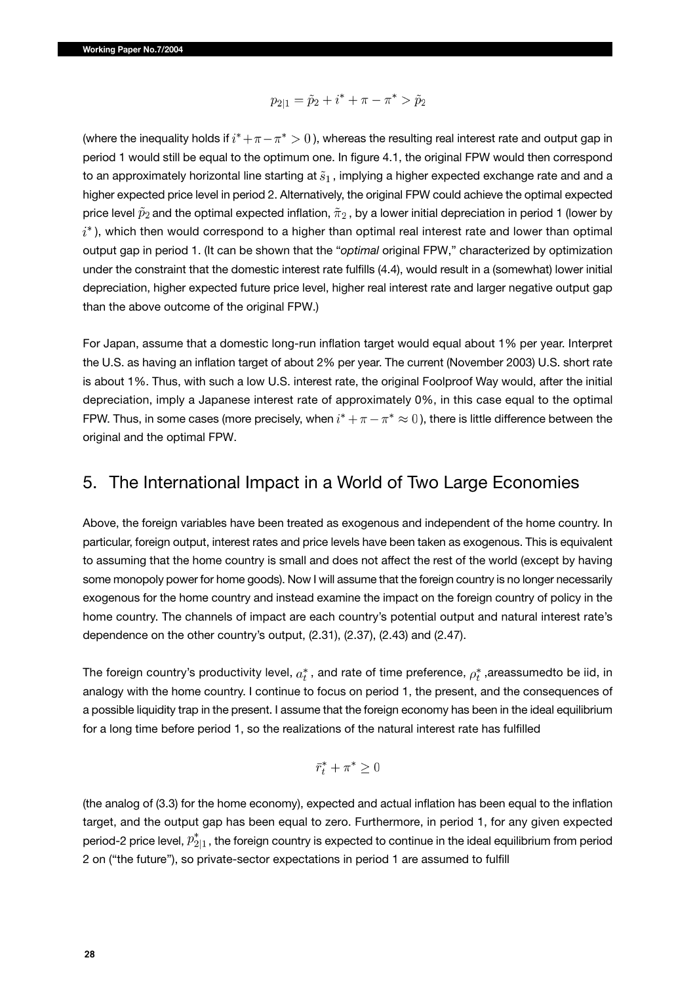$$
p_{2|1} = \tilde{p}_2 + i^* + \pi - \pi^* > \tilde{p}_2
$$

(where the inequality holds if  $i^* + \pi - \pi^* > 0$ ), whereas the resulting real interest rate and output gap in period 1 would still be equal to the optimum one. In figure 4.1, the original FPW would then correspond to an approximately horizontal line starting at  $\tilde{s}_1$ , implying a higher expected exchange rate and and a higher expected price level in period 2. Alternatively, the original FPW could achieve the optimal expected price level  $\tilde{p}_2$  and the optimal expected inflation,  $\tilde{\pi}_2$ , by a lower initial depreciation in period 1 (lower by  $i^*$ ), which then would correspond to a higher than optimal real interest rate and lower than optimal output gap in period 1. (It can be shown that the "*optimal* original FPW," characterized by optimization under the constraint that the domestic interest rate fulfills (4.4), would result in a (somewhat) lower initial depreciation, higher expected future price level, higher real interest rate and larger negative output gap than the above outcome of the original FPW.)

For Japan, assume that a domestic long-run inflation target would equal about 1% per year. Interpret the U.S. as having an inflation target of about 2% per year. The current (November 2003) U.S. short rate is about 1%. Thus, with such a low U.S. interest rate, the original Foolproof Way would, after the initial depreciation, imply a Japanese interest rate of approximately 0%, in this case equal to the optimal FPW. Thus, in some cases (more precisely, when  $i^* + \pi - \pi^* \approx 0$ ), there is little difference between the original and the optimal FPW.

### 5. The International Impact in a World of Two Large Economies

Above, the foreign variables have been treated as exogenous and independent of the home country. In particular, foreign output, interest rates and price levels have been taken as exogenous. This is equivalent to assuming that the home country is small and does not affect the rest of the world (except by having some monopoly power for home goods). Now I will assume that the foreign country is no longer necessarily exogenous for the home country and instead examine the impact on the foreign country of policy in the home country. The channels of impact are each country's potential output and natural interest rate's dependence on the other country's output, (2.31), (2.37), (2.43) and (2.47).

The foreign country's productivity level,  $a_t^*$ , and rate of time preference,  $\rho_t^*$ , areassumedto be iid, in analogy with the home country. I continue to focus on period 1, the present, and the consequences of a possible liquidity trap in the present. I assume that the foreign economy has been in the ideal equilibrium for a long time before period 1, so the realizations of the natural interest rate has fulfilled

$$
\bar{r}_t^* + \pi^* \ge 0
$$

(the analog of (3.3) for the home economy), expected and actual inflation has been equal to the inflation target, and the output gap has been equal to zero. Furthermore, in period 1, for any given expected period-2 price level,  $p_{2|1}^*$ , the foreign country is expected to continue in the ideal equilibrium from period 2 on ("the future"), so private-sector expectations in period 1 are assumed to fulfill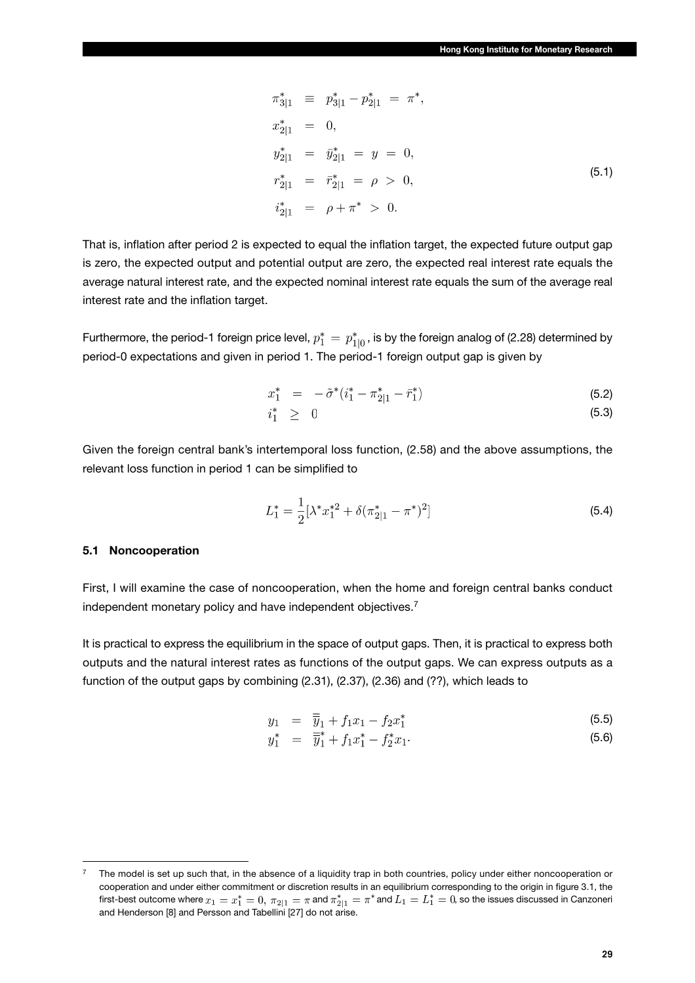$$
\pi_{3|1}^* \equiv p_{3|1}^* - p_{2|1}^* = \pi^*,
$$
  
\n
$$
x_{2|1}^* = 0,
$$
  
\n
$$
y_{2|1}^* = \bar{y}_{2|1}^* = y = 0,
$$
  
\n
$$
r_{2|1}^* = \bar{r}_{2|1}^* = \rho > 0,
$$
  
\n
$$
i_{2|1}^* = \rho + \pi^* > 0.
$$
\n(5.1)

That is, inflation after period 2 is expected to equal the inflation target, the expected future output gap is zero, the expected output and potential output are zero, the expected real interest rate equals the average natural interest rate, and the expected nominal interest rate equals the sum of the average real interest rate and the inflation target.

Furthermore, the period-1 foreign price level,  $p_1^* = p_{1|0}^*$ , is by the foreign analog of (2.28) determined by period-0 expectations and given in period 1. The period-1 foreign output gap is given by

$$
x_1^* = -\tilde{\sigma}^*(i_1^* - \pi_{2|1}^* - \bar{r}_1^*)
$$
\n(5.2)

$$
i_1^* \geq 0 \tag{5.3}
$$

Given the foreign central bank's intertemporal loss function, (2.58) and the above assumptions, the relevant loss function in period 1 can be simplified to

$$
L_1^* = \frac{1}{2} [\lambda^* x_1^{*2} + \delta (\pi_{2|1}^* - \pi^*)^2]
$$
\n(5.4)

### **5.1 Noncooperation**

First, I will examine the case of noncooperation, when the home and foreign central banks conduct independent monetary policy and have independent objectives.<sup>7</sup>

It is practical to express the equilibrium in the space of output gaps. Then, it is practical to express both outputs and the natural interest rates as functions of the output gaps. We can express outputs as a function of the output gaps by combining (2.31), (2.37), (2.36) and (??), which leads to

$$
y_1 = \overline{\overline{y}}_1 + f_1 x_1 - f_2 x_1^* \tag{5.5}
$$

$$
y_1^* = \overline{\overline{y}}_1^* + f_1 x_1^* - f_2^* x_1. \tag{5.6}
$$

The model is set up such that, in the absence of a liquidity trap in both countries, policy under either noncooperation or cooperation and under either commitment or discretion results in an equilibrium corresponding to the origin in figure 3.1, the first-best outcome where  $x_1=x_1^*=0, \pi_{2|1}=\pi$  and  $\pi_{2|1}^*=\pi^*$  and  $L_1=L_1^*=0$ , so the issues discussed in Canzoneri and Henderson [8] and Persson and Tabellini [27] do not arise.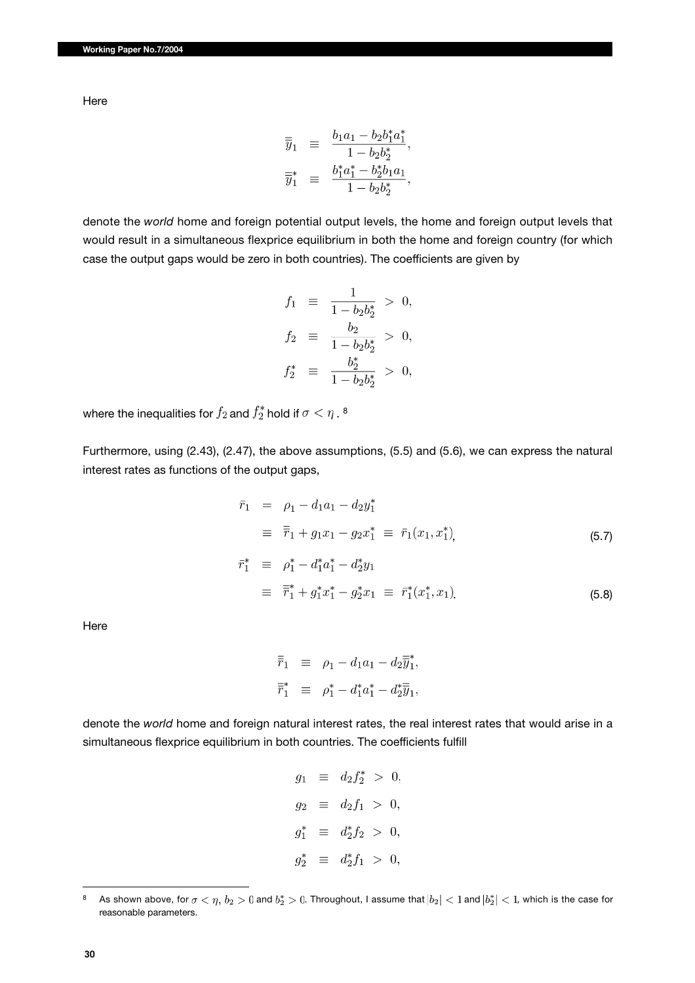Here

$$
\begin{array}{rcl} \overline{\overline{y}}_1 & \equiv & \frac{b_1a_1 - b_2b_1^*a_1^*}{1 - b_2b_2^*}, \\ \overline{\overline{y}}_1^* & \equiv & \frac{b_1^*a_1^* - b_2^*b_1a_1}{1 - b_2b_2^*}, \end{array}
$$

denote the *world* home and foreign potential output levels, the home and foreign output levels that would result in a simultaneous flexprice equilibrium in both the home and foreign country (for which case the output gaps would be zero in both countries). The coefficients are given by

$$
f_1 \equiv \frac{1}{1 - b_2 b_2^*} > 0,
$$
  
\n
$$
f_2 \equiv \frac{b_2}{1 - b_2 b_2^*} > 0,
$$
  
\n
$$
f_2^* \equiv \frac{b_2^*}{1 - b_2 b_2^*} > 0,
$$

where the inequalities for  $f_2$  and  $f_2^*$  hold if  $\sigma < \eta$ . 8

Furthermore, using (2.43), (2.47), the above assumptions, (5.5) and (5.6), we can express the natural interest rates as functions of the output gaps,

$$
\begin{aligned}\n\bar{r}_1 &= \rho_1 - d_1 a_1 - d_2 y_1^* \\
&= \bar{\bar{r}}_1 + g_1 x_1 - g_2 x_1^* \equiv \bar{r}_1(x_1, x_1^*),\n\end{aligned} \tag{5.7}
$$

$$
\begin{array}{rcl}\n\bar{r}_1^* & \equiv & \rho_1^* - d_1^* a_1^* - d_2^* y_1 \\
& \equiv & \bar{\overline{r}}_1^* + g_1^* x_1^* - g_2^* x_1 \equiv & \bar{r}_1^* (x_1^*, x_1)\n\end{array} \tag{5.8}
$$

Here

$$
\overline{\overline{r}}_1 \equiv \rho_1 - d_1 a_1 - d_2 \overline{\overline{y}}_1^*,
$$
  

$$
\overline{\overline{r}}_1^* \equiv \rho_1^* - d_1^* a_1^* - d_2^* \overline{\overline{y}}_1^*,
$$

denote the *world* home and foreign natural interest rates, the real interest rates that would arise in a simultaneous flexprice equilibrium in both countries. The coefficients fulfill

```
g_1 \equiv d_2 f_2^* > 0,g_2 \equiv d_2 f_1 > 0,g_1^* \equiv d_2^* f_2 > 0,
g_2^* \equiv d_2^* f_1 > 0,
```
<sup>8</sup> As shown above, for  $\sigma<\eta, b_2>0$  and  $b_2^*>0$ . Throughout, I assume that  $|b_2|< 1$  and  $|b_2^*|< 1$ , which is the case for reasonable parameters.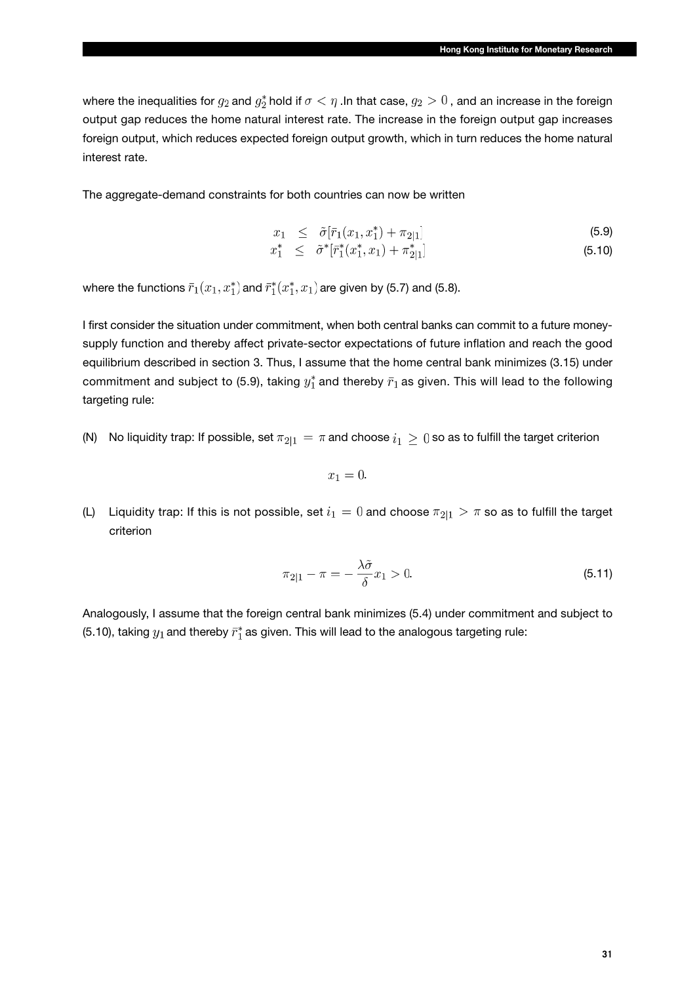where the inequalities for  $g_2$  and  $g_2^*$  hold if  $\sigma < \eta$  . In that case,  $g_2 > 0$ , and an increase in the foreign output gap reduces the home natural interest rate. The increase in the foreign output gap increases foreign output, which reduces expected foreign output growth, which in turn reduces the home natural interest rate.

The aggregate-demand constraints for both countries can now be written

$$
x_1 \leq \tilde{\sigma}[\bar{r}_1(x_1, x_1^*) + \pi_{2|1}] \tag{5.9}
$$

$$
x_1^* \leq \tilde{\sigma}^* [\bar{r}_1^*(x_1^*, x_1) + \pi_{2|1}^*] \tag{5.10}
$$

where the functions  $\bar{r}_1(x_1, x_1^*)$  and  $\bar{r}_1^*(x_1^*, x_1)$  are given by (5.7) and (5.8).

I first consider the situation under commitment, when both central banks can commit to a future moneysupply function and thereby affect private-sector expectations of future inflation and reach the good equilibrium described in section 3. Thus, I assume that the home central bank minimizes (3.15) under commitment and subject to (5.9), taking  $y_1^*$  and thereby  $\bar{r}_1$  as given. This will lead to the following targeting rule:

(N) No liquidity trap: If possible, set  $\pi_{2|1} = \pi$  and choose  $i_1 \geq 0$  so as to fulfill the target criterion

$$
x_1=0.
$$

(L) Liquidity trap: If this is not possible, set  $i_1 = 0$  and choose  $\pi_{2|1} > \pi$  so as to fulfill the target criterion

$$
\pi_{2|1} - \pi = -\frac{\lambda \tilde{\sigma}}{\delta} x_1 > 0. \tag{5.11}
$$

Analogously, I assume that the foreign central bank minimizes (5.4) under commitment and subject to (5.10), taking  $y_1$  and thereby  $\bar{r}_1^*$  as given. This will lead to the analogous targeting rule: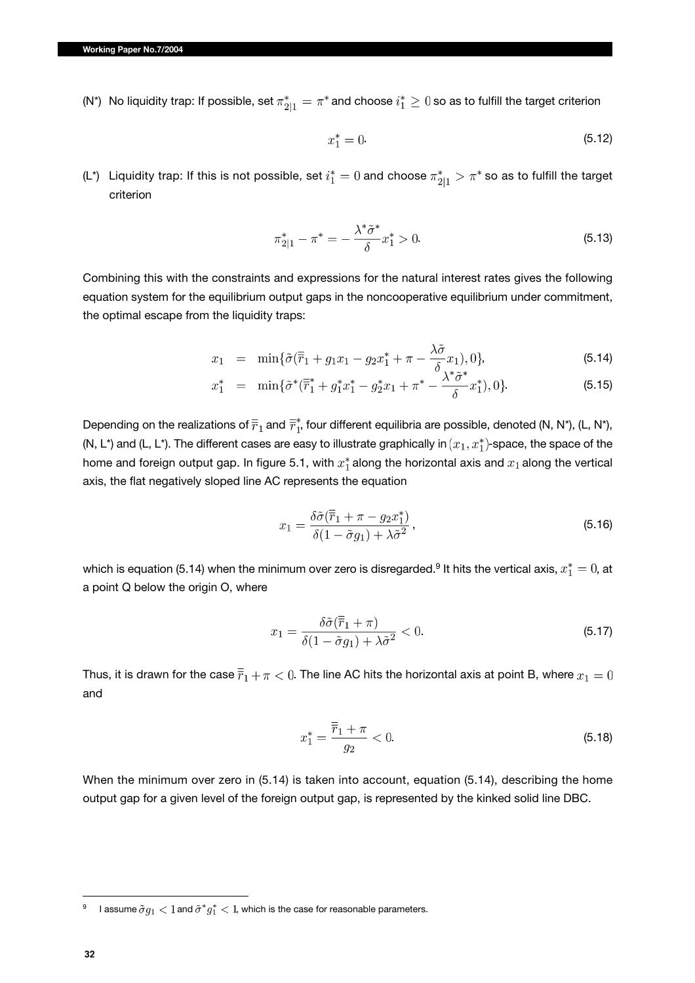(N\*) No liquidity trap: If possible, set  $\pi^*_{2|1} = \pi^*$  and choose  $i_1^* \geq 0$  so as to fulfill the target criterion

$$
x_1^* = 0. \t\t(5.12)
$$

(L\*) Liquidity trap: If this is not possible, set  $i_1^* = 0$  and choose  $\pi_{2|1}^* > \pi^*$  so as to fulfill the target criterion

$$
\pi_{2|1}^* - \pi^* = -\frac{\lambda^* \tilde{\sigma}^*}{\delta} x_1^* > 0.
$$
\n(5.13)

Combining this with the constraints and expressions for the natural interest rates gives the following equation system for the equilibrium output gaps in the noncooperative equilibrium under commitment, the optimal escape from the liquidity traps:

$$
x_1 = \min{\{\tilde{\sigma}(\bar{\bar{r}}_1 + g_1 x_1 - g_2 x_1^* + \pi - \frac{\lambda \tilde{\sigma}}{\delta} x_1), 0\}},
$$
\n(5.14)

$$
x_1^* = \min{\{\tilde{\sigma}^*(\overline{\tilde{r}}_1^* + g_1^*x_1^* - g_2^*x_1 + \pi^* - \frac{\lambda^*\tilde{\sigma}^*}{\delta}x_1^*), 0\}}.
$$
 (5.15)

Depending on the realizations of  $\overline{r}_1$  and  $\overline{r}_1^*$ , four different equilibria are possible, denoted (N, N\*), (L, N\*), (N, L\*) and (L, L\*). The different cases are easy to illustrate graphically in  $(x_1, x_1^*)$ -space, the space of the home and foreign output gap. In figure 5.1, with  $x_1^*$  along the horizontal axis and  $x_1$  along the vertical axis, the flat negatively sloped line AC represents the equation

$$
x_1 = \frac{\delta \tilde{\sigma}(\overline{\overline{r}}_1 + \pi - g_2 x_1^*)}{\delta (1 - \tilde{\sigma} g_1) + \lambda \tilde{\sigma}^2},
$$
\n(5.16)

which is equation (5.14) when the minimum over zero is disregarded.<sup>9</sup> It hits the vertical axis,  $x_1^* = 0$ , at a point Q below the origin O, where

$$
x_1 = \frac{\delta \tilde{\sigma}(\overline{r}_1 + \pi)}{\delta (1 - \tilde{\sigma} g_1) + \lambda \tilde{\sigma}^2} < 0. \tag{5.17}
$$

Thus, it is drawn for the case  $\bar{\bar{r}}_1+\pi < 0$ . The line AC hits the horizontal axis at point B, where  $x_1=0$ and

$$
x_1^* = \frac{\overline{r}_1 + \pi}{g_2} < 0. \tag{5.18}
$$

When the minimum over zero in (5.14) is taken into account, equation (5.14), describing the home output gap for a given level of the foreign output gap, is represented by the kinked solid line DBC.

<sup>&</sup>lt;sup>9</sup> I assume  $\tilde{\sigma} g_1 < 1$  and  $\tilde{\sigma}^* g_1^* < 1$ , which is the case for reasonable parameters.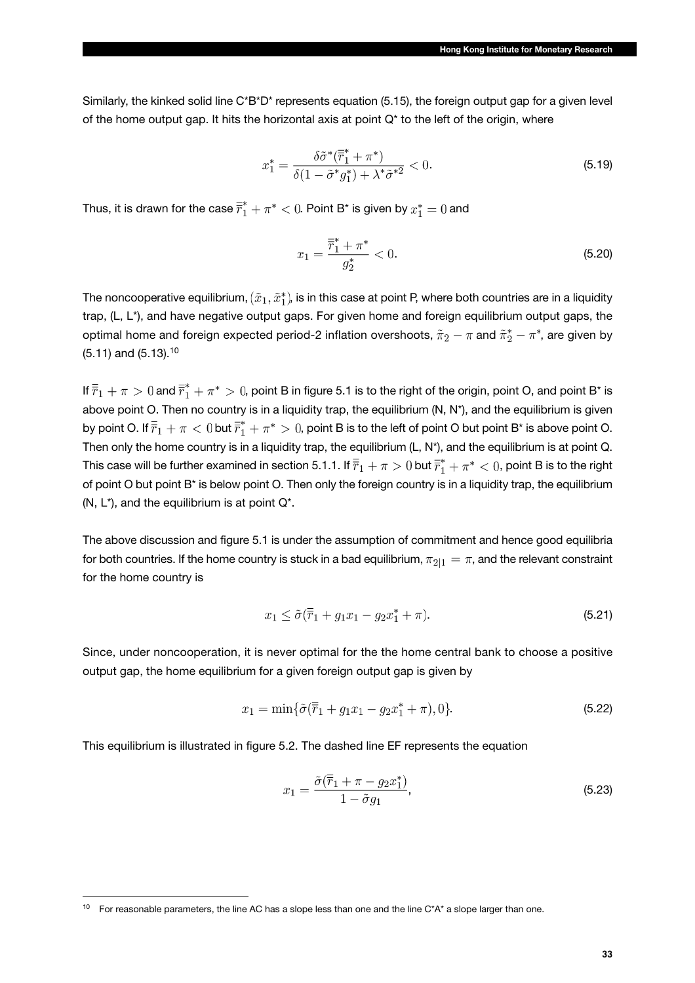Similarly, the kinked solid line C\*B\*D\* represents equation (5.15), the foreign output gap for a given level of the home output gap. It hits the horizontal axis at point Q\* to the left of the origin, where

$$
x_1^* = \frac{\delta \tilde{\sigma}^* (\overline{r}_1^* + \pi^*)}{\delta (1 - \tilde{\sigma}^* g_1^*) + \lambda^* \tilde{\sigma}^{*2}} < 0. \tag{5.19}
$$

Thus, it is drawn for the case  $\overline{r}_1^* + \pi^* < 0$ . Point B\* is given by  $x_1^* = 0$  and

$$
x_1 = \frac{\overline{r}_1^* + \pi^*}{g_2^*} < 0. \tag{5.20}
$$

The noncooperative equilibrium,  $(\tilde{x}_1, \tilde{x}_1^*)$ , is in this case at point P, where both countries are in a liquidity trap, (L, L\*), and have negative output gaps. For given home and foreign equilibrium output gaps, the optimal home and foreign expected period-2 inflation overshoots,  $\tilde{\pi}_2 - \pi$  and  $\tilde{\pi}_2^* - \pi^*$ , are given by (5.11) and (5.13).10

If  $\bar{r}_1 + \pi > 0$  and  $\bar{r}_1^* + \pi^* > 0$ , point B in figure 5.1 is to the right of the origin, point O, and point B\* is above point O. Then no country is in a liquidity trap, the equilibrium (N, N\*), and the equilibrium is given by point O. If  $\overline{r}_1 + \pi < 0$  but  $\overline{r}_1^* + \pi^* > 0$ , point B is to the left of point O but point B\* is above point O. Then only the home country is in a liquidity trap, the equilibrium (L, N\*), and the equilibrium is at point Q. This case will be further examined in section 5.1.1. If  $\bar{r}_1 + \pi > 0$  but  $\bar{r}_1^* + \pi^* < 0$ , point B is to the right of point O but point B\* is below point O. Then only the foreign country is in a liquidity trap, the equilibrium (N, L\*), and the equilibrium is at point Q\*.

The above discussion and figure 5.1 is under the assumption of commitment and hence good equilibria for both countries. If the home country is stuck in a bad equilibrium,  $\pi_{2|1} = \pi$ , and the relevant constraint for the home country is

$$
x_1 \le \tilde{\sigma}(\overline{\overline{r}}_1 + g_1 x_1 - g_2 x_1^* + \pi). \tag{5.21}
$$

Since, under noncooperation, it is never optimal for the the home central bank to choose a positive output gap, the home equilibrium for a given foreign output gap is given by

$$
x_1 = \min\{\tilde{\sigma}(\overline{\overline{r}}_1 + g_1 x_1 - g_2 x_1^* + \pi), 0\}.
$$
\n(5.22)

This equilibrium is illustrated in figure 5.2. The dashed line EF represents the equation

$$
x_1 = \frac{\tilde{\sigma}(\overline{\overline{r}}_1 + \pi - g_2 x_1^*)}{1 - \tilde{\sigma} g_1},\tag{5.23}
$$

<sup>&</sup>lt;sup>10</sup> For reasonable parameters, the line AC has a slope less than one and the line C\*A\* a slope larger than one.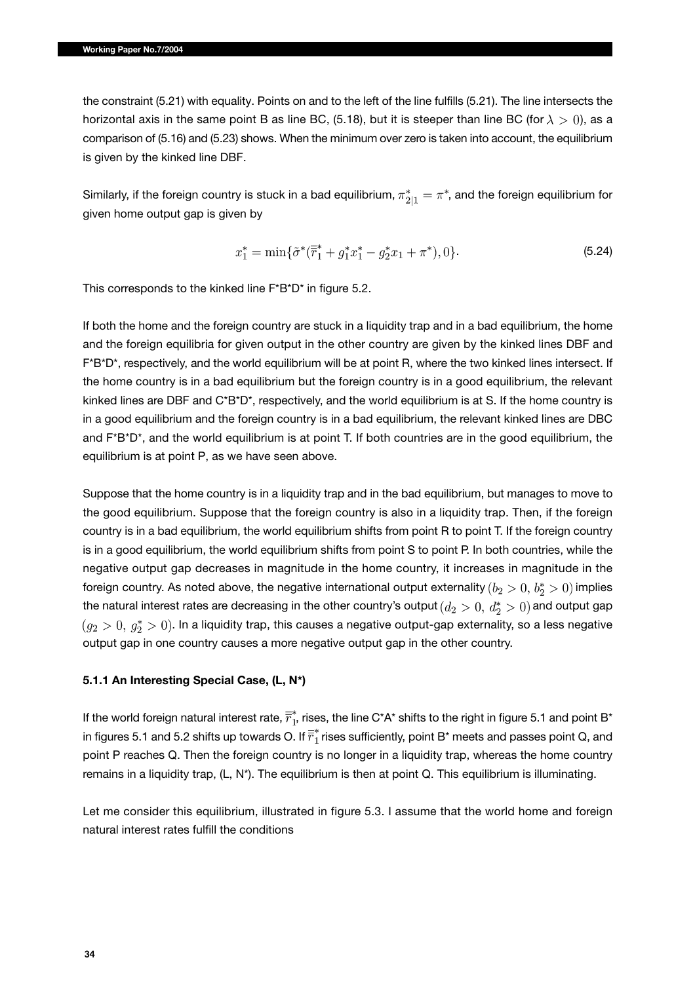the constraint (5.21) with equality. Points on and to the left of the line fulfills (5.21). The line intersects the horizontal axis in the same point B as line BC, (5.18), but it is steeper than line BC (for  $\lambda > 0$ ), as a comparison of (5.16) and (5.23) shows. When the minimum over zero is taken into account, the equilibrium is given by the kinked line DBF.

Similarly, if the foreign country is stuck in a bad equilibrium,  $\pi^*_{2|1} = \pi^*$ , and the foreign equilibrium for given home output gap is given by

$$
x_1^* = \min\{\tilde{\sigma}^*(\overline{\tilde{r}}_1^* + g_1^*x_1^* - g_2^*x_1 + \pi^*), 0\}.
$$
\n(5.24)

This corresponds to the kinked line F\*B\*D\* in figure 5.2.

If both the home and the foreign country are stuck in a liquidity trap and in a bad equilibrium, the home and the foreign equilibria for given output in the other country are given by the kinked lines DBF and F\*B\*D\*, respectively, and the world equilibrium will be at point R, where the two kinked lines intersect. If the home country is in a bad equilibrium but the foreign country is in a good equilibrium, the relevant kinked lines are DBF and C\*B\*D\*, respectively, and the world equilibrium is at S. If the home country is in a good equilibrium and the foreign country is in a bad equilibrium, the relevant kinked lines are DBC and F\*B\*D\*, and the world equilibrium is at point T. If both countries are in the good equilibrium, the equilibrium is at point P, as we have seen above.

Suppose that the home country is in a liquidity trap and in the bad equilibrium, but manages to move to the good equilibrium. Suppose that the foreign country is also in a liquidity trap. Then, if the foreign country is in a bad equilibrium, the world equilibrium shifts from point R to point T. If the foreign country is in a good equilibrium, the world equilibrium shifts from point S to point P. In both countries, while the negative output gap decreases in magnitude in the home country, it increases in magnitude in the foreign country. As noted above, the negative international output externality  $(b_2 > 0, b_2^* > 0)$  implies the natural interest rates are decreasing in the other country's output  $(d_2 > 0, d_2^* > 0)$  and output gap  $( g_2 > 0, \, g_2^* > 0 ).$  In a liquidity trap, this causes a negative output-gap externality, so a less negative output gap in one country causes a more negative output gap in the other country.

#### **5.1.1 An Interesting Special Case, (L, N\*)**

If the world foreign natural interest rate,  $\overline{r}_1^*$ , rises, the line C\*A\* shifts to the right in figure 5.1 and point B\* in figures 5.1 and 5.2 shifts up towards O. If  $\overline{r}_1^*$  rises sufficiently, point B<sup>\*</sup> meets and passes point Q, and point P reaches Q. Then the foreign country is no longer in a liquidity trap, whereas the home country remains in a liquidity trap, (L, N\*). The equilibrium is then at point Q. This equilibrium is illuminating.

Let me consider this equilibrium, illustrated in figure 5.3. I assume that the world home and foreign natural interest rates fulfill the conditions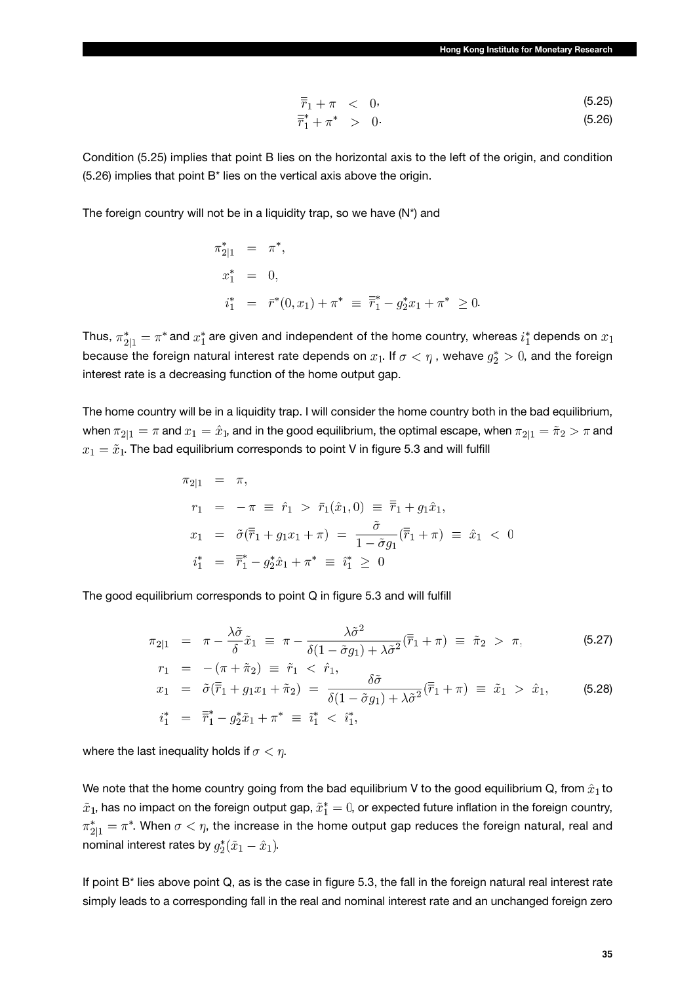$$
\overline{\overline{r}}_1 + \pi \quad < \quad 0. \tag{5.25}
$$

$$
\bar{\bar{r}}_1^* + \pi^* \geq 0. \tag{5.26}
$$

Condition (5.25) implies that point B lies on the horizontal axis to the left of the origin, and condition (5.26) implies that point B\* lies on the vertical axis above the origin.

The foreign country will not be in a liquidity trap, so we have (N\*) and

$$
\pi_{2|1}^* = \pi^*,
$$
  
\n
$$
x_1^* = 0,
$$
  
\n
$$
i_1^* = \bar{r}^*(0, x_1) + \pi^* \equiv \bar{r}_1^* - g_2^* x_1 + \pi^* \ge 0.
$$

Thus,  $\pi_{2|1}^* = \pi^*$  and  $x_1^*$  are given and independent of the home country, whereas  $i_1^*$  depends on  $x_1$ because the foreign natural interest rate depends on  $x_1$ . If  $\sigma < \eta$ , wehave  $g_2^* > 0$ , and the foreign interest rate is a decreasing function of the home output gap.

The home country will be in a liquidity trap. I will consider the home country both in the bad equilibrium, when  $\pi_{2|1} = \pi$  and  $x_1 = \hat{x}_1$ , and in the good equilibrium, the optimal escape, when  $\pi_{2|1} = \tilde{\pi}_2 > \pi$  and  $x_1 = \tilde{x}_1$ . The bad equilibrium corresponds to point V in figure 5.3 and will fulfill

$$
\pi_{2|1} = \pi,
$$
  
\n
$$
r_1 = -\pi \equiv \hat{r}_1 > \bar{r}_1(\hat{x}_1, 0) \equiv \overline{\bar{r}}_1 + g_1 \hat{x}_1,
$$
  
\n
$$
x_1 = \tilde{\sigma}(\overline{\bar{r}}_1 + g_1 x_1 + \pi) = \frac{\tilde{\sigma}}{1 - \tilde{\sigma} g_1}(\overline{\bar{r}}_1 + \pi) \equiv \hat{x}_1 < 0
$$
  
\n
$$
i_1^* = \overline{\bar{r}}_1^* - g_2^* \hat{x}_1 + \pi^* \equiv i_1^* \ge 0
$$

The good equilibrium corresponds to point Q in figure 5.3 and will fulfill

$$
\pi_{2|1} = \pi - \frac{\lambda \tilde{\sigma}}{\delta} \tilde{x}_1 \equiv \pi - \frac{\lambda \tilde{\sigma}^2}{\delta (1 - \tilde{\sigma} g_1) + \lambda \tilde{\sigma}^2} (\overline{r}_1 + \pi) \equiv \tilde{\pi}_2 > \pi,
$$
\n(5.27)

$$
x_1 = \tilde{\sigma}(\bar{r}_1 + g_1 x_1 + \tilde{\pi}_2) = \frac{\delta \tilde{\sigma}}{\delta(1 - \tilde{\sigma} g_1) + \lambda \tilde{\sigma}^2}(\bar{r}_1 + \pi) \equiv \tilde{x}_1 > \hat{x}_1,
$$
(5.28)  

$$
i_1^* = \bar{r}_1^* - g_2^* \tilde{x}_1 + \pi^* \equiv \tilde{i}_1^* < \hat{i}_1^*,
$$

where the last inequality holds if  $\sigma < \eta$ .

We note that the home country going from the bad equilibrium V to the good equilibrium Q, from  $\hat{x}_1$  to  $\tilde{x}_1$ , has no impact on the foreign output gap,  $\tilde{x}_1^* = 0$ , or expected future inflation in the foreign country,  $\pi^*_{2|1} = \pi^*$ . When  $\sigma < \eta$ , the increase in the home output gap reduces the foreign natural, real and nominal interest rates by  $g_2^*(\tilde{x}_1 - \hat{x}_1)$ .

If point B\* lies above point Q, as is the case in figure 5.3, the fall in the foreign natural real interest rate simply leads to a corresponding fall in the real and nominal interest rate and an unchanged foreign zero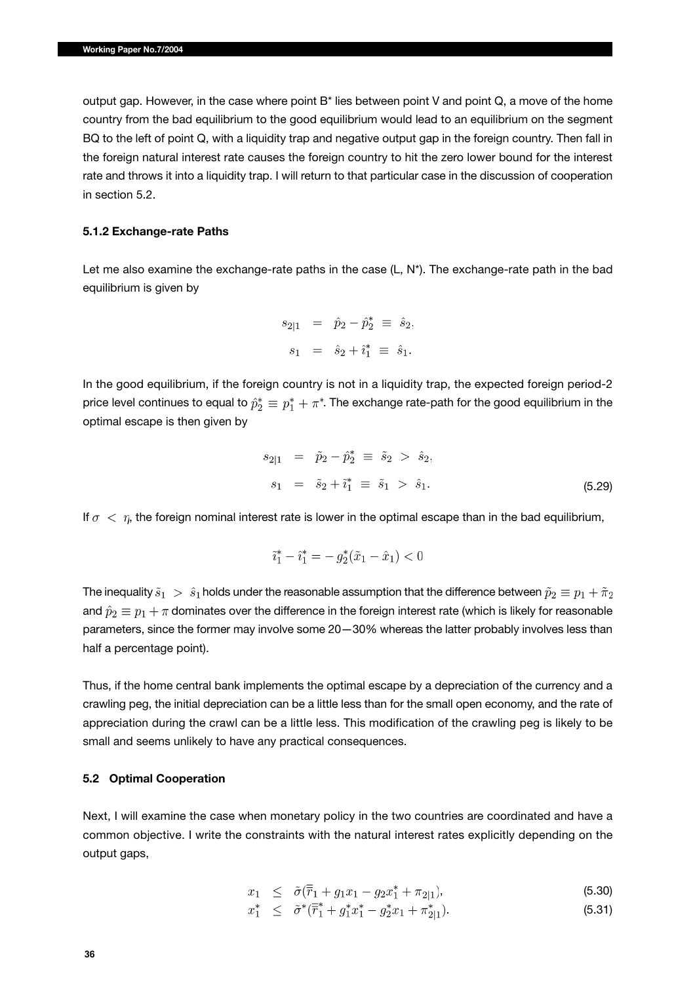output gap. However, in the case where point B\* lies between point V and point Q, a move of the home country from the bad equilibrium to the good equilibrium would lead to an equilibrium on the segment BQ to the left of point Q, with a liquidity trap and negative output gap in the foreign country. Then fall in the foreign natural interest rate causes the foreign country to hit the zero lower bound for the interest rate and throws it into a liquidity trap. I will return to that particular case in the discussion of cooperation in section 5.2.

#### **5.1.2 Exchange-rate Paths**

Let me also examine the exchange-rate paths in the case  $(L, N^*)$ . The exchange-rate path in the bad equilibrium is given by

$$
s_{2|1} = \hat{p}_2 - \hat{p}_2^* \equiv \hat{s}_2, s_1 = \hat{s}_2 + \hat{i}_1^* \equiv \hat{s}_1.
$$

In the good equilibrium, if the foreign country is not in a liquidity trap, the expected foreign period-2 price level continues to equal to  $\hat{p}_2^* \equiv p_1^* + \pi^*$ . The exchange rate-path for the good equilibrium in the optimal escape is then given by

$$
s_{2|1} = \tilde{p}_2 - \hat{p}_2^* \equiv \tilde{s}_2 > \hat{s}_2,
$$
  
\n
$$
s_1 = \tilde{s}_2 + \tilde{i}_1^* \equiv \tilde{s}_1 > \hat{s}_1.
$$
 (5.29)

If  $\sigma < \eta$ , the foreign nominal interest rate is lower in the optimal escape than in the bad equilibrium,

$$
\tilde{i}_1^* - \hat{i}_1^* = -g_2^*(\tilde{x}_1 - \hat{x}_1) < 0
$$

The inequality  $\tilde{s}_1 > \hat{s}_1$  holds under the reasonable assumption that the difference between  $\tilde{p}_2 \equiv p_1 + \tilde{\pi}_2$ and  $\hat{p}_2 \equiv p_1 + \pi$  dominates over the difference in the foreign interest rate (which is likely for reasonable parameters, since the former may involve some 20—30% whereas the latter probably involves less than half a percentage point).

Thus, if the home central bank implements the optimal escape by a depreciation of the currency and a crawling peg, the initial depreciation can be a little less than for the small open economy, and the rate of appreciation during the crawl can be a little less. This modification of the crawling peg is likely to be small and seems unlikely to have any practical consequences.

### **5.2 Optimal Cooperation**

Next, I will examine the case when monetary policy in the two countries are coordinated and have a common objective. I write the constraints with the natural interest rates explicitly depending on the output gaps,

$$
x_1 \leq \tilde{\sigma}(\overline{\overline{r}}_1 + g_1 x_1 - g_2 x_1^* + \pi_{2|1}), \tag{5.30}
$$

$$
x_1^* \leq \tilde{\sigma}^* (\bar{r}_1^* + g_1^* x_1^* - g_2^* x_1 + \pi_{2|1}^*). \tag{5.31}
$$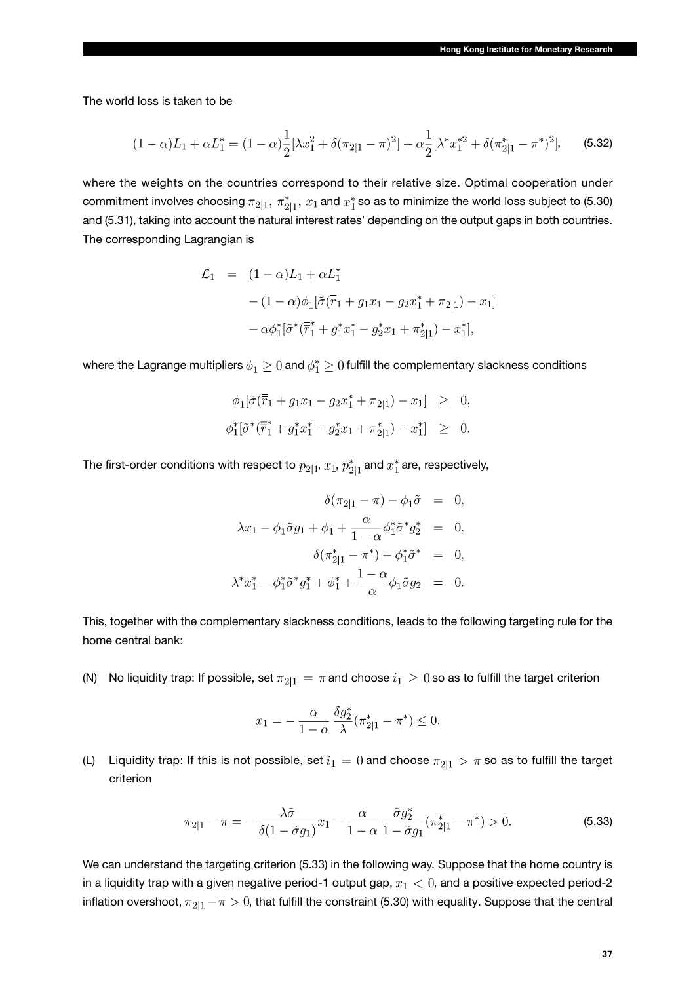The world loss is taken to be

$$
(1 - \alpha)L_1 + \alpha L_1^* = (1 - \alpha)\frac{1}{2}[\lambda x_1^2 + \delta(\pi_{2|1} - \pi)^2] + \alpha \frac{1}{2}[\lambda^* x_1^{*2} + \delta(\pi_{2|1}^* - \pi^*)^2],
$$
 (5.32)

where the weights on the countries correspond to their relative size. Optimal cooperation under commitment involves choosing  $\pi_{2|1}$ ,  $\pi^*_{2|1}$ ,  $x_1$  and  $x_1^*$  so as to minimize the world loss subject to (5.30) and (5.31), taking into account the natural interest rates' depending on the output gaps in both countries. The corresponding Lagrangian is

$$
\mathcal{L}_1 = (1 - \alpha)L_1 + \alpha L_1^*
$$
  
 
$$
- (1 - \alpha)\phi_1[\tilde{\sigma}(\overline{\overline{r}}_1 + g_1x_1 - g_2x_1^* + \pi_{2|1}) - x_1]
$$
  
 
$$
- \alpha \phi_1^*[\tilde{\sigma}^*(\overline{\overline{r}}_1^* + g_1^*x_1^* - g_2^*x_1 + \pi_{2|1}^*) - x_1^*],
$$

where the Lagrange multipliers  $\phi_1 \geq 0$  and  $\phi_1^* \geq 0$  fulfill the complementary slackness conditions

 $\phi_1[\tilde{\sigma}(\overline{\overline{r}}_1+g_1x_1-g_2x_1^*+\pi_{2|1})-x_1] \geq 0,$  $\phi_1^*[\tilde{\sigma}^* (\overline{\tilde{r}}_1^* + g_1^* x_1^* - g_2^* x_1 + \pi_{2|1}^*) - x_1^*] \geq 0.$ 

The first-order conditions with respect to  $p_{2|1}$ ,  $x_1$ ,  $p_{2|1}^*$  and  $x_1^*$  are, respectively,

$$
\delta(\pi_{2|1} - \pi) - \phi_1 \tilde{\sigma} = 0,
$$
  

$$
\lambda x_1 - \phi_1 \tilde{\sigma} g_1 + \phi_1 + \frac{\alpha}{1 - \alpha} \phi_1^* \tilde{\sigma}^* g_2^* = 0,
$$
  

$$
\delta(\pi_{2|1}^* - \pi^*) - \phi_1^* \tilde{\sigma}^* = 0,
$$
  

$$
\lambda^* x_1^* - \phi_1^* \tilde{\sigma}^* g_1^* + \phi_1^* + \frac{1 - \alpha}{\alpha} \phi_1 \tilde{\sigma} g_2 = 0.
$$

This, together with the complementary slackness conditions, leads to the following targeting rule for the home central bank:

(N) No liquidity trap: If possible, set  $\pi_{2|1} = \pi$  and choose  $i_1 \geq 0$  so as to fulfill the target criterion

$$
x_1 = -\frac{\alpha}{1-\alpha} \frac{\delta g_2^*}{\lambda} (\pi_{2|1}^* - \pi^*) \le 0.
$$

(L) Liquidity trap: If this is not possible, set  $i_1 = 0$  and choose  $\pi_{2|1} > \pi$  so as to fulfill the target criterion

$$
\pi_{2|1} - \pi = -\frac{\lambda \tilde{\sigma}}{\delta(1 - \tilde{\sigma}g_1)} x_1 - \frac{\alpha}{1 - \alpha} \frac{\tilde{\sigma}g_2^*}{1 - \tilde{\sigma}g_1} (\pi_{2|1}^* - \pi^*) > 0.
$$
 (5.33)

We can understand the targeting criterion (5.33) in the following way. Suppose that the home country is in a liquidity trap with a given negative period-1 output gap,  $x_1 < 0$ , and a positive expected period-2 inflation overshoot,  $\pi_{2|1} - \pi > 0$ , that fulfill the constraint (5.30) with equality. Suppose that the central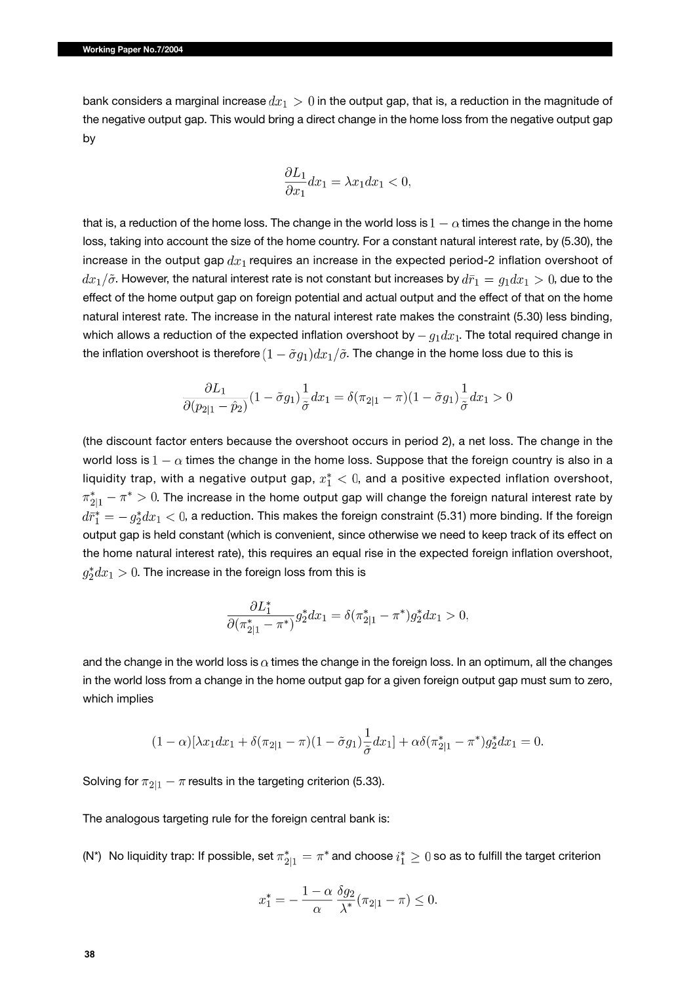bank considers a marginal increase  $dx_1 > 0$  in the output gap, that is, a reduction in the magnitude of the negative output gap. This would bring a direct change in the home loss from the negative output gap by

$$
\frac{\partial L_1}{\partial x_1}dx_1=\lambda x_1dx_1<0,
$$

that is, a reduction of the home loss. The change in the world loss is  $1-\alpha$  times the change in the home loss, taking into account the size of the home country. For a constant natural interest rate, by (5.30), the increase in the output gap  $dx_1$  requires an increase in the expected period-2 inflation overshoot of  $dx_1/\tilde{\sigma}$ . However, the natural interest rate is not constant but increases by  $d\bar{r}_1 = g_1 dx_1 > 0$ , due to the effect of the home output gap on foreign potential and actual output and the effect of that on the home natural interest rate. The increase in the natural interest rate makes the constraint (5.30) less binding, which allows a reduction of the expected inflation overshoot by  $-g_1dx_1$ . The total required change in the inflation overshoot is therefore  $(1 - \tilde{\sigma}g_1)dx_1/\tilde{\sigma}$ . The change in the home loss due to this is

$$
\frac{\partial L_1}{\partial (p_{2|1}-\hat p_2)}(1-\tilde \sigma g_1)\frac{1}{\tilde \sigma}dx_1=\delta(\pi_{2|1}-\pi)(1-\tilde \sigma g_1)\frac{1}{\tilde \sigma}dx_1>0
$$

(the discount factor enters because the overshoot occurs in period 2), a net loss. The change in the world loss is  $1 - \alpha$  times the change in the home loss. Suppose that the foreign country is also in a liquidity trap, with a negative output gap,  $x_1^* < 0$ , and a positive expected inflation overshoot,  $\pi^*_{2|1}-\pi^*>0.$  The increase in the home output gap will change the foreign natural interest rate by  $d\bar{r}_1^* = -g_2^*dx_1 < 0$ , a reduction. This makes the foreign constraint (5.31) more binding. If the foreign output gap is held constant (which is convenient, since otherwise we need to keep track of its effect on the home natural interest rate), this requires an equal rise in the expected foreign inflation overshoot,  $g_2^*dx_1>0$ . The increase in the foreign loss from this is

$$
\frac{\partial L_1^*}{\partial (\pi_{2|1}^* - \pi^*)} g_2^* dx_1 = \delta (\pi_{2|1}^* - \pi^*) g_2^* dx_1 > 0,
$$

and the change in the world loss is  $\alpha$  times the change in the foreign loss. In an optimum, all the changes in the world loss from a change in the home output gap for a given foreign output gap must sum to zero, which implies

$$
(1 - \alpha)[\lambda x_1 dx_1 + \delta(\pi_{2|1} - \pi)(1 - \tilde{\sigma}g_1)\frac{1}{\tilde{\sigma}}dx_1] + \alpha \delta(\pi_{2|1}^* - \pi^*)g_2^* dx_1 = 0.
$$

Solving for  $\pi_{2|1} - \pi$  results in the targeting criterion (5.33).

The analogous targeting rule for the foreign central bank is:

(N\*) No liquidity trap: If possible, set  $\pi_{2|1}^* = \pi^*$  and choose  $i_1^* \geq 0$  so as to fulfill the target criterion

$$
x_1^* = -\frac{1-\alpha}{\alpha} \frac{\delta g_2}{\lambda^*} (\pi_{2|1} - \pi) \le 0.
$$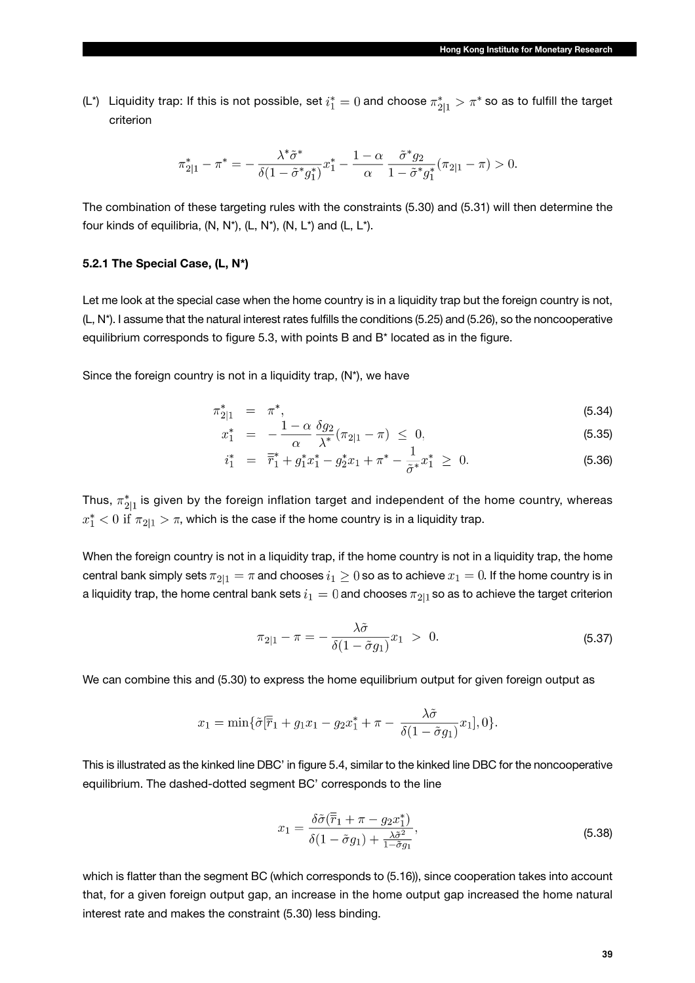(L\*) Liquidity trap: If this is not possible, set  $i_1^* = 0$  and choose  $\pi_{2|1}^* > \pi^*$  so as to fulfill the target criterion

$$
\pi_{2|1}^* - \pi^* = -\frac{\lambda^* \tilde{\sigma}^*}{\delta (1 - \tilde{\sigma}^* g_1^*)} x_1^* - \frac{1 - \alpha}{\alpha} \frac{\tilde{\sigma}^* g_2}{1 - \tilde{\sigma}^* g_1^*} (\pi_{2|1} - \pi) > 0.
$$

The combination of these targeting rules with the constraints (5.30) and (5.31) will then determine the four kinds of equilibria,  $(N, N^*)$ ,  $(L, N^*)$ ,  $(N, L^*)$  and  $(L, L^*)$ .

### **5.2.1 The Special Case, (L, N\*)**

Let me look at the special case when the home country is in a liquidity trap but the foreign country is not, (L, N\*). I assume that the natural interest rates fulfills the conditions (5.25) and (5.26), so the noncooperative equilibrium corresponds to figure 5.3, with points B and B\* located as in the figure.

Since the foreign country is not in a liquidity trap,  $(N^*)$ , we have

$$
\pi_{2|1}^* = \pi^*, \tag{5.34}
$$

$$
x_1^* = -\frac{1-\alpha}{\alpha} \frac{\partial g_2}{\partial x} (\pi_{2|1} - \pi) \leq 0,
$$
\n(5.35)

$$
i_1^* = \overline{\overline{r}}_1^* + g_1^* x_1^* - g_2^* x_1 + \pi^* - \frac{1}{\tilde{\sigma}^*} x_1^* \geq 0. \tag{5.36}
$$

Thus,  $\pi^*_{2|1}$  is given by the foreign inflation target and independent of the home country, whereas  $x_1^*$   $\lt$  0 if  $\pi_{2|1}$   $\gt$   $\pi$ , which is the case if the home country is in a liquidity trap.

When the foreign country is not in a liquidity trap, if the home country is not in a liquidity trap, the home central bank simply sets  $\pi_{2|1} = \pi$  and chooses  $i_1 \geq 0$  so as to achieve  $x_1 = 0$ . If the home country is in a liquidity trap, the home central bank sets  $i_1 = 0$  and chooses  $\pi_{2|1}$  so as to achieve the target criterion

$$
\pi_{2|1} - \pi = -\frac{\lambda \tilde{\sigma}}{\delta(1 - \tilde{\sigma}g_1)} x_1 > 0.
$$
\n(5.37)

We can combine this and (5.30) to express the home equilibrium output for given foreign output as

$$
x_1 = \min{\{\tilde{\sigma}[\overline{r}_1 + g_1x_1 - g_2x_1^* + \pi - \frac{\lambda \tilde{\sigma}}{\delta(1 - \tilde{\sigma}g_1)}x_1], 0\}}.
$$

This is illustrated as the kinked line DBC' in figure 5.4, similar to the kinked line DBC for the noncooperative equilibrium. The dashed-dotted segment BC' corresponds to the line

$$
x_1 = \frac{\delta \tilde{\sigma}(\overline{\overline{r}}_1 + \pi - g_2 x_1^*)}{\delta (1 - \tilde{\sigma} g_1) + \frac{\lambda \tilde{\sigma}^2}{1 - \tilde{\sigma} g_1}},\tag{5.38}
$$

which is flatter than the segment BC (which corresponds to (5.16)), since cooperation takes into account that, for a given foreign output gap, an increase in the home output gap increased the home natural interest rate and makes the constraint (5.30) less binding.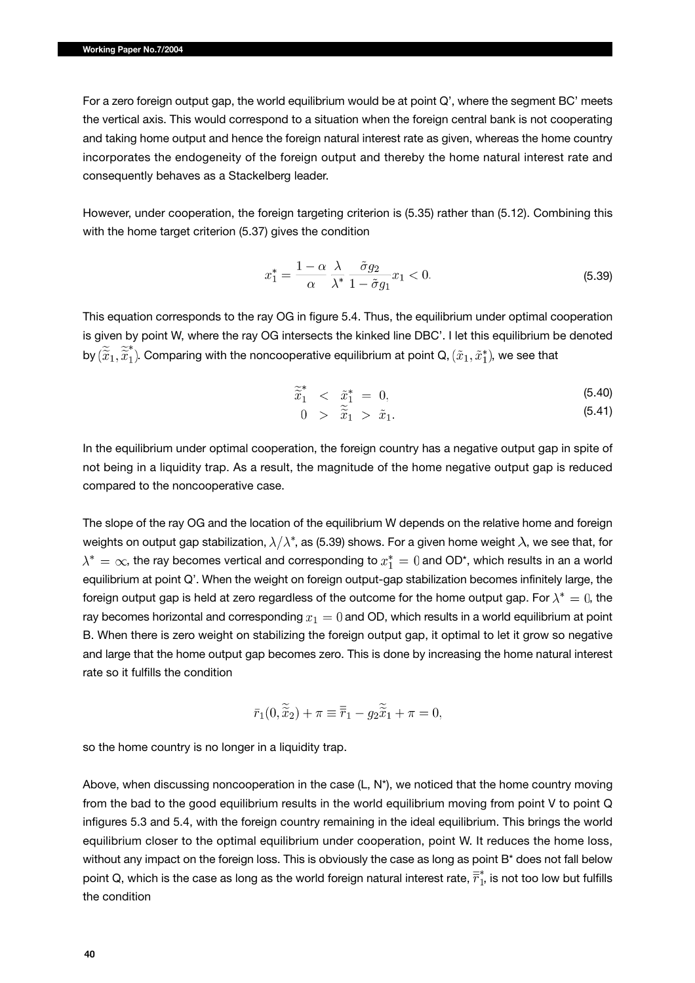For a zero foreign output gap, the world equilibrium would be at point Q', where the segment BC' meets the vertical axis. This would correspond to a situation when the foreign central bank is not cooperating and taking home output and hence the foreign natural interest rate as given, whereas the home country incorporates the endogeneity of the foreign output and thereby the home natural interest rate and consequently behaves as a Stackelberg leader.

However, under cooperation, the foreign targeting criterion is (5.35) rather than (5.12). Combining this with the home target criterion (5.37) gives the condition

$$
x_1^* = \frac{1 - \alpha}{\alpha} \frac{\lambda}{\lambda^*} \frac{\tilde{\sigma} g_2}{1 - \tilde{\sigma} g_1} x_1 < 0. \tag{5.39}
$$

This equation corresponds to the ray OG in figure 5.4. Thus, the equilibrium under optimal cooperation is given by point W, where the ray OG intersects the kinked line DBC'. I let this equilibrium be denoted by  $(\widetilde{\widetilde{x}}_1,\widetilde{\widetilde{x}}_1^*)$ . Comparing with the noncooperative equilibrium at point Q,  $(\widetilde{x}_1,\widetilde{x}_1^*)$ , we see that

$$
\widetilde{\widetilde{x}}_1^* < \ \widetilde{x}_1^* = 0,\tag{5.40}
$$

$$
0 \quad > \quad \widetilde{x}_1 \; > \; \widetilde{x}_1. \tag{5.41}
$$

In the equilibrium under optimal cooperation, the foreign country has a negative output gap in spite of not being in a liquidity trap. As a result, the magnitude of the home negative output gap is reduced compared to the noncooperative case.

The slope of the ray OG and the location of the equilibrium W depends on the relative home and foreign weights on output gap stabilization,  $\lambda/\lambda^*$ , as (5.39) shows. For a given home weight  $\lambda$ , we see that, for  $\lambda^* = \infty$ , the ray becomes vertical and corresponding to  $x_1^* = 0$  and OD\*, which results in an a world equilibrium at point Q'. When the weight on foreign output-gap stabilization becomes infinitely large, the foreign output gap is held at zero regardless of the outcome for the home output gap. For  $\lambda^* = 0$ , the ray becomes horizontal and corresponding  $x_1 = 0$  and OD, which results in a world equilibrium at point B. When there is zero weight on stabilizing the foreign output gap, it optimal to let it grow so negative and large that the home output gap becomes zero. This is done by increasing the home natural interest rate so it fulfills the condition

$$
\bar{r}_1(0, \tilde{\tilde{x}}_2) + \pi \equiv \bar{\bar{r}}_1 - g_2 \tilde{\tilde{x}}_1 + \pi = 0,
$$

so the home country is no longer in a liquidity trap.

Above, when discussing noncooperation in the case (L, N\*), we noticed that the home country moving from the bad to the good equilibrium results in the world equilibrium moving from point V to point Q infigures 5.3 and 5.4, with the foreign country remaining in the ideal equilibrium. This brings the world equilibrium closer to the optimal equilibrium under cooperation, point W. It reduces the home loss, without any impact on the foreign loss. This is obviously the case as long as point B<sup>\*</sup> does not fall below point Q, which is the case as long as the world foreign natural interest rate,  $\bar{\vec{r}}_1^*$ , is not too low but fulfills the condition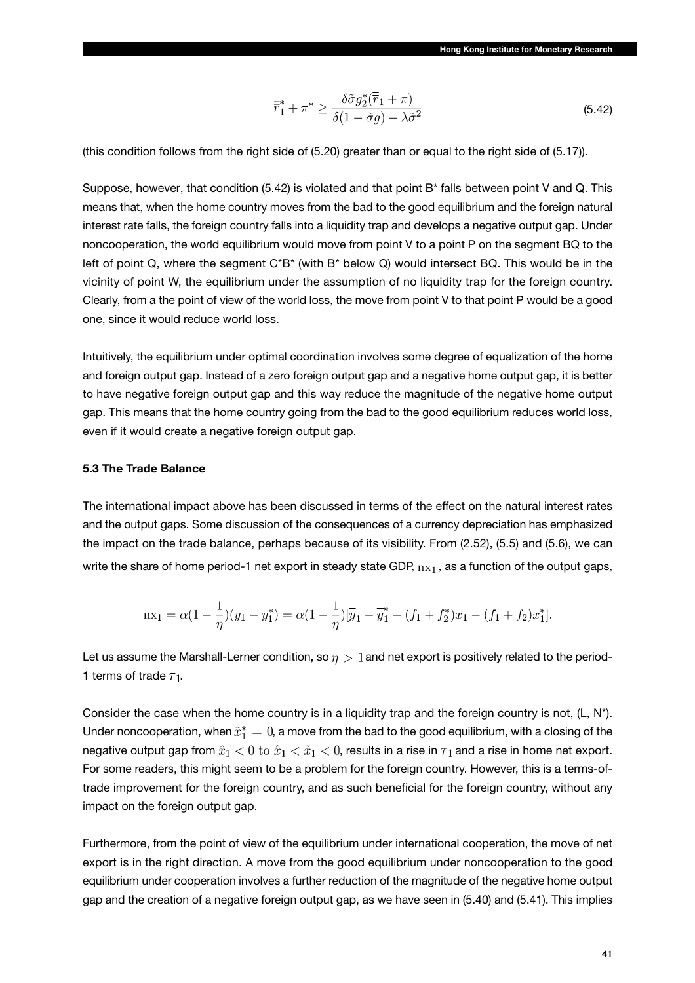$$
\overline{\overline{r}}_1^* + \pi^* \ge \frac{\delta \tilde{\sigma} g_2^*(\overline{r}_1 + \pi)}{\delta (1 - \tilde{\sigma} g) + \lambda \tilde{\sigma}^2} \tag{5.42}
$$

(this condition follows from the right side of (5.20) greater than or equal to the right side of (5.17)).

Suppose, however, that condition (5.42) is violated and that point B\* falls between point V and Q. This means that, when the home country moves from the bad to the good equilibrium and the foreign natural interest rate falls, the foreign country falls into a liquidity trap and develops a negative output gap. Under noncooperation, the world equilibrium would move from point V to a point P on the segment BQ to the left of point Q, where the segment C\*B\* (with B\* below Q) would intersect BQ. This would be in the vicinity of point W, the equilibrium under the assumption of no liquidity trap for the foreign country. Clearly, from a the point of view of the world loss, the move from point V to that point P would be a good one, since it would reduce world loss.

Intuitively, the equilibrium under optimal coordination involves some degree of equalization of the home and foreign output gap. Instead of a zero foreign output gap and a negative home output gap, it is better to have negative foreign output gap and this way reduce the magnitude of the negative home output gap. This means that the home country going from the bad to the good equilibrium reduces world loss, even if it would create a negative foreign output gap.

### **5.3 The Trade Balance**

The international impact above has been discussed in terms of the effect on the natural interest rates and the output gaps. Some discussion of the consequences of a currency depreciation has emphasized the impact on the trade balance, perhaps because of its visibility. From (2.52), (5.5) and (5.6), we can write the share of home period-1 net export in steady state GDP,  $nx_1$ , as a function of the output gaps,

$$
nx_1 = \alpha(1 - \frac{1}{\eta})(y_1 - y_1^*) = \alpha(1 - \frac{1}{\eta})[\overline{y}_1 - \overline{y}_1^* + (f_1 + f_2^*)x_1 - (f_1 + f_2)x_1^*].
$$

Let us assume the Marshall-Lerner condition, so  $\eta > 1$  and net export is positively related to the period-1 terms of trade  $\tau_1$ .

Consider the case when the home country is in a liquidity trap and the foreign country is not,  $(L, N^*)$ . Under noncooperation, when  $\tilde{x}_1^* = 0$ , a move from the bad to the good equilibrium, with a closing of the negative output gap from  $\hat{x}_1 < 0$  to  $\hat{x}_1 < \tilde{x}_1 < 0$ , results in a rise in  $\tau_1$  and a rise in home net export. For some readers, this might seem to be a problem for the foreign country. However, this is a terms-oftrade improvement for the foreign country, and as such beneficial for the foreign country, without any impact on the foreign output gap.

Furthermore, from the point of view of the equilibrium under international cooperation, the move of net export is in the right direction. A move from the good equilibrium under noncooperation to the good equilibrium under cooperation involves a further reduction of the magnitude of the negative home output gap and the creation of a negative foreign output gap, as we have seen in (5.40) and (5.41). This implies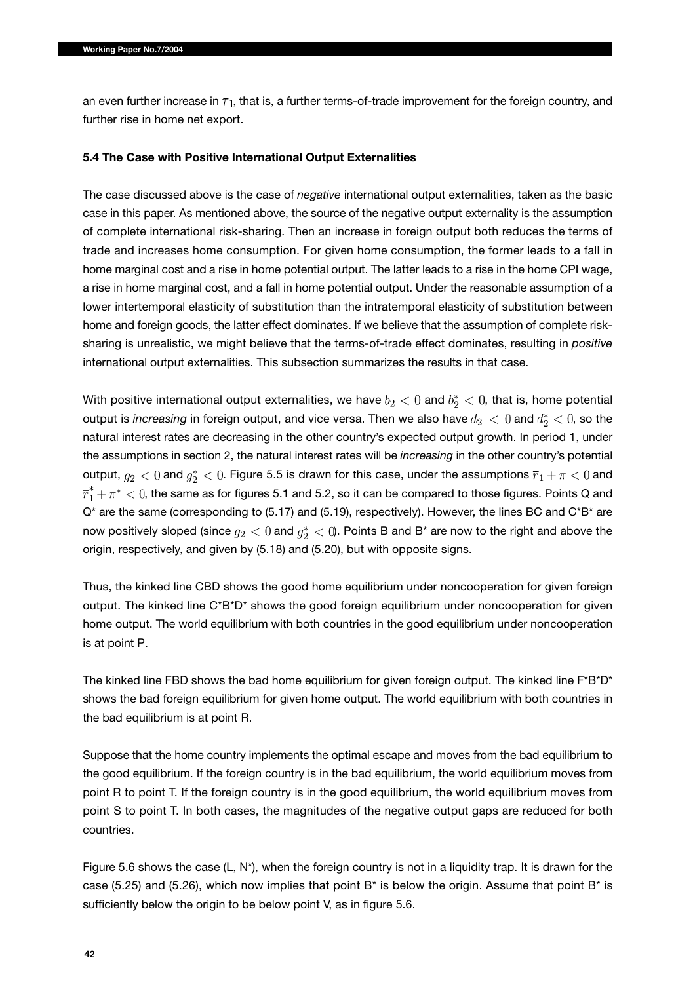an even further increase in  $\tau_1$ , that is, a further terms-of-trade improvement for the foreign country, and further rise in home net export.

#### **5.4 The Case with Positive International Output Externalities**

The case discussed above is the case of *negative* international output externalities, taken as the basic case in this paper. As mentioned above, the source of the negative output externality is the assumption of complete international risk-sharing. Then an increase in foreign output both reduces the terms of trade and increases home consumption. For given home consumption, the former leads to a fall in home marginal cost and a rise in home potential output. The latter leads to a rise in the home CPI wage, a rise in home marginal cost, and a fall in home potential output. Under the reasonable assumption of a lower intertemporal elasticity of substitution than the intratemporal elasticity of substitution between home and foreign goods, the latter effect dominates. If we believe that the assumption of complete risksharing is unrealistic, we might believe that the terms-of-trade effect dominates, resulting in *positive* international output externalities. This subsection summarizes the results in that case.

With positive international output externalities, we have  $b_2 < 0$  and  $b_2^* < 0$ , that is, home potential output is *increasing* in foreign output, and vice versa. Then we also have  $d_2 < 0$  and  $d_2^* < 0$ , so the natural interest rates are decreasing in the other country's expected output growth. In period 1, under the assumptions in section 2, the natural interest rates will be *increasing* in the other country's potential output,  $g_2 < 0$  and  $g_2^* < 0$ . Figure 5.5 is drawn for this case, under the assumptions  $\overline{r}_1 + \pi < 0$  and  $\overline{r}_1^* + \pi^*$  < 0, the same as for figures 5.1 and 5.2, so it can be compared to those figures. Points Q and  $Q^*$  are the same (corresponding to (5.17) and (5.19), respectively). However, the lines BC and  $C^*B^*$  are now positively sloped (since  $g_2 < 0$  and  $g_2^* < 0$ ). Points B and B<sup>\*</sup> are now to the right and above the origin, respectively, and given by (5.18) and (5.20), but with opposite signs.

Thus, the kinked line CBD shows the good home equilibrium under noncooperation for given foreign output. The kinked line C\*B\*D\* shows the good foreign equilibrium under noncooperation for given home output. The world equilibrium with both countries in the good equilibrium under noncooperation is at point P.

The kinked line FBD shows the bad home equilibrium for given foreign output. The kinked line F\*B\*D\* shows the bad foreign equilibrium for given home output. The world equilibrium with both countries in the bad equilibrium is at point R.

Suppose that the home country implements the optimal escape and moves from the bad equilibrium to the good equilibrium. If the foreign country is in the bad equilibrium, the world equilibrium moves from point R to point T. If the foreign country is in the good equilibrium, the world equilibrium moves from point S to point T. In both cases, the magnitudes of the negative output gaps are reduced for both countries.

Figure 5.6 shows the case (L, N\*), when the foreign country is not in a liquidity trap. It is drawn for the case (5.25) and (5.26), which now implies that point  $B^*$  is below the origin. Assume that point  $B^*$  is sufficiently below the origin to be below point V, as in figure 5.6.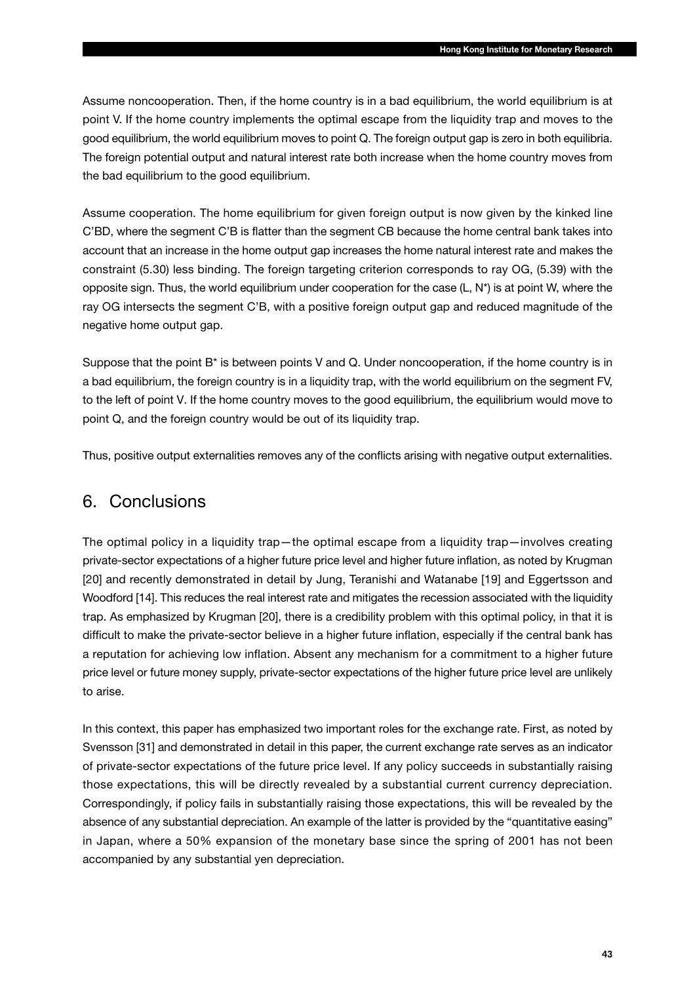Assume noncooperation. Then, if the home country is in a bad equilibrium, the world equilibrium is at point V. If the home country implements the optimal escape from the liquidity trap and moves to the good equilibrium, the world equilibrium moves to point Q. The foreign output gap is zero in both equilibria. The foreign potential output and natural interest rate both increase when the home country moves from the bad equilibrium to the good equilibrium.

Assume cooperation. The home equilibrium for given foreign output is now given by the kinked line C'BD, where the segment C'B is flatter than the segment CB because the home central bank takes into account that an increase in the home output gap increases the home natural interest rate and makes the constraint (5.30) less binding. The foreign targeting criterion corresponds to ray OG, (5.39) with the opposite sign. Thus, the world equilibrium under cooperation for the case (L, N\*) is at point W, where the ray OG intersects the segment C'B, with a positive foreign output gap and reduced magnitude of the negative home output gap.

Suppose that the point B\* is between points V and Q. Under noncooperation, if the home country is in a bad equilibrium, the foreign country is in a liquidity trap, with the world equilibrium on the segment FV, to the left of point V. If the home country moves to the good equilibrium, the equilibrium would move to point Q, and the foreign country would be out of its liquidity trap.

Thus, positive output externalities removes any of the conflicts arising with negative output externalities.

## 6. Conclusions

The optimal policy in a liquidity trap—the optimal escape from a liquidity trap—involves creating private-sector expectations of a higher future price level and higher future inflation, as noted by Krugman [20] and recently demonstrated in detail by Jung, Teranishi and Watanabe [19] and Eggertsson and Woodford [14]. This reduces the real interest rate and mitigates the recession associated with the liquidity trap. As emphasized by Krugman [20], there is a credibility problem with this optimal policy, in that it is difficult to make the private-sector believe in a higher future inflation, especially if the central bank has a reputation for achieving low inflation. Absent any mechanism for a commitment to a higher future price level or future money supply, private-sector expectations of the higher future price level are unlikely to arise.

In this context, this paper has emphasized two important roles for the exchange rate. First, as noted by Svensson [31] and demonstrated in detail in this paper, the current exchange rate serves as an indicator of private-sector expectations of the future price level. If any policy succeeds in substantially raising those expectations, this will be directly revealed by a substantial current currency depreciation. Correspondingly, if policy fails in substantially raising those expectations, this will be revealed by the absence of any substantial depreciation. An example of the latter is provided by the "quantitative easing" in Japan, where a 50% expansion of the monetary base since the spring of 2001 has not been accompanied by any substantial yen depreciation.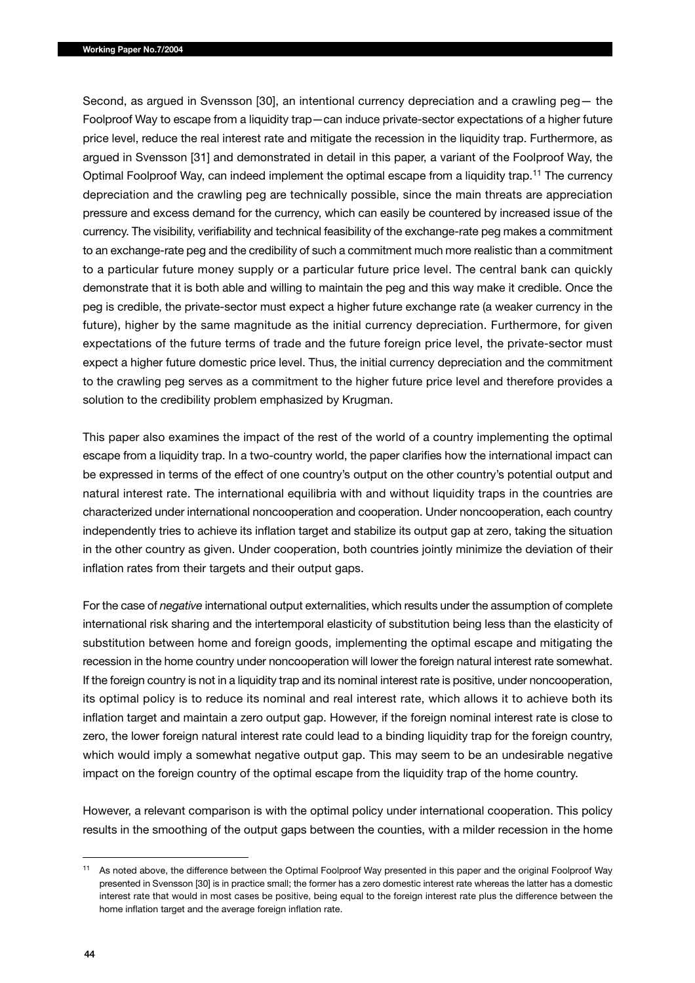Second, as argued in Svensson [30], an intentional currency depreciation and a crawling peg— the Foolproof Way to escape from a liquidity trap—can induce private-sector expectations of a higher future price level, reduce the real interest rate and mitigate the recession in the liquidity trap. Furthermore, as argued in Svensson [31] and demonstrated in detail in this paper, a variant of the Foolproof Way, the Optimal Foolproof Way, can indeed implement the optimal escape from a liquidity trap.11 The currency depreciation and the crawling peg are technically possible, since the main threats are appreciation pressure and excess demand for the currency, which can easily be countered by increased issue of the currency. The visibility, verifiability and technical feasibility of the exchange-rate peg makes a commitment to an exchange-rate peg and the credibility of such a commitment much more realistic than a commitment to a particular future money supply or a particular future price level. The central bank can quickly demonstrate that it is both able and willing to maintain the peg and this way make it credible. Once the peg is credible, the private-sector must expect a higher future exchange rate (a weaker currency in the future), higher by the same magnitude as the initial currency depreciation. Furthermore, for given expectations of the future terms of trade and the future foreign price level, the private-sector must expect a higher future domestic price level. Thus, the initial currency depreciation and the commitment to the crawling peg serves as a commitment to the higher future price level and therefore provides a solution to the credibility problem emphasized by Krugman.

This paper also examines the impact of the rest of the world of a country implementing the optimal escape from a liquidity trap. In a two-country world, the paper clarifies how the international impact can be expressed in terms of the effect of one country's output on the other country's potential output and natural interest rate. The international equilibria with and without liquidity traps in the countries are characterized under international noncooperation and cooperation. Under noncooperation, each country independently tries to achieve its inflation target and stabilize its output gap at zero, taking the situation in the other country as given. Under cooperation, both countries jointly minimize the deviation of their inflation rates from their targets and their output gaps.

For the case of *negative* international output externalities, which results under the assumption of complete international risk sharing and the intertemporal elasticity of substitution being less than the elasticity of substitution between home and foreign goods, implementing the optimal escape and mitigating the recession in the home country under noncooperation will lower the foreign natural interest rate somewhat. If the foreign country is not in a liquidity trap and its nominal interest rate is positive, under noncooperation, its optimal policy is to reduce its nominal and real interest rate, which allows it to achieve both its inflation target and maintain a zero output gap. However, if the foreign nominal interest rate is close to zero, the lower foreign natural interest rate could lead to a binding liquidity trap for the foreign country, which would imply a somewhat negative output gap. This may seem to be an undesirable negative impact on the foreign country of the optimal escape from the liquidity trap of the home country.

However, a relevant comparison is with the optimal policy under international cooperation. This policy results in the smoothing of the output gaps between the counties, with a milder recession in the home

<sup>&</sup>lt;sup>11</sup> As noted above, the difference between the Optimal Foolproof Way presented in this paper and the original Foolproof Way presented in Svensson [30] is in practice small; the former has a zero domestic interest rate whereas the latter has a domestic interest rate that would in most cases be positive, being equal to the foreign interest rate plus the difference between the home inflation target and the average foreign inflation rate.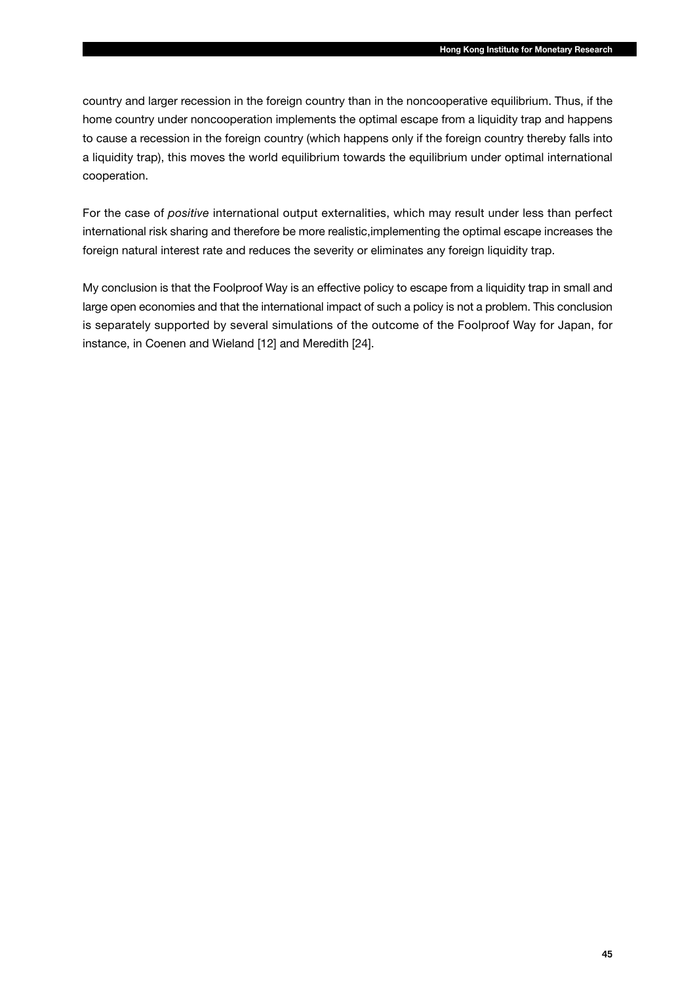country and larger recession in the foreign country than in the noncooperative equilibrium. Thus, if the home country under noncooperation implements the optimal escape from a liquidity trap and happens to cause a recession in the foreign country (which happens only if the foreign country thereby falls into a liquidity trap), this moves the world equilibrium towards the equilibrium under optimal international cooperation.

For the case of *positive* international output externalities, which may result under less than perfect international risk sharing and therefore be more realistic,implementing the optimal escape increases the foreign natural interest rate and reduces the severity or eliminates any foreign liquidity trap.

My conclusion is that the Foolproof Way is an effective policy to escape from a liquidity trap in small and large open economies and that the international impact of such a policy is not a problem. This conclusion is separately supported by several simulations of the outcome of the Foolproof Way for Japan, for instance, in Coenen and Wieland [12] and Meredith [24].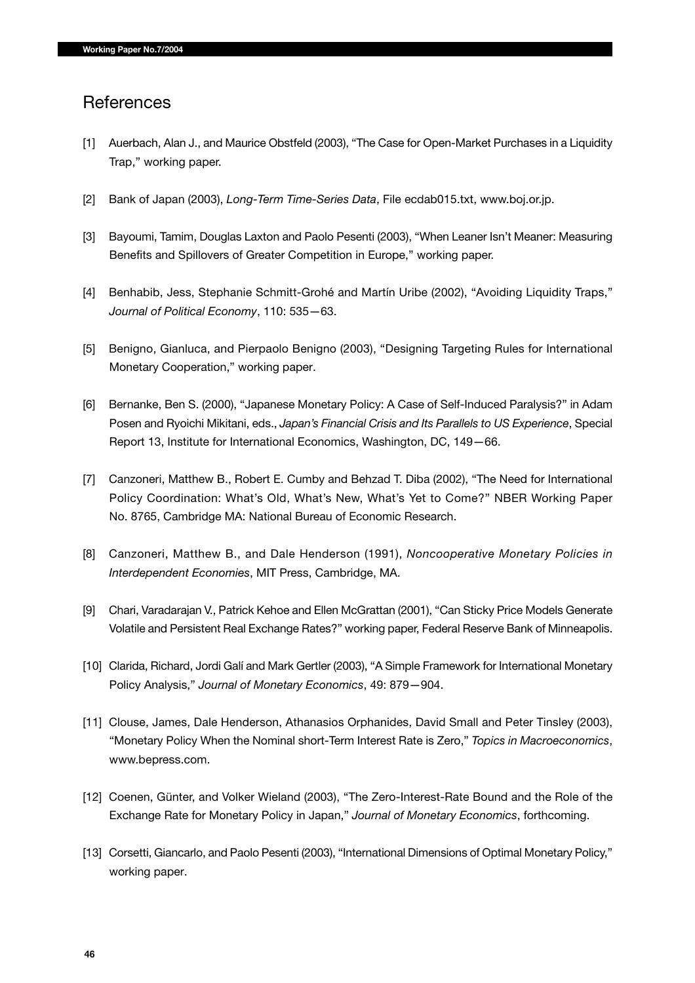## **References**

- [1] Auerbach, Alan J., and Maurice Obstfeld (2003), "The Case for Open-Market Purchases in a Liquidity Trap," working paper.
- [2] Bank of Japan (2003), *Long-Term Time-Series Data*, File ecdab015.txt, www.boj.or.jp.
- [3] Bayoumi, Tamim, Douglas Laxton and Paolo Pesenti (2003), "When Leaner Isn't Meaner: Measuring Benefits and Spillovers of Greater Competition in Europe," working paper.
- [4] Benhabib, Jess, Stephanie Schmitt-Grohé and Martín Uribe (2002), "Avoiding Liquidity Traps," *Journal of Political Economy*, 110: 535—63.
- [5] Benigno, Gianluca, and Pierpaolo Benigno (2003), "Designing Targeting Rules for International Monetary Cooperation," working paper.
- [6] Bernanke, Ben S. (2000), "Japanese Monetary Policy: A Case of Self-Induced Paralysis?" in Adam Posen and Ryoichi Mikitani, eds., *Japan's Financial Crisis and Its Parallels to US Experience*, Special Report 13, Institute for International Economics, Washington, DC, 149—66.
- [7] Canzoneri, Matthew B., Robert E. Cumby and Behzad T. Diba (2002), "The Need for International Policy Coordination: What's Old, What's New, What's Yet to Come?" NBER Working Paper No. 8765, Cambridge MA: National Bureau of Economic Research.
- [8] Canzoneri, Matthew B., and Dale Henderson (1991), *Noncooperative Monetary Policies in Interdependent Economies*, MIT Press, Cambridge, MA.
- [9] Chari, Varadarajan V., Patrick Kehoe and Ellen McGrattan (2001), "Can Sticky Price Models Generate Volatile and Persistent Real Exchange Rates?" working paper, Federal Reserve Bank of Minneapolis.
- [10] Clarida, Richard, Jordi Galí and Mark Gertler (2003), "A Simple Framework for International Monetary Policy Analysis," *Journal of Monetary Economics*, 49: 879—904.
- [11] Clouse, James, Dale Henderson, Athanasios Orphanides, David Small and Peter Tinsley (2003), "Monetary Policy When the Nominal short-Term Interest Rate is Zero," *Topics in Macroeconomics*, www.bepress.com.
- [12] Coenen, Günter, and Volker Wieland (2003), "The Zero-Interest-Rate Bound and the Role of the Exchange Rate for Monetary Policy in Japan," *Journal of Monetary Economics*, forthcoming.
- [13] Corsetti, Giancarlo, and Paolo Pesenti (2003), "International Dimensions of Optimal Monetary Policy," working paper.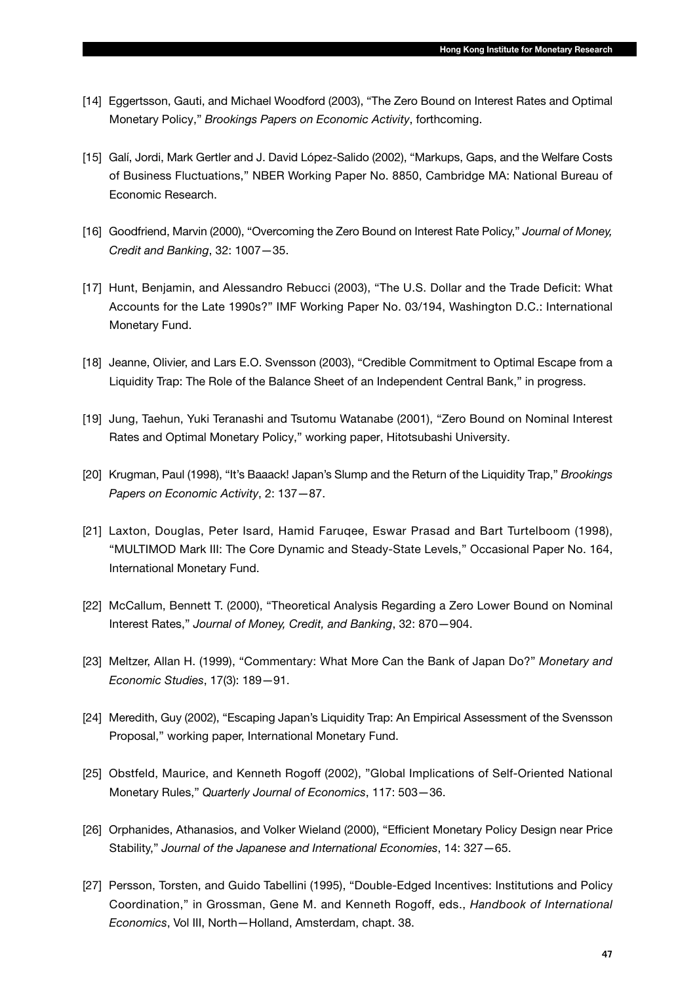- [14] Eggertsson, Gauti, and Michael Woodford (2003), "The Zero Bound on Interest Rates and Optimal Monetary Policy," *Brookings Papers on Economic Activity*, forthcoming.
- [15] Galí, Jordi, Mark Gertler and J. David López-Salido (2002), "Markups, Gaps, and the Welfare Costs of Business Fluctuations," NBER Working Paper No. 8850, Cambridge MA: National Bureau of Economic Research.
- [16] Goodfriend, Marvin (2000), "Overcoming the Zero Bound on Interest Rate Policy," *Journal of Money, Credit and Banking*, 32: 1007—35.
- [17] Hunt, Benjamin, and Alessandro Rebucci (2003), "The U.S. Dollar and the Trade Deficit: What Accounts for the Late 1990s?" IMF Working Paper No. 03/194, Washington D.C.: International Monetary Fund.
- [18] Jeanne, Olivier, and Lars E.O. Svensson (2003), "Credible Commitment to Optimal Escape from a Liquidity Trap: The Role of the Balance Sheet of an Independent Central Bank," in progress.
- [19] Jung, Taehun, Yuki Teranashi and Tsutomu Watanabe (2001), "Zero Bound on Nominal Interest Rates and Optimal Monetary Policy," working paper, Hitotsubashi University.
- [20] Krugman, Paul (1998), "It's Baaack! Japan's Slump and the Return of the Liquidity Trap," *Brookings Papers on Economic Activity*, 2: 137—87.
- [21] Laxton, Douglas, Peter Isard, Hamid Faruqee, Eswar Prasad and Bart Turtelboom (1998), "MULTIMOD Mark III: The Core Dynamic and Steady-State Levels," Occasional Paper No. 164, International Monetary Fund.
- [22] McCallum, Bennett T. (2000), "Theoretical Analysis Regarding a Zero Lower Bound on Nominal Interest Rates," *Journal of Money, Credit, and Banking*, 32: 870—904.
- [23] Meltzer, Allan H. (1999), "Commentary: What More Can the Bank of Japan Do?" *Monetary and Economic Studies*, 17(3): 189—91.
- [24] Meredith, Guy (2002), "Escaping Japan's Liquidity Trap: An Empirical Assessment of the Svensson Proposal," working paper, International Monetary Fund.
- [25] Obstfeld, Maurice, and Kenneth Rogoff (2002), "Global Implications of Self-Oriented National Monetary Rules," *Quarterly Journal of Economics*, 117: 503—36.
- [26] Orphanides, Athanasios, and Volker Wieland (2000), "Efficient Monetary Policy Design near Price Stability," *Journal of the Japanese and International Economies*, 14: 327—65.
- [27] Persson, Torsten, and Guido Tabellini (1995), "Double-Edged Incentives: Institutions and Policy Coordination," in Grossman, Gene M. and Kenneth Rogoff, eds., *Handbook of International Economics*, Vol III, North—Holland, Amsterdam, chapt. 38.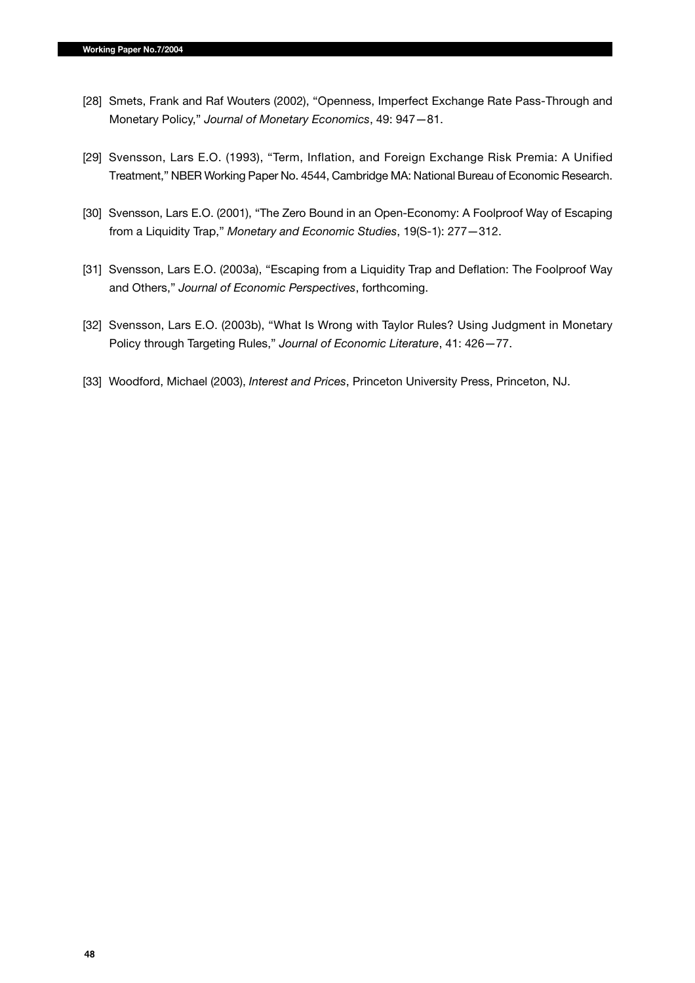- [28] Smets, Frank and Raf Wouters (2002), "Openness, Imperfect Exchange Rate Pass-Through and Monetary Policy," *Journal of Monetary Economics*, 49: 947—81.
- [29] Svensson, Lars E.O. (1993), "Term, Inflation, and Foreign Exchange Risk Premia: A Unified Treatment," NBER Working Paper No. 4544, Cambridge MA: National Bureau of Economic Research.
- [30] Svensson, Lars E.O. (2001), "The Zero Bound in an Open-Economy: A Foolproof Way of Escaping from a Liquidity Trap," *Monetary and Economic Studies*, 19(S-1): 277—312.
- [31] Svensson, Lars E.O. (2003a), "Escaping from a Liquidity Trap and Deflation: The Foolproof Way and Others," *Journal of Economic Perspectives*, forthcoming.
- [32] Svensson, Lars E.O. (2003b), "What Is Wrong with Taylor Rules? Using Judgment in Monetary Policy through Targeting Rules," *Journal of Economic Literature*, 41: 426—77.
- [33] Woodford, Michael (2003), *Interest and Prices*, Princeton University Press, Princeton, NJ.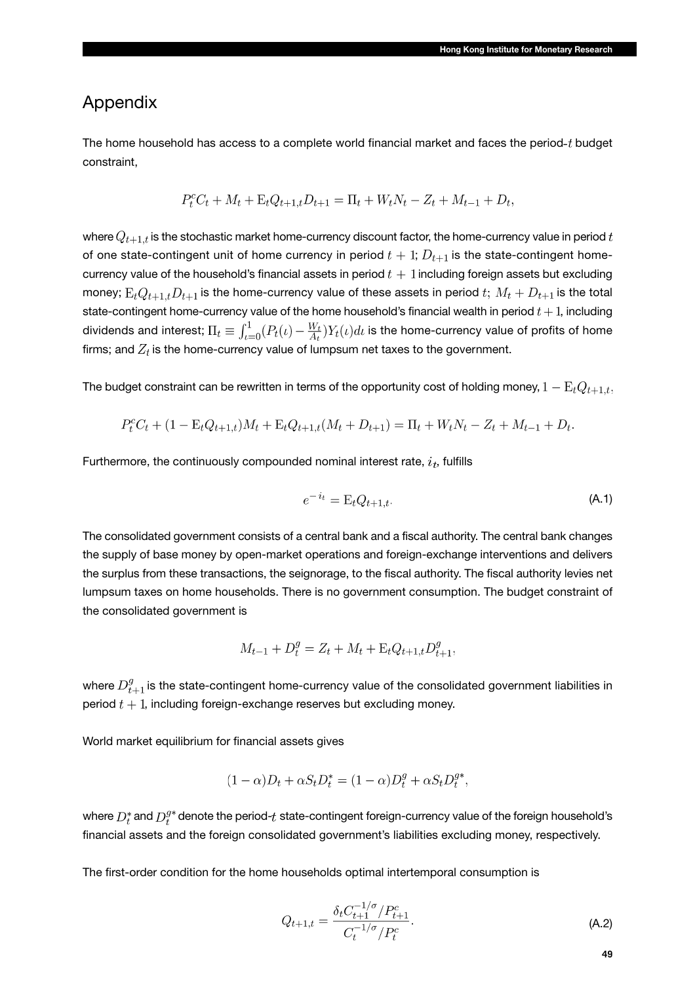## Appendix

The home household has access to a complete world financial market and faces the period- $t$  budget constraint,

$$
P_t^c C_t + M_t + \mathcal{E}_t Q_{t+1,t} D_{t+1} = \Pi_t + W_t N_t - Z_t + M_{t-1} + D_t,
$$

where  $Q_{t+1,t}$  is the stochastic market home-currency discount factor, the home-currency value in period t of one state-contingent unit of home currency in period  $t + 1$ ;  $D_{t+1}$  is the state-contingent homecurrency value of the household's financial assets in period  $t+1$  including foreign assets but excluding money;  $E_t Q_{t+1,t} D_{t+1}$  is the home-currency value of these assets in period  $t$ ;  $M_t + D_{t+1}$  is the total state-contingent home-currency value of the home household's financial wealth in period  $t + 1$ , including dividends and interest;  $\Pi_t \equiv \int_{t=0}^1 (P_t(\iota)-\frac{W_t}{A_t})Y_t(\iota)d\iota$  is the home-currency value of profits of home firms; and  $Z_t$  is the home-currency value of lumpsum net taxes to the government.

The budget constraint can be rewritten in terms of the opportunity cost of holding money,  $1 - \mathrm{E}_t Q_{t+1,t}$ ,

$$
P_t^c C_t + (1 - \mathcal{E}_t Q_{t+1,t}) M_t + \mathcal{E}_t Q_{t+1,t} (M_t + D_{t+1}) = \Pi_t + W_t N_t - Z_t + M_{t-1} + D_t.
$$

Furthermore, the continuously compounded nominal interest rate,  $i_t$ , fulfills

$$
e^{-i_t} = \mathcal{E}_t Q_{t+1,t}.\tag{A.1}
$$

The consolidated government consists of a central bank and a fiscal authority. The central bank changes the supply of base money by open-market operations and foreign-exchange interventions and delivers the surplus from these transactions, the seignorage, to the fiscal authority. The fiscal authority levies net lumpsum taxes on home households. There is no government consumption. The budget constraint of the consolidated government is

$$
M_{t-1} + D_t^g = Z_t + M_t + \mathcal{E}_t Q_{t+1,t} D_{t+1}^g,
$$

where  $D_{t+1}^g$  is the state-contingent home-currency value of the consolidated government liabilities in period  $t + 1$ , including foreign-exchange reserves but excluding money.

World market equilibrium for financial assets gives

$$
(1 - \alpha)D_t + \alpha S_t D_t^* = (1 - \alpha)D_t^g + \alpha S_t D_t^{g*},
$$

where  $D_t^*$  and  $D_t^{g*}$  denote the period-t state-contingent foreign-currency value of the foreign household's financial assets and the foreign consolidated government's liabilities excluding money, respectively.

The first-order condition for the home households optimal intertemporal consumption is

$$
Q_{t+1,t} = \frac{\delta_t C_{t+1}^{-1/\sigma} / P_{t+1}^c}{C_t^{-1/\sigma} / P_t^c}.
$$
\n(A.2)

**49**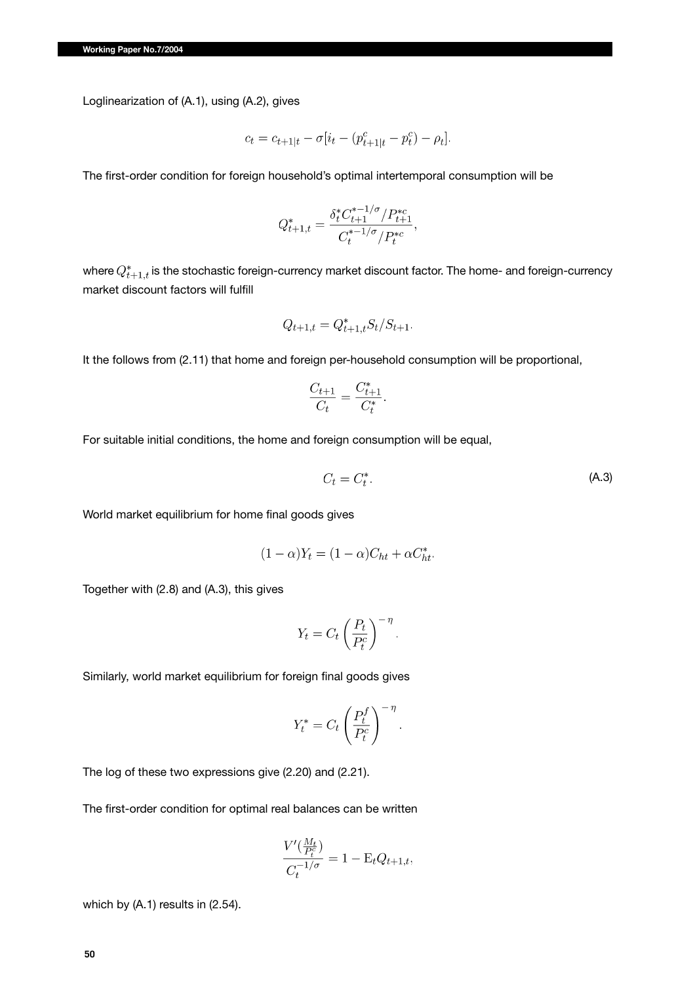Loglinearization of (A.1), using (A.2), gives

$$
c_t = c_{t+1|t} - \sigma[i_t - (p_{t+1|t}^c - p_t^c) - \rho_t].
$$

The first-order condition for foreign household's optimal intertemporal consumption will be

$$
Q_{t+1,t}^* = \frac{\delta_t^* C_{t+1}^{*-1/\sigma} / P_{t+1}^{*c}}{C_t^{*-1/\sigma} / P_t^{*c}},
$$

where  $Q_{t+1,t}^*$  is the stochastic foreign-currency market discount factor. The home- and foreign-currency market discount factors will fulfill

$$
Q_{t+1,t} = Q_{t+1,t}^* S_t / S_{t+1}.
$$

It the follows from (2.11) that home and foreign per-household consumption will be proportional,

$$
\frac{C_{t+1}}{C_t} = \frac{C_{t+1}^*}{C_t^*}.
$$

For suitable initial conditions, the home and foreign consumption will be equal,

$$
C_t = C_t^*.
$$
 (A.3)

World market equilibrium for home final goods gives

$$
(1 - \alpha)Y_t = (1 - \alpha)C_{ht} + \alpha C_{ht}^*.
$$

Together with (2.8) and (A.3), this gives

$$
Y_t = C_t \left(\frac{P_t}{P_t^c}\right)^{-\eta}.
$$

Similarly, world market equilibrium for foreign final goods gives

$$
Y_t^* = C_t \left(\frac{P_t^f}{P_t^c}\right)^{-\eta}.
$$

The log of these two expressions give (2.20) and (2.21).

The first-order condition for optimal real balances can be written

$$
\frac{V'(\frac{M_t}{P_t^c})}{C_t^{-1/\sigma}} = 1 - \mathcal{E}_t Q_{t+1,t},
$$

which by (A.1) results in (2.54).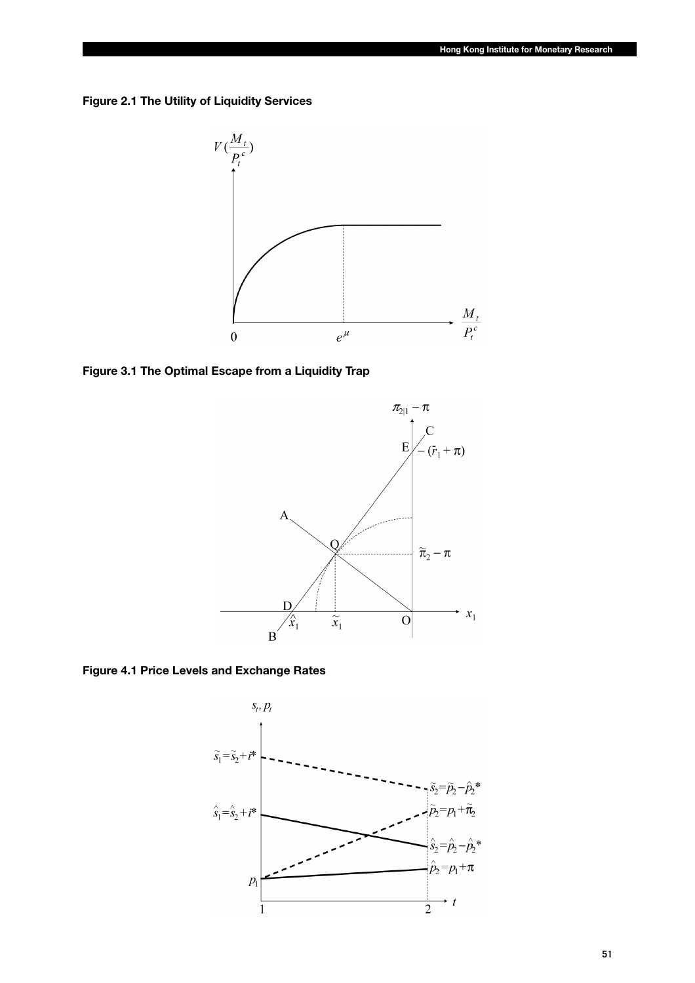**Figure 2.1 The Utility of Liquidity Services**



**Figure 3.1 The Optimal Escape from a Liquidity Trap**



**Figure 4.1 Price Levels and Exchange Rates**

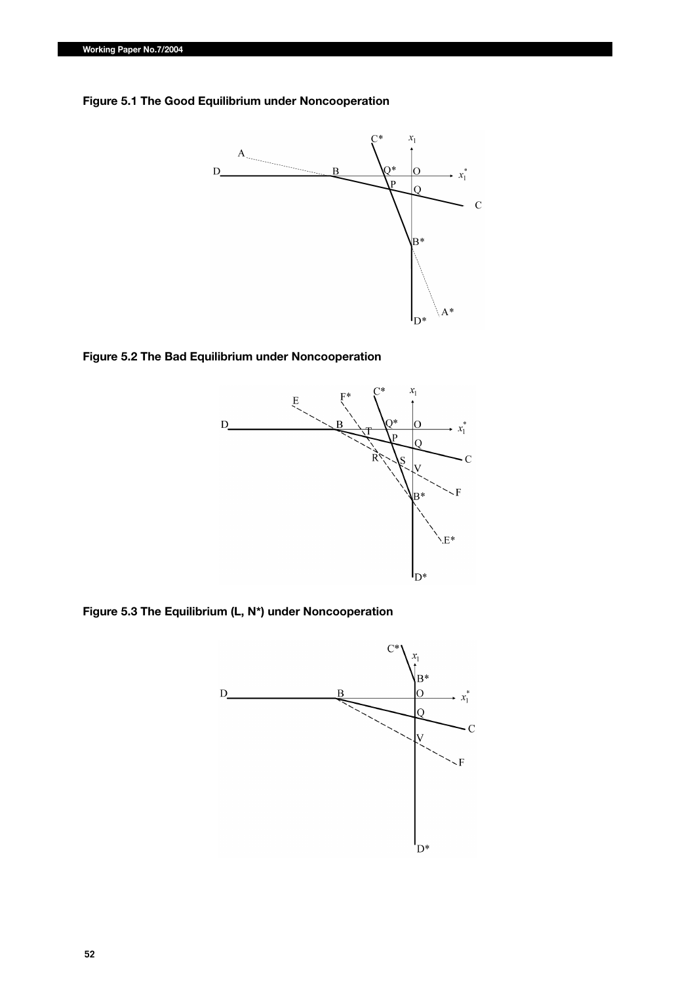



### **Figure 5.2 The Bad Equilibrium under Noncooperation**



**Figure 5.3 The Equilibrium (L, N\*) under Noncooperation**